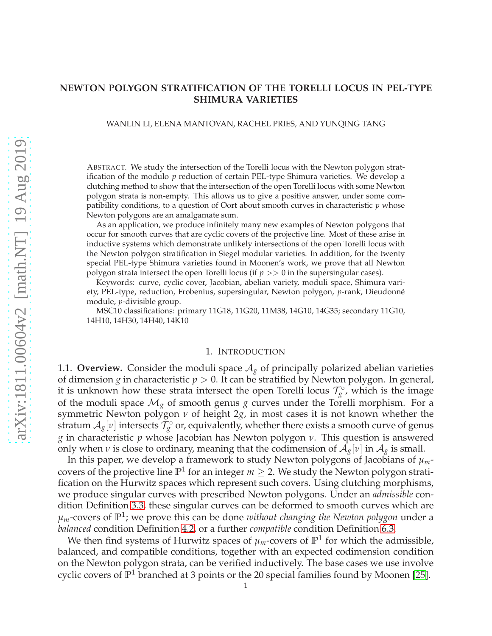## **NEWTON POLYGON STRATIFICATION OF THE TORELLI LOCUS IN PEL-TYPE SHIMURA VARIETIES**

WANLIN LI, ELENA MANTOVAN, RACHEL PRIES, AND YUNQING TANG

ABSTRACT. We study the intersection of the Torelli locus with the Newton polygon stratification of the modulo *p* reduction of certain PEL-type Shimura varieties. We develop a clutching method to show that the intersection of the open Torelli locus with some Newton polygon strata is non-empty. This allows us to give a positive answer, under some compatibility conditions, to a question of Oort about smooth curves in characteristic *p* whose Newton polygons are an amalgamate sum.

As an application, we produce infinitely many new examples of Newton polygons that occur for smooth curves that are cyclic covers of the projective line. Most of these arise in inductive systems which demonstrate unlikely intersections of the open Torelli locus with the Newton polygon stratification in Siegel modular varieties. In addition, for the twenty special PEL-type Shimura varieties found in Moonen's work, we prove that all Newton polygon strata intersect the open Torelli locus (if *p* >> 0 in the supersingular cases).

Keywords: curve, cyclic cover, Jacobian, abelian variety, moduli space, Shimura variety, PEL-type, reduction, Frobenius, supersingular, Newton polygon, *p*-rank, Dieudonn´e module, *p*-divisible group.

MSC10 classifications: primary 11G18, 11G20, 11M38, 14G10, 14G35; secondary 11G10, 14H10, 14H30, 14H40, 14K10

#### 1. INTRODUCTION

1.1. **Overview.** Consider the moduli space  $A_g$  of principally polarized abelian varieties of dimension *g* in characteristic *p* > 0. It can be stratified by Newton polygon. In general, it is unknown how these strata intersect the open Torelli locus  $\mathcal{T}_g^{\circ}$ , which is the image of the moduli space  $\mathcal{M}_{g}$  of smooth genus *g* curves under the Torelli morphism. For a symmetric Newton polygon *ν* of height 2*g*, in most cases it is not known whether the stratum  $\mathcal{A}_g[v]$  intersects  $\mathcal{T}^\circ_g$  or, equivalently, whether there exists a smooth curve of genus *g* in characteristic *p* whose Jacobian has Newton polygon *ν*. This question is answered only when *ν* is close to ordinary, meaning that the codimension of  $A_g[v]$  in  $A_g$  is small.

In this paper, we develop a framework to study Newton polygons of Jacobians of *µm*covers of the projective line  $\mathbb{P}^1$  for an integer  $m \geq 2$ . We study the Newton polygon stratification on the Hurwitz spaces which represent such covers. Using clutching morphisms, we produce singular curves with prescribed Newton polygons. Under an *admissible* condition Definition [3.3,](#page-8-0) these singular curves can be deformed to smooth curves which are  $\mu_m$ -covers of  $\mathbb{P}^1$ ; we prove this can be done *without changing the Newton polygon* under a *balanced* condition Definition [4.2,](#page-11-0) or a further *compatible* condition Definition [6.3.](#page-18-0)

We then find systems of Hurwitz spaces of  $\mu_m$ -covers of  $\mathbb{P}^1$  for which the admissible, balanced, and compatible conditions, together with an expected codimension condition on the Newton polygon strata, can be verified inductively. The base cases we use involve cyclic covers of **P** <sup>1</sup> branched at 3 points or the 20 special families found by Moonen [\[25\]](#page-31-0).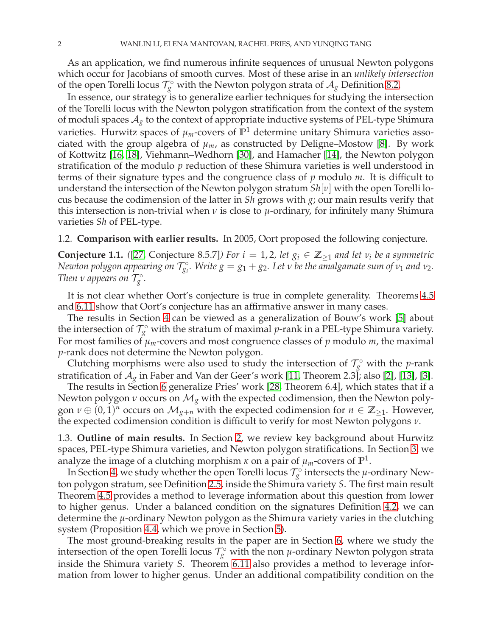As an application, we find numerous infinite sequences of unusual Newton polygons which occur for Jacobians of smooth curves. Most of these arise in an *unlikely intersection* of the open Torelli locus  $\mathcal{T}^\circ_g$  with the Newton polygon strata of  $\mathcal{A}_g$  Definition [8.2.](#page-25-0)

In essence, our strategy is to generalize earlier techniques for studying the intersection of the Torelli locus with the Newton polygon stratification from the context of the system of moduli spaces  $A_g$  to the context of appropriate inductive systems of PEL-type Shimura varieties. Hurwitz spaces of *µm*-covers of **P** <sup>1</sup> determine unitary Shimura varieties associated with the group algebra of  $\mu_m$ , as constructed by Deligne–Mostow [\[8\]](#page-31-1). By work of Kottwitz [\[16,](#page-31-2) [18\]](#page-31-3), Viehmann–Wedhorn [\[30\]](#page-32-0), and Hamacher [\[14\]](#page-31-4), the Newton polygon stratification of the modulo *p* reduction of these Shimura varieties is well understood in terms of their signature types and the congruence class of *p* modulo *m*. It is difficult to understand the intersection of the Newton polygon stratum *Sh*[*ν*] with the open Torelli locus because the codimension of the latter in *Sh* grows with *g*; our main results verify that this intersection is non-trivial when *ν* is close to *µ*-ordinary, for infinitely many Shimura varieties *Sh* of PEL-type.

<span id="page-1-0"></span>1.2. **Comparison with earlier results.** In 2005, Oort proposed the following conjecture.

**Conjecture 1.1.** ([\[27,](#page-32-1) Conjecture 8.5.7]) For  $i = 1, 2$ , let  $g_i \in \mathbb{Z}_{\geq 1}$  and let  $v_i$  be a symmetric  $N$ ewton polygon appearing on  $\mathcal{T}_{g_i}^\circ$ . Write  $g = g_1 + g_2$ . Let  $v$  be the amalgamate sum of  $v_1$  and  $v_2$ . *Then v* appears on  $\mathcal{T}_g^{\circ}$ .

It is not clear whether Oort's conjecture is true in complete generality. Theorems [4.5](#page-11-1) and [6.11](#page-20-0) show that Oort's conjecture has an affirmative answer in many cases.

The results in Section [4](#page-11-2) can be viewed as a generalization of Bouw's work [\[5\]](#page-31-5) about the intersection of  $\mathcal{T}^\circ_{g}$  with the stratum of maximal *p*-rank in a PEL-type Shimura variety. For most families of  $\mu_m$ -covers and most congruence classes of  $p$  modulo  $m$ , the maximal *p*-rank does not determine the Newton polygon.

Clutching morphisms were also used to study the intersection of  $\mathcal{T}_g^{\circ}$  with the *p*-rank stratification of  $A_g$  in Faber and Van der Geer's work [\[11,](#page-31-6) Theorem 2.3]; also [\[2\]](#page-31-7), [\[13\]](#page-31-8), [\[3\]](#page-31-9).

The results in Section [6](#page-17-0) generalize Pries' work [\[28,](#page-32-2) Theorem 6.4], which states that if a Newton polygon *ν* occurs on M*<sup>g</sup>* with the expected codimension, then the Newton polygon  $\nu \oplus (0, 1)^n$  occurs on  $\mathcal{M}_{g+n}$  with the expected codimension for  $n \in \mathbb{Z}_{\geq 1}$ . However, the expected codimension condition is difficult to verify for most Newton polygons *ν*.

1.3. **Outline of main results.** In Section [2,](#page-3-0) we review key background about Hurwitz spaces, PEL-type Shimura varieties, and Newton polygon stratifications. In Section [3,](#page-7-0) we analyze the image of a clutching morphism  $\kappa$  on a pair of  $\mu_m$ -covers of  $\mathbb{P}^1.$ 

In Section [4,](#page-11-2) we study whether the open Torelli locus  $\mathcal{T}_g^{\circ}$  intersects the *µ*-ordinary Newton polygon stratum, see Definition [2.5,](#page-6-0) inside the Shimura variety *S*. The first main result Theorem [4.5](#page-11-1) provides a method to leverage information about this question from lower to higher genus. Under a balanced condition on the signatures Definition [4.2,](#page-11-0) we can determine the *µ*-ordinary Newton polygon as the Shimura variety varies in the clutching system (Proposition [4.4,](#page-11-3) which we prove in Section [5\)](#page-14-0).

The most ground-breaking results in the paper are in Section [6,](#page-17-0) where we study the intersection of the open Torelli locus  $\mathcal{T}_g^{\circ}$  with the non *µ*-ordinary Newton polygon strata inside the Shimura variety *S*. Theorem [6.11](#page-20-0) also provides a method to leverage information from lower to higher genus. Under an additional compatibility condition on the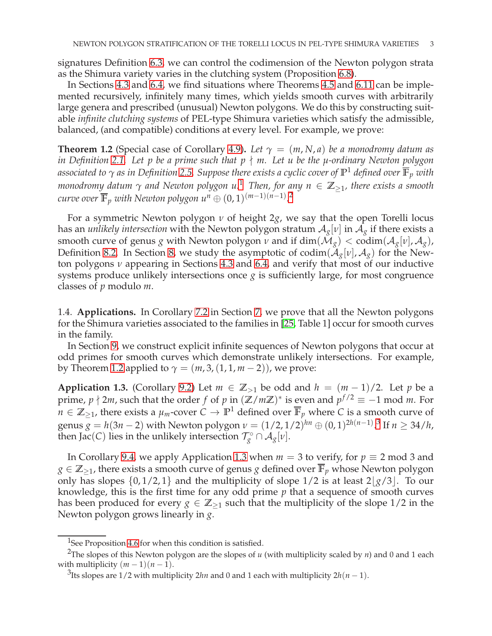signatures Definition [6.3,](#page-18-0) we can control the codimension of the Newton polygon strata as the Shimura variety varies in the clutching system (Proposition [6.8\)](#page-19-0).

In Sections [4.3](#page-12-0) and [6.4,](#page-22-0) we find situations where Theorems [4.5](#page-11-1) and [6.11](#page-20-0) can be implemented recursively, infinitely many times, which yields smooth curves with arbitrarily large genera and prescribed (unusual) Newton polygons. We do this by constructing suitable *infinite clutching systems* of PEL-type Shimura varieties which satisfy the admissible, balanced, (and compatible) conditions at every level. For example, we prove:

<span id="page-2-2"></span>**Theorem 1.2** (Special case of Corollary [4.9\)](#page-13-0). Let  $\gamma = (m, N, a)$  be a monodromy datum as *in Definition [2.1.](#page-3-1) Let p be a prime such that p* ∤ *m. Let u be the µ-ordinary Newton polygon associated to γ as in Definition [2.5.](#page-6-0) Suppose there exists a cyclic cover of* **P** <sup>1</sup> *defined over* **F***<sup>p</sup> with monodromy datum <sup>γ</sup> and Newton polygon u.*[1](#page-2-0) *Then, for any n* <sup>∈</sup> **<sup>Z</sup>**≥1*, there exists a smooth curve over*  $\overline{\mathbb{F}}_p$  *with Newton polygon u<sup>n</sup>*  $\oplus$   $(0,1)^{(m-1)(n-1)}$ .<sup>[2](#page-2-1)</sup>

For a symmetric Newton polygon *ν* of height 2*g*, we say that the open Torelli locus has an *unlikely intersection* with the Newton polygon stratum  $A_g[v]$  in  $A_g$  if there exists a smooth curve of genus *g* with Newton polygon *ν* and if dim( $\mathcal{M}_g$ ) < codim( $\mathcal{A}_g[v]$ ,  $\mathcal{A}_g$ ), Definition [8.2.](#page-25-0) In Section [8,](#page-25-1) we study the asymptotic of codim( $A_g[v]$ ,  $A_g$ ) for the Newton polygons *ν* appearing in Sections [4.3](#page-12-0) and [6.4,](#page-22-0) and verify that most of our inductive systems produce unlikely intersections once  $g$  is sufficiently large, for most congruence classes of *p* modulo *m*.

1.4. **Applications.** In Corollary [7.2](#page-23-0) in Section [7,](#page-23-1) we prove that all the Newton polygons for the Shimura varieties associated to the families in [\[25,](#page-31-0) Table 1] occur for smooth curves in the family.

In Section [9,](#page-26-0) we construct explicit infinite sequences of Newton polygons that occur at odd primes for smooth curves which demonstrate unlikely intersections. For example, by Theorem [1.2](#page-2-2) applied to  $\gamma = (m, 3, (1, 1, m - 2))$ , we prove:

<span id="page-2-4"></span>**Application 1.3.** (Corollary [9.2\)](#page-27-0) Let  $m \in \mathbb{Z}_{>1}$  be odd and  $h = (m-1)/2$ . Let *p* be a prime,  $p \nmid 2m$ , such that the order  $f$  of  $p$  in  $(\mathbb{Z}/m\mathbb{Z})^*$  is even and  $p^{f/2} \equiv -1$  mod  $m$ . For  $n \in \mathbb{Z}_{\geq 1}$ , there exists a  $\mu_m$ -cover  $C \to \mathbb{P}^1$  defined over  $\overline{\mathbb{F}}_p$  where *C* is a smooth curve of genus  $g = h(3n - 2)$  $g = h(3n - 2)$  $g = h(3n - 2)$  with Newton polygon  $\nu = (1/2, 1/2)^{hn} \oplus (0, 1)^{2h(n-1)}$ .<sup>3</sup> If  $n \ge 34/h$ , then Jac(*C*) lies in the unlikely intersection  $\mathcal{T}^{\circ}_g \cap \mathcal{A}_g[v]$ .

In Corollary [9.4,](#page-27-1) we apply Application [1.3](#page-2-4) when  $m = 3$  to verify, for  $p \equiv 2 \mod 3$  and *g* ∈  $\mathbb{Z}_{\geq 1}$ , there exists a smooth curve of genus *g* defined over  $\overline{\mathbb{F}}_p$  whose Newton polygon only has slopes  $\{0, 1/2, 1\}$  and the multiplicity of slope  $1/2$  is at least  $2|\frac{g}{3}|$ . To our knowledge, this is the first time for any odd prime *p* that a sequence of smooth curves has been produced for every  $g \in \mathbb{Z}_{\geq 1}$  such that the multiplicity of the slope 1/2 in the Newton polygon grows linearly in *g*.

<span id="page-2-0"></span> $1$ See Proposition [4.6](#page-12-1) for when this condition is satisfied.

<sup>2</sup>The slopes of this Newton polygon are the slopes of *u* (with multiplicity scaled by *n*) and 0 and 1 each with multiplicity  $(m - 1)(n - 1)$ .

<span id="page-2-3"></span><span id="page-2-1"></span><sup>&</sup>lt;sup>3</sup>Its slopes are 1/2 with multiplicity 2*hn* and 0 and 1 each with multiplicity 2*h*(*n* − 1).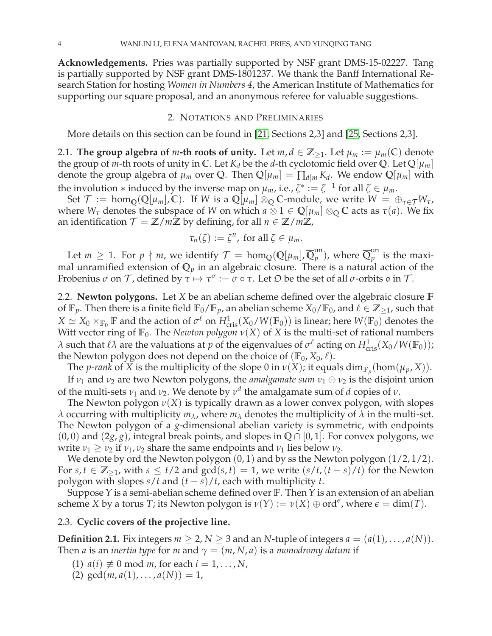**Acknowledgements.** Pries was partially supported by NSF grant DMS-15-02227. Tang is partially supported by NSF grant DMS-1801237. We thank the Banff International Research Station for hosting *Women in Numbers 4*, the American Institute of Mathematics for supporting our square proposal, and an anonymous referee for valuable suggestions.

#### 2. NOTATIONS AND PRELIMINARIES

<span id="page-3-0"></span>More details on this section can be found in [\[21,](#page-31-10) Sections 2,3] and [\[25,](#page-31-0) Sections 2,3].

2.1. **The group algebra of** *m***-th roots of unity.** Let  $m, d \in \mathbb{Z}_{\geq 1}$ . Let  $\mu_m := \mu_m(\mathbb{C})$  denote the group of *m*-th roots of unity in C. Let  $K_d$  be the *d*-th cyclotomic field over Q. Let  $\mathbb{Q}[\mu_m]$ denote the group algebra of  $\mu_m$  over Q. Then  $\mathbb{Q}[\mu_m] = \prod_{d \mid m} K_d$ . We endow  $\mathbb{Q}[\mu_m]$  with the involution  $*$  induced by the inverse map on  $\mu_m$ , i.e.,  $\zeta^* := \zeta^{-1}$  for all  $\zeta \in \mu_m$ .

Set  $\mathcal{T} := \text{hom}_{\mathbb{O}}(\mathbb{Q}[\mu_m], \mathbb{C})$ . If *W* is a  $\mathbb{Q}[\mu_m] \otimes_{\mathbb{O}} \mathbb{C}$ -module, we write  $W = \bigoplus_{\tau \in \mathcal{T}} W_{\tau}$ , where  $W_{\tau}$  denotes the subspace of *W* on which  $a \otimes 1 \in \mathbb{Q}[\mu_m] \otimes_{\mathbb{Q}} \mathbb{C}$  acts as  $\tau(a)$ . We fix an identification  $\mathcal{T} = \mathbb{Z}/m\mathbb{Z}$  by defining, for all  $n \in \mathbb{Z}/m\mathbb{Z}$ ,

$$
\tau_n(\zeta) := \zeta^n, \text{ for all } \zeta \in \mu_m.
$$

Let  $m \geq 1$ . For  $p \nmid m$ , we identify  $\mathcal{T} = \text{hom}_{\mathbb{Q}}(\mathbb{Q}[\mu_m], \overline{\mathbb{Q}}_p^{\text{un}})$  $_p^{\text{un}}$ ), where  $\overline{\mathbb{Q}}_p^{\text{un}}$  $_{p}^{un}$  is the maximal unramified extension of  $\mathbb{Q}_p$  in an algebraic closure. There is a natural action of the Frobenius  $\sigma$  on  $\mathcal T$ , defined by  $\tau \mapsto \tau^{\sigma} := \sigma \circ \tau$ . Let  $\mathfrak D$  be the set of all  $\sigma$ -orbits  $\mathfrak o$  in  $\mathcal T$ .

<span id="page-3-2"></span>2.2. **Newton polygons.** Let *X* be an abelian scheme defined over the algebraic closure **F** of  $\mathbb{F}_p$ . Then there is a finite field  $\mathbb{F}_0/\mathbb{F}_p$ , an abelian scheme  $X_0/\mathbb{F}_0$ , and  $\ell \in \mathbb{Z}_{\geq 1}$ , such that  $X \simeq X_0 \times_{\mathbb{F}_0} \mathbb{F}$  and the action of  $\sigma^{\ell}$  on  $H^1_{\text{cris}}(X_0/W(\mathbb{F}_0))$  is linear; here  $W(\mathbb{F}_0)$  denotes the Witt vector ring of  $\mathbb{F}_0$ . The *Newton polygon*  $\nu(X)$  of *X* is the multi-set of rational numbers *λ* such that  $\ell\lambda$  are the valuations at *p* of the eigenvalues of  $\sigma^{\ell}$  acting on  $H_{\text{cris}}^1(X_0/W(\mathbb{F}_0));$ the Newton polygon does not depend on the choice of  $(\mathbb{F}_0, X_0, \ell)$ .

The *p-rank* of *X* is the multiplicity of the slope 0 in  $\nu(X)$ ; it equals  $\dim_{\mathbb{F}_p}(\hom(\mu_p, X))$ . If  $\nu_1$  and  $\nu_2$  are two Newton polygons, the *amalgamate sum*  $\nu_1 \oplus \nu_2$  is the disjoint union

of the multi-sets  $v_1$  and  $v_2$ . We denote by  $v^d$  the amalgamate sum of *d* copies of *v*.

The Newton polygon  $\nu(X)$  is typically drawn as a lower convex polygon, with slopes *λ* occurring with multiplicity  $m<sub>λ</sub>$ , where  $m<sub>λ</sub>$  denotes the multiplicity of  $λ$  in the multi-set. The Newton polygon of a *g*-dimensional abelian variety is symmetric, with endpoints (0, 0) and (2*g*, *g*), integral break points, and slopes in **Q** ∩ [0, 1]. For convex polygons, we write  $\nu_1 \geq \nu_2$  if  $\nu_1, \nu_2$  share the same endpoints and  $\nu_1$  lies below  $\nu_2$ .

We denote by ord the Newton polygon  $(0, 1)$  and by ss the Newton polygon  $(1/2, 1/2)$ . For *s*,  $t \in \mathbb{Z}_{\geq 1}$ , with  $s \leq t/2$  and  $gcd(s, t) = 1$ , we write  $(s/t, (t - s)/t)$  for the Newton polygon with slopes *s*/*t* and (*t* − *s*)/*t*, each with multiplicity *t*.

Suppose *Y* is a semi-abelian scheme defined over **F**. Then *Y* is an extension of an abelian scheme *X* by a torus *T*; its Newton polygon is  $\nu(Y) := \nu(X) \oplus \text{ord}^{\epsilon}$ , where  $\epsilon = \dim(T)$ .

## <span id="page-3-1"></span>2.3. **Cyclic covers of the projective line.**

**Definition 2.1.** Fix integers  $m \geq 2$ ,  $N \geq 3$  and an *N*-tuple of integers  $a = (a(1), \ldots, a(N))$ . Then *a* is an *inertia type* for *m* and  $\gamma = (m, N, a)$  is a *monodromy datum* if

- $(1)$   $a(i) \not\equiv 0 \mod m$ , for each  $i = 1, \ldots, N$ ,
- (2)  $gcd(m, a(1), \ldots, a(N)) = 1$ ,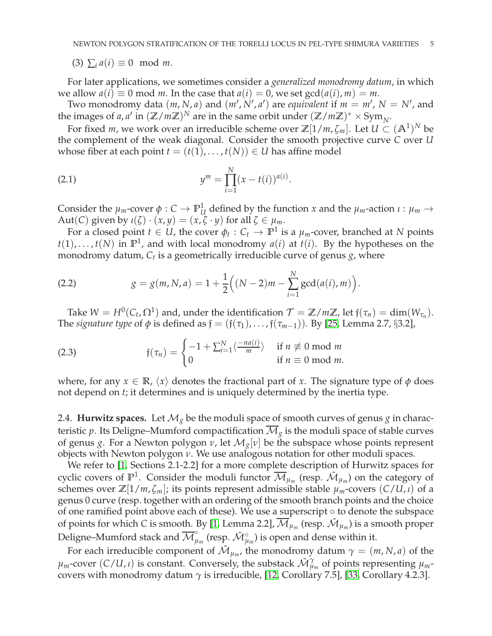(3)  $\sum_i a(i) \equiv 0 \mod m$ .

For later applications, we sometimes consider a *generalized monodromy datum*, in which we allow  $a(i) \equiv 0 \mod m$ . In the case that  $a(i) = 0$ , we set  $gcd(a(i), m) = m$ .

Two monodromy data  $(m, N, a)$  and  $(m', N', a')$  are *equivalent* if  $m = m', N = N',$  and the images of *a*, *a'* in  $(\mathbb{Z}/m\mathbb{Z})^N$  are in the same orbit under  $(\mathbb{Z}/m\mathbb{Z})^* \times \text{Sym}_N$ .

For fixed *m*, we work over an irreducible scheme over  $\mathbb{Z}[1/m,\zeta_m]$ . Let  $U \subset (\mathbb{A}^1)^N$  be the complement of the weak diagonal. Consider the smooth projective curve *C* over *U* whose fiber at each point  $t = (t(1), \ldots, t(N)) \in U$  has affine model

(2.1) 
$$
y^{m} = \prod_{i=1}^{N} (x - t(i))^{a(i)}.
$$

Consider the  $\mu_m$ -cover  $\phi: C \to \mathbb{P}^1_L$  $U$ <sup>*u*</sup> *U* defined by the function *x* and the *µ*<sup>*m*</sup>-action *ι* : *µ*<sup>*m*</sup> → Aut(*C*) given by  $\iota(\zeta) \cdot (x, y) = (x, \zeta \cdot y)$  for all  $\zeta \in \mu_m$ .

For a closed point  $t \in U$ , the cover  $\phi_t : C_t \to \mathbb{P}^1$  is a  $\mu_m$ -cover, branched at *N* points  $t(1), \ldots, t(N)$  in  $\mathbb{P}^1$ , and with local monodromy  $a(i)$  at  $t(i)$ . By the hypotheses on the monodromy datum, *C<sup>t</sup>* is a geometrically irreducible curve of genus *g*, where

<span id="page-4-1"></span>(2.2) 
$$
g = g(m, N, a) = 1 + \frac{1}{2} \Big( (N - 2)m - \sum_{i=1}^{N} \gcd(a(i), m) \Big).
$$

Take  $W = H^0(C_t, \Omega^1)$  and, under the identification  $\mathcal{T} = \mathbb{Z}/m\mathbb{Z}$ , let  $f(\tau_n) = \dim(W_{\tau_n})$ . The *signature type* of  $\phi$  is defined as  $\mathfrak{f} = (\mathfrak{f}(\tau_1), \ldots, \mathfrak{f}(\tau_{m-1}))$ . By [\[25,](#page-31-0) Lemma 2.7, §3.2],

<span id="page-4-0"></span>(2.3) 
$$
\mathfrak{f}(\tau_n) = \begin{cases} -1 + \sum_{i=1}^{N} \langle \frac{-na(i)}{m} \rangle & \text{if } n \not\equiv 0 \text{ mod } m \\ 0 & \text{if } n \equiv 0 \text{ mod } m. \end{cases}
$$

where, for any  $x \in \mathbb{R}$ ,  $\langle x \rangle$  denotes the fractional part of *x*. The signature type of  $\phi$  does not depend on *t*; it determines and is uniquely determined by the inertia type.

2.4. **Hurwitz spaces.** Let  $\mathcal{M}_g$  be the moduli space of smooth curves of genus *g* in characteristic *p*. Its Deligne–Mumford compactification  $\overline{\mathcal{M}}_g$  is the moduli space of stable curves of genus *g*. For a Newton polygon *ν*, let M*g*[*ν*] be the subspace whose points represent objects with Newton polygon *ν*. We use analogous notation for other moduli spaces.

We refer to [\[1,](#page-31-11) Sections 2.1-2.2] for a more complete description of Hurwitz spaces for cyclic covers of  $\mathbb{P}^1$ . Consider the moduli functor  $\overline{\mathcal{M}}_{\mu_m}$  (resp.  $\tilde{\mathcal{M}}_{\mu_m}$ ) on the category of schemes over  $\mathbb{Z}[1/m,\zeta_m]$ ; its points represent admissible stable  $\mu_m$ -covers  $(C/U,\iota)$  of a genus 0 curve (resp. together with an ordering of the smooth branch points and the choice of one ramified point above each of these). We use a superscript ◦ to denote the subspace of points for which *C* is smooth. By [\[1,](#page-31-11) Lemma 2.2],  $\overline{\mathcal{M}}_{\mu_m}$  (resp.  $\mathcal{\tilde{M}}_{\mu_m}$ ) is a smooth proper Deligne–Mumford stack and  $\overline{\mathcal M}_{\mu_m}^\circ$  (resp.  $\tilde{\mathcal M}_{\mu_m}^\circ$ ) is open and dense within it.

For each irreducible component of  $\tilde{\mathcal{M}}_{\mu_m}$ , the monodromy datum  $\gamma = (m, N, a)$  of the  $\mu_m$ -cover (*C*/*U*, *ι*) is constant. Conversely, the substack  $\tilde{\mathcal{M}}_{\mu}^{\gamma}$  $\mu_{m}^{\gamma}$  of points representing  $\mu_{m}$ covers with monodromy datum *γ* is irreducible, [\[12,](#page-31-12) Corollary 7.5], [\[33,](#page-32-3) Corollary 4.2.3].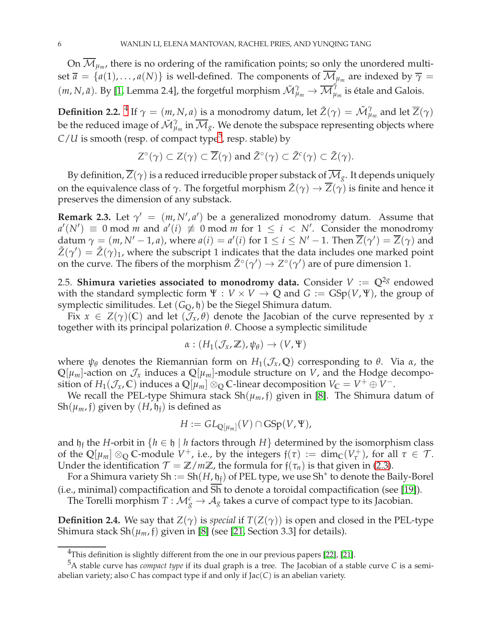On  $\mathcal{M}_{\mu_m}$ , there is no ordering of the ramification points; so <u>onl</u>y the unordered multiset  $\overline{a} = \{a(1), \ldots, a(N)\}$  is well-defined. The components of  $\mathcal{M}_{\mu_m}$  are indexed by  $\overline{\gamma} =$  $(m, N, \bar{a})$ . By [\[1,](#page-31-11) Lemma 2.4], the forgetful morphism  $\tilde{M}^{\gamma}_{\mu_m} \to \overline{\mathcal{M}}^{\tilde{\gamma}}_{\mu_m}$  is étale and Galois.

<span id="page-5-3"></span>**Definition 2.2.** <sup>[4](#page-5-0)</sup> If  $\gamma = (m, N, a)$  is a monodromy datum, let  $\tilde{Z}(\gamma) = \tilde{\mathcal{M}}_{\mu}^{\gamma}$  $\mu_{m}^{\gamma}$  and let  $Z(\gamma)$ be the reduced image of  $\tilde{\mathcal{M}}_{\mu}^{\gamma}$  $\mathcal{M}_{\mu_m}$  in  $\mathcal{M}_{g}$ . We denote the subspace representing objects where  $C/U$  is smooth (resp. of compact type<sup>[5](#page-5-1)</sup>, resp. stable) by

$$
Z^{\circ}(\gamma) \subset Z(\gamma) \subset \overline{Z}(\gamma) \text{ and } \tilde{Z}^{\circ}(\gamma) \subset \tilde{Z}^{c}(\gamma) \subset \tilde{Z}(\gamma).
$$

By definition,  $\overline{Z}(\gamma)$  is a reduced irreducible proper substack of  $\overline{\mathcal M}_g$ . It depends uniquely on the equivalence class of  $\gamma$ . The forgetful morphism  $\tilde{Z}(\gamma) \to \overline{Z}(\gamma)$  is finite and hence it preserves the dimension of any substack.

<span id="page-5-2"></span>**Remark 2.3.** Let  $\gamma' = (m, N', a')$  be a generalized monodromy datum. Assume that  $a'(N') \equiv 0 \mod m$  and  $a'(i) \not\equiv 0 \mod m$  for  $1 \leq i \leq N'$ . Consider the monodromy datum  $\gamma = (m, N' - 1, a)$ , where  $a(i) = a'(i)$  for  $1 \le i \le N' - 1$ . Then  $Z(\gamma') = Z(\gamma)$  and  $\tilde{Z}(\gamma') = \tilde{Z}(\gamma)_1$ , where the subscript 1 indicates that the data includes one marked point on the curve. The fibers of the morphism  $\tilde{Z}^{\circ}(\gamma') \to Z^{\circ}(\gamma')$  are of pure dimension 1.

<span id="page-5-4"></span>2.5. **Shimura varieties associated to monodromy data.** Consider  $V := \mathbb{Q}^{2g}$  endowed with the standard symplectic form  $\Psi : V \times V \to \mathbb{Q}$  and  $G := GSp(V, \Psi)$ , the group of symplectic similitudes. Let  $(G<sub>O</sub>, \mathfrak{h})$  be the Siegel Shimura datum.

Fix  $x \in Z(\gamma)(\mathbb{C})$  and let  $(\mathcal{J}_x, \theta)$  denote the Jacobian of the curve represented by x together with its principal polarization *θ*. Choose a symplectic similitude

$$
\alpha: (H_1(\mathcal{J}_x,\mathbb{Z}),\psi_\theta) \to (V,\Psi)
$$

where  $ψ$ <sup>*θ*</sup> denotes the Riemannian form on  $H_1(\mathcal{J}_x, \mathbb{Q})$  corresponding to *θ*. Via *α*, the  $\mathbb{Q}[\mu_m]$ -action on  $\mathcal{J}_x$  induces a  $\mathbb{Q}[\mu_m]$ -module structure on *V*, and the Hodge decomposition of  $H_1(\mathcal{J}_x, \mathbb{C})$  induces a  $\mathbb{Q}[\mu_m] \otimes_{\mathbb{Q}} \mathbb{C}$ -linear decomposition  $V_{\mathbb{C}} = V^+ \oplus V^-$ .

We recall the PEL-type Shimura stack  $Sh(\mu_m, \mathfrak{f})$  given in [\[8\]](#page-31-1). The Shimura datum of  $Sh(\mu_m, \mathfrak{f})$  given by  $(H, \mathfrak{h}_{\mathfrak{f}})$  is defined as

$$
H := GL_{\mathbb{Q}[\mu_m]}(V) \cap \mathrm{GSp}(V, \Psi),
$$

and  $\mathfrak{h}_\mathfrak{f}$  the *H*-orbit in  $\{h \in \mathfrak{h} \mid h \text{ factors through } H\}$  determined by the isomorphism class of the  $\mathbb{Q}[\mu_m] \otimes_{\mathbb{Q}} \mathbb{C}$ -module  $V^+$ , i.e., by the integers  $f(\tau) := \dim_{\mathbb{C}}(V^+_{\tau})$ , for all  $\tau \in \mathcal{T}$ . Under the identification  $\mathcal{T} = \mathbb{Z}/m\mathbb{Z}$ , the formula for  $f(\tau_n)$  is that given in [\(2.3\)](#page-4-0).

For a Shimura variety Sh := Sh $(H, \mathfrak{h}_{\mathfrak{f}})$  of PEL type, we use Sh $^*$  to denote the Baily-Borel (i.e., minimal) compactification and Sh to denote a toroidal compactification (see [\[19\]](#page-31-13)).

<span id="page-5-5"></span>The Torelli morphism  $T: \mathcal{M}_g^c \to \mathcal{A}_g$  takes a curve of compact type to its Jacobian.

**Definition 2.4.** We say that  $Z(\gamma)$  is *special* if  $T(Z(\gamma))$  is open and closed in the PEL-type Shimura stack  $\text{Sh}(\mu_m, \mathfrak{f})$  given in [\[8\]](#page-31-1) (see [\[21,](#page-31-10) Section 3.3] for details).

<span id="page-5-0"></span> $4$ This definition is slightly different from the one in our previous papers [\[22\]](#page-31-14), [\[21\]](#page-31-10).

<span id="page-5-1"></span><sup>5</sup>A stable curve has *compact type* if its dual graph is a tree. The Jacobian of a stable curve *C* is a semiabelian variety; also *C* has compact type if and only if Jac(*C*) is an abelian variety.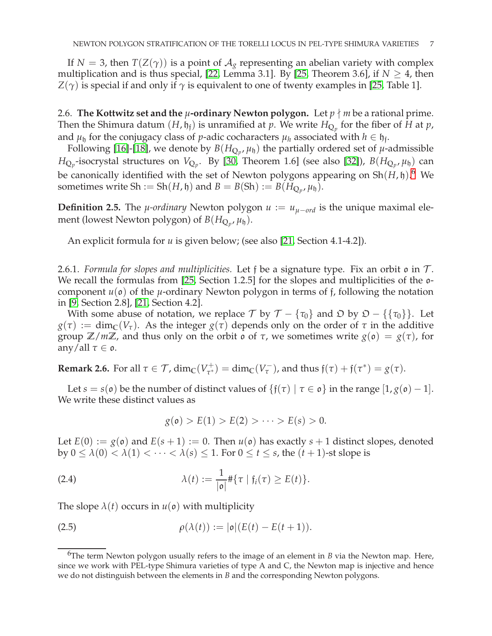If *N* = 3, then *T*(*Z*( $\gamma$ )) is a point of  $A_g$  representing an abelian variety with complex multiplication and is thus special, [\[22,](#page-31-14) Lemma 3.1]. By [\[25,](#page-31-0) Theorem 3.6], if  $N \geq 4$ , then  $Z(\gamma)$  is special if and only if  $\gamma$  is equivalent to one of twenty examples in [\[25,](#page-31-0) Table 1].

<span id="page-6-6"></span>2.6. **The Kottwitz set and the**  $\mu$ **-ordinary Newton polygon.** Let  $p \nmid m$  be a rational prime. Then the Shimura datum  $(H, \mathfrak{h}_{\mathfrak{f}})$  is unramified at  $p$ . We write  $H_{\mathbb{Q}_p}$  for the fiber of  $H$  at  $p$ , and  $\mu_h$  for the conjugacy class of *p*-adic cocharacters  $\mu_h$  associated with  $h \in \mathfrak{h}_f$ .

Following [\[16\]](#page-31-2)-[\[18\]](#page-31-3), we denote by  $B(H_{\mathbb{Q}_p}, \mu_{\mathfrak{h}})$  the partially ordered set of  $\mu$ -admissible  $H_{\mathbb{Q}_p}$ -isocrystal structures on  $V_{\mathbb{Q}_p}$ . By [\[30,](#page-32-0) Theorem 1.6] (see also [\[32\]](#page-32-4)),  $B(H_{\mathbb{Q}_p},\mu_\mathfrak{h})$  can be canonically identified with the set of Newton polygons appearing on Sh(*H*, h). [6](#page-6-1) We sometimes write Sh := Sh $(H, \mathfrak{h})$  and  $B = B(\mathrm{Sh}) := B(H_{\mathbb{Q}_p}, \mu_{\mathfrak{h}})$ .

<span id="page-6-0"></span>**Definition 2.5.** The *µ*-ordinary Newton polygon  $u := u_{\mu - ord}$  is the unique maximal element (lowest Newton polygon) of  $B(H_{\mathbb{Q}_p}, \mu_{\mathfrak{h}})$ .

An explicit formula for *u* is given below; (see also [\[21,](#page-31-10) Section 4.1-4.2]).

<span id="page-6-4"></span>2.6.1. *Formula for slopes and multiplicities*. Let f be a signature type. Fix an orbit  $\mathfrak{o}$  in  $\mathcal{T}$ . We recall the formulas from [\[25,](#page-31-0) Section 1.2.5] for the slopes and multiplicities of the  $o$ component  $u(\mathfrak{o})$  of the  $\mu$ -ordinary Newton polygon in terms of f, following the notation in [\[9,](#page-31-15) Section 2.8], [\[21,](#page-31-10) Section 4.2].

With some abuse of notation, we replace  $\mathcal{T}$  by  $\mathcal{T} - {\tau_0}$  and  $\mathcal{D}$  by  $\mathcal{D} - {\tau_0}$ . Let  $g(\tau) := \dim_{\mathbb{C}}(V_{\tau})$ . As the integer  $g(\tau)$  depends only on the order of  $\tau$  in the additive group **Z**/*m***Z**, and thus only on the orbit o of *τ*, we sometimes write *g*(o) = *g*(*τ*), for any/all  $\tau \in \mathfrak{o}$ .

<span id="page-6-5"></span>**Remark 2.6.** For all  $\tau \in \mathcal{T}$ ,  $\dim_{\mathbb{C}}(V_{\tau^*}^+)$  $\tau_{\tau}^{+}$ ) = dim<sub>C</sub>(*V*<sub> $\tau$ </sub>), and thus  $\mathfrak{f}(\tau) + \mathfrak{f}(\tau^{*}) = g(\tau)$ .

Let *s* = *s*( $\mathfrak{o}$ ) be the number of distinct values of { $f(\tau) | \tau \in \mathfrak{o}$ } in the range [1, *g*( $\mathfrak{o}$ ) − 1]. We write these distinct values as

<span id="page-6-3"></span><span id="page-6-2"></span>
$$
g(\mathfrak{o}) > E(1) > E(2) > \cdots > E(s) > 0.
$$

Let  $E(0) := g(\mathfrak{o})$  and  $E(s+1) := 0$ . Then  $u(\mathfrak{o})$  has exactly  $s+1$  distinct slopes, denoted by  $0 \le \lambda(0) < \lambda(1) < \cdots < \lambda(s) \le 1$ . For  $0 \le t \le s$ , the  $(t + 1)$ -st slope is

(2.4) 
$$
\lambda(t) := \frac{1}{|\mathfrak{o}|} \# \{ \tau \mid \mathfrak{f}_i(\tau) \geq E(t) \}.
$$

The slope  $\lambda(t)$  occurs in  $u(\mathfrak{o})$  with multiplicity

(2.5) 
$$
\rho(\lambda(t)) := |\mathfrak{o}|(E(t) - E(t+1)).
$$

<span id="page-6-1"></span><sup>&</sup>lt;sup>6</sup>The term Newton polygon usually refers to the image of an element in *B* via the Newton map. Here, since we work with PEL-type Shimura varieties of type A and C, the Newton map is injective and hence we do not distinguish between the elements in *B* and the corresponding Newton polygons.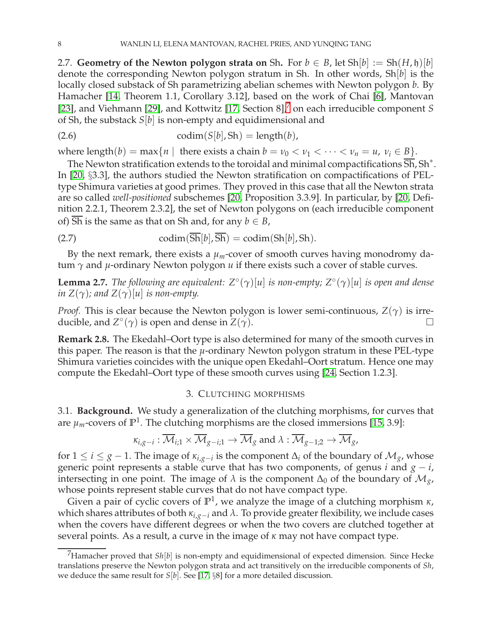2.7. **Geometry of the Newton polygon strata on** Sh. For  $b \in B$ , let Sh $[b] := Sh(H, \mathfrak{h})[b]$ denote the corresponding Newton polygon stratum in Sh. In other words, Sh[*b*] is the locally closed substack of Sh parametrizing abelian schemes with Newton polygon *b*. By Hamacher [\[14,](#page-31-4) Theorem 1.1, Corollary 3.12], based on the work of Chai [\[6\]](#page-31-16), Mantovan [\[23\]](#page-31-17), and Viehmann [\[29\]](#page-32-5), and Kottwitz [\[17,](#page-31-18) Section 8],<sup>[7](#page-7-1)</sup> on each irreducible component *S* of Sh, the substack *S*[*b*] is non-empty and equidimensional and

<span id="page-7-3"></span>
$$
codim(S[b], Sh) = length(b),
$$

where length(*b*) = max{*n* | there exists a chain *b* =  $\nu_0 < \nu_1 < \cdots < \nu_n = u$ ,  $\nu_i \in B$ }.

The Newton stratification extends to the toroidal and minimal compactifications Sh, Sh $^\ast$ . In [\[20,](#page-31-19) §3.3], the authors studied the Newton stratification on compactifications of PELtype Shimura varieties at good primes. They proved in this case that all the Newton strata are so called *well-positioned* subschemes [\[20,](#page-31-19) Proposition 3.3.9]. In particular, by [\[20,](#page-31-19) Definition 2.2.1, Theorem 2.3.2], the set of Newton polygons on (each irreducible component of)  $\overline{Sh}$  is the same as that on Sh and, for any  $b \in B$ ,

<span id="page-7-4"></span>(2.7) 
$$
\text{codim}(\overline{\text{Sh}}[b], \overline{\text{Sh}}) = \text{codim}(\text{Sh}[b], \text{Sh}).
$$

<span id="page-7-2"></span>By the next remark, there exists a  $\mu_m$ -cover of smooth curves having monodromy datum *γ* and *µ*-ordinary Newton polygon *u* if there exists such a cover of stable curves.

**Lemma 2.7.** *The following are equivalent: Z*◦ (*γ*)[*u*] *is non-empty; Z*◦ (*γ*)[*u*] *is open and dense in*  $Z(\gamma)$ *; and*  $Z(\gamma)[u]$  *is non-empty.* 

*Proof.* This is clear because the Newton polygon is lower semi-continuous, *Z*(*γ*) is irreducible, and  $Z^{\circ}(\gamma)$  is open and dense in  $Z(\gamma)$ .

**Remark 2.8.** The Ekedahl–Oort type is also determined for many of the smooth curves in this paper. The reason is that the *µ*-ordinary Newton polygon stratum in these PEL-type Shimura varieties coincides with the unique open Ekedahl–Oort stratum. Hence one may compute the Ekedahl–Oort type of these smooth curves using [\[24,](#page-31-20) Section 1.2.3].

#### 3. CLUTCHING MORPHISMS

<span id="page-7-6"></span><span id="page-7-0"></span>3.1. **Background.** We study a generalization of the clutching morphisms, for curves that are  $\mu_m$ -covers of  $\mathbb{P}^1.$  The clutching morphisms are the closed immersions [\[15,](#page-31-21) 3.9]:

$$
\kappa_{i,g-i} : \overline{\mathcal{M}}_{i;1} \times \overline{\mathcal{M}}_{g-i;1} \to \overline{\mathcal{M}}_g \text{ and } \lambda : \overline{\mathcal{M}}_{g-1;2} \to \overline{\mathcal{M}}_g,
$$

for  $1 \leq i \leq g-1$ . The image of  $\kappa_{i,g-i}$  is the component  $\Delta_i$  of the boundary of  $\mathcal{M}_g$ , whose generic point represents a stable curve that has two components, of genus *i* and  $g - i$ , intersecting in one point. The image of  $\lambda$  is the component  $\Delta_0$  of the boundary of  $\mathcal{M}_{g}$ , whose points represent stable curves that do not have compact type.

Given a pair of cyclic covers of **P** 1 , we analyze the image of a clutching morphism *κ*, which shares attributes of both *κi*,*g*−*<sup>i</sup>* and *λ*. To provide greater flexibility, we include cases when the covers have different degrees or when the two covers are clutched together at several points. As a result, a curve in the image of *κ* may not have compact type.

<span id="page-7-5"></span><span id="page-7-1"></span><sup>&</sup>lt;sup>7</sup>Hamacher proved that  $Sh[b]$  is non-empty and equidimensional of expected dimension. Since Hecke translations preserve the Newton polygon strata and act transitively on the irreducible components of *Sh*, we deduce the same result for *S*[*b*]. See [\[17,](#page-31-18) §8] for a more detailed discussion.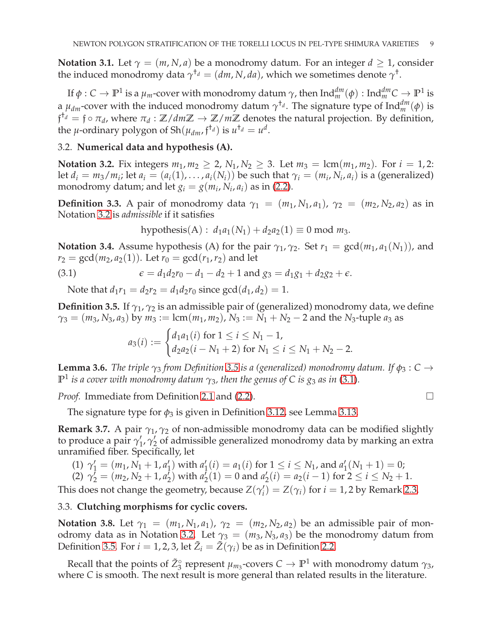**Notation 3.1.** Let  $\gamma = (m, N, a)$  be a monodromy datum. For an integer  $d > 1$ , consider the induced monodromy data  $\gamma^{\dagger_d} = (dm, N, da)$ , which we sometimes denote  $\gamma^{\dagger}$ .

If  $\phi: C \to \mathbb{P}^1$  is a  $\mu_m$ -cover with monodromy datum  $\gamma$ , then  $\mathrm{Ind}_m^{dm}(\phi): \mathrm{Ind}_m^{dm}C \to \mathbb{P}^1$  is a  $\mu_{dm}$ -cover with the induced monodromy datum  $\gamma^{t_d}$ . The signature type of Ind $_m^{dm}(\phi)$  is  $f^{\dagger_d} = f \circ \pi_d$ , where  $\pi_d : \mathbb{Z}/dm\mathbb{Z} \to \mathbb{Z}/m\mathbb{Z}$  denotes the natural projection. By definition, the  $\mu$ -ordinary polygon of Sh $(\mu_{dm}, \mathfrak{f}^{\dagger_d})$  is  $u^{\dagger_d} = u^d$ .

# <span id="page-8-1"></span>3.2. **Numerical data and hypothesis (A).**

**Notation 3.2.** Fix integers  $m_1, m_2 \ge 2$ ,  $N_1, N_2 \ge 3$ . Let  $m_3 = \text{lcm}(m_1, m_2)$ . For  $i = 1, 2$ : let  $d_i = m_3/m_i$ ; let  $a_i = (a_i(1), \ldots, a_i(N_i))$  be such that  $\gamma_i = (m_i, N_i, a_i)$  is a (generalized) monodromy datum; and let  $g_i = g(m_i, N_i, a_i)$  as in [\(2.2\)](#page-4-1).

<span id="page-8-0"></span>**Definition 3.3.** A pair of monodromy data  $\gamma_1 = (m_1, N_1, a_1)$ ,  $\gamma_2 = (m_2, N_2, a_2)$  as in Notation [3.2](#page-8-1) is *admissible* if it satisfies

<span id="page-8-3"></span>hypothesis(A): 
$$
d_1a_1(N_1) + d_2a_2(1) \equiv 0 \mod m_3
$$
.

<span id="page-8-6"></span>**Notation 3.4.** Assume hypothesis (A) for the pair  $\gamma_1$ ,  $\gamma_2$ . Set  $r_1 = \gcd(m_1, a_1(N_1))$ , and  $r_2 = \gcd(m_2, a_2(1))$ . Let  $r_0 = \gcd(r_1, r_2)$  and let

(3.1) 
$$
\epsilon = d_1 d_2 r_0 - d_1 - d_2 + 1 \text{ and } g_3 = d_1 g_1 + d_2 g_2 + \epsilon.
$$

<span id="page-8-2"></span>Note that  $d_1r_1 = d_2r_2 = d_1d_2r_0$  since  $gcd(d_1, d_2) = 1$ .

**Definition 3.5.** If  $\gamma_1$ ,  $\gamma_2$  is an admissible pair of (generalized) monodromy data, we define  $\gamma_3 = (m_3, N_3, a_3)$  by  $m_3 := \text{lcm}(m_1, m_2)$ ,  $N_3 := N_1 + N_2 - 2$  and the  $N_3$ -tuple  $a_3$  as

$$
a_3(i) := \begin{cases} d_1a_1(i) \text{ for } 1 \leq i \leq N_1 - 1, \\ d_2a_2(i - N_1 + 2) \text{ for } N_1 \leq i \leq N_1 + N_2 - 2. \end{cases}
$$

<span id="page-8-5"></span>**Lemma 3.6.** *The triple*  $\gamma_3$  *from Definition* [3.5](#page-8-2) *is a (generalized) monodromy datum.* If  $\phi_3$ : *C* →  $\mathbb{P}^1$  *is a cover with monodromy datum*  $\gamma_3$ *, then the genus of C is g3 as in* [\(3.1\)](#page-8-3).

*Proof.* Immediate from Definition [2.1](#page-3-1) and [\(2.2\)](#page-4-1). □

<span id="page-8-7"></span>The signature type for  $\phi_3$  is given in Definition [3.12,](#page-10-0) see Lemma [3.13.](#page-10-1)

**Remark 3.7.** A pair  $\gamma_1$ ,  $\gamma_2$  of non-admissible monodromy data can be modified slightly to produce a pair  $\gamma'_1$ ,  $\gamma'_2$  of admissible generalized monodromy data by marking an extra unramified fiber. Specifically, let

(1) 
$$
\gamma'_1 = (m_1, N_1 + 1, a'_1)
$$
 with  $a'_1(i) = a_1(i)$  for  $1 \le i \le N_1$ , and  $a'_1(N_1 + 1) = 0$ ;

(2) 
$$
\gamma'_2 = (m_2, N_2 + 1, a'_2)
$$
 with  $a'_2(1) = 0$  and  $a'_2(i) = a_2(i - 1)$  for  $2 \le i \le N_2 + 1$ .

This does not change the geometry, because  $Z(\gamma_i') = Z(\gamma_i)$  for  $i = 1, 2$  by Remark [2.3.](#page-5-2)

## 3.3. **Clutching morphisms for cyclic covers.**

**Notation 3.8.** Let  $\gamma_1 = (m_1, N_1, a_1)$ ,  $\gamma_2 = (m_2, N_2, a_2)$  be an admissible pair of mon-odromy data as in Notation [3.2.](#page-8-1) Let  $\gamma_3 = (m_3, N_3, a_3)$  be the monodromy datum from Definition [3.5.](#page-8-2) For  $i = 1, 2, 3$ , let  $\tilde{Z}_i = \tilde{Z}(\gamma_i)$  be as in Definition [2.2.](#page-5-3)

<span id="page-8-4"></span>Recall that the points of  $\tilde{Z}_3^{\circ}$  represent  $\mu_{m_3}$ -covers  $C \to \mathbb{P}^1$  with monodromy datum  $\gamma_3$ , where *C* is smooth. The next result is more general than related results in the literature.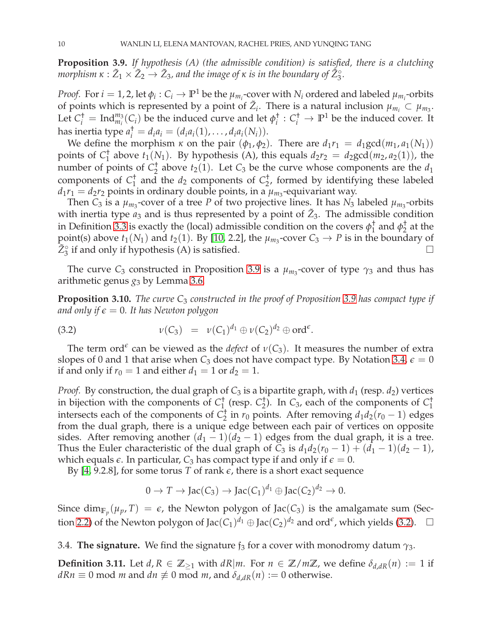**Proposition 3.9.** *If hypothesis (A) (the admissible condition) is satisfied, there is a clutching morphism*  $\kappa : \tilde{Z}_1 \times \tilde{Z}_2 \to \tilde{Z}_3$ , and the image of  $\kappa$  is in the boundary of  $\tilde{Z}_3^{\circ}$ .

*Proof.* For  $i = 1, 2$ , let  $\phi_i: C_i \to \mathbb{P}^1$  be the  $\mu_{m_i}$ -cover with  $N_i$  ordered and labeled  $\mu_{m_i}$ -orbits of points which is represented by a point of  $\tilde{Z}_i$ . There is a natural inclusion  $\mu_{m_i} \subset \mu_{m_3}$ . Let  $C_i^{\dagger}$  = Ind $_{m_i}^{m_3}(C_i)$  be the induced curve and let  $\phi_i^{\dagger}$  $C_i^{\dagger}$  :  $C_i^{\dagger}$   $\rightarrow$   $\mathbb{P}^1$  be the induced cover. It has inertia type  $a_i^{\dagger} = d_i a_i = (d_i a_i(1), \ldots, d_i a_i(N_i)).$ 

We define the morphism  $\kappa$  on the pair  $(\phi_1, \phi_2)$ . There are  $d_1r_1 = d_1 \text{gcd}(m_1, a_1(N_1))$ points of *C* †  $_1^{\dagger}$  above  $t_1(N_1)$ . By hypothesis (A), this equals  $d_2r_2 = d_2 \gcd(m_2, a_2(1))$ , the number of points of *C* †  $\frac{1}{2}$  above  $t_2(1)$ . Let  $C_3$  be the curve whose components are the  $d_1$ components of *C* †  $_1^{\dagger}$  and the  $d_2$  components of  $C_2^{\dagger}$  $_{2}^{T}$ , formed by identifying these labeled  $d_1r_1 = d_2r_2$  points in ordinary double points, in a  $\mu_{m_3}$ -equivariant way.

Then  $C_3$  is a  $\mu_{m_3}$ -cover of a tree  $P$  of two projective lines. It has  $N_3$  labeled  $\mu_{m_3}$ -orbits with inertia type  $a_3$  and is thus represented by a point of  $\tilde{Z}_3$ . The admissible condition in Definition [3.3](#page-8-0) is exactly the (local) admissible condition on the covers  $\phi_1^\dagger$  $\frac{1}{1}$  and  $\phi_2^{\dagger}$  $\frac{1}{2}$  at the point(s) above  $t_1(N_1)$  and  $t_2(1)$ . By [\[10,](#page-31-22) 2.2], the  $\mu_{m_3}$ -cover  $C_3 \rightarrow P$  is in the boundary of  $\tilde{Z}_3^{\circ}$  if and only if hypothesis (A) is satisfied.

<span id="page-9-1"></span>The curve  $C_3$  constructed in Proposition [3.9](#page-8-4) is a  $\mu_{m_3}$ -cover of type  $\gamma_3$  and thus has arithmetic genus  $g_3$  by Lemma [3.6.](#page-8-5)

**Proposition 3.10.** *The curve C*<sup>3</sup> *constructed in the proof of Proposition [3.9](#page-8-4) has compact type if and only if*  $\epsilon = 0$ . It has Newton polygon

<span id="page-9-0"></span>(3.2) 
$$
\nu(C_3) = \nu(C_1)^{d_1} \oplus \nu(C_2)^{d_2} \oplus \text{ord}^{\epsilon}.
$$

The term ord<sup> $\epsilon$ </sup> can be viewed as the *defect* of  $\nu(C_3)$ . It measures the number of extra slopes of 0 and 1 that arise when  $C_3$  does not have compact type. By Notation [3.4,](#page-8-6)  $\epsilon = 0$ if and only if  $r_0 = 1$  and either  $d_1 = 1$  or  $d_2 = 1$ .

*Proof.* By construction, the dual graph of  $C_3$  is a bipartite graph, with  $d_1$  (resp.  $d_2$ ) vertices in bijection with the components of *C* †  $1 \atop 1}^{\dagger}$  (resp.  $C_2^{\dagger}$  $\frac{1}{2}$ ). In *C*<sub>3</sub>, each of the components of *C*<sup> $\dagger$ </sup><sub>1</sub> 1 intersects each of the components of *C* †  $\frac{1}{2}$  in  $r_0$  points. After removing  $d_1d_2(r_0-1)$  edges from the dual graph, there is a unique edge between each pair of vertices on opposite sides. After removing another  $(d_1 - 1)(d_2 - 1)$  edges from the dual graph, it is a tree. Thus the Euler characteristic of the dual graph of  $C_3$  is  $d_1d_2(r_0 - 1) + (d_1 - 1)(d_2 - 1)$ , which equals  $\epsilon$ . In particular,  $C_3$  has compact type if and only if  $\epsilon = 0$ .

By  $[4, 9.2.8]$  $[4, 9.2.8]$ , for some torus *T* of rank  $\epsilon$ , there is a short exact sequence

$$
0 \to T \to \text{Jac}(C_3) \to \text{Jac}(C_1)^{d_1} \oplus \text{Jac}(C_2)^{d_2} \to 0.
$$

Since  $\dim_{\mathbb{F}_p} (\mu_p, T) = \epsilon$ , the Newton polygon of Jac(C<sub>3</sub>) is the amalgamate sum (Sec-tion [2.2\)](#page-3-2) of the Newton polygon of Jac $(C_1)^{d_1} \oplus \text{Jac}(C_2)^{d_2}$  and ord<sup> $\epsilon$ </sup>, which yields [\(3.2\)](#page-9-0).  $\Box$ 

<span id="page-9-2"></span>3.4. **The signature.** We find the signature  $f_3$  for a cover with monodromy datum  $\gamma_3$ .

**Definition 3.11.** Let *d*,  $R \in \mathbb{Z}_{\geq 1}$  with *dR|m*. For  $n \in \mathbb{Z}/m\mathbb{Z}$ , we define  $\delta_{d,dR}(n) := 1$  if *dRn* ≡ 0 mod *m* and *dn*  $\neq$  0 mod *m*, and  $\delta_{d,dR}(n) := 0$  otherwise.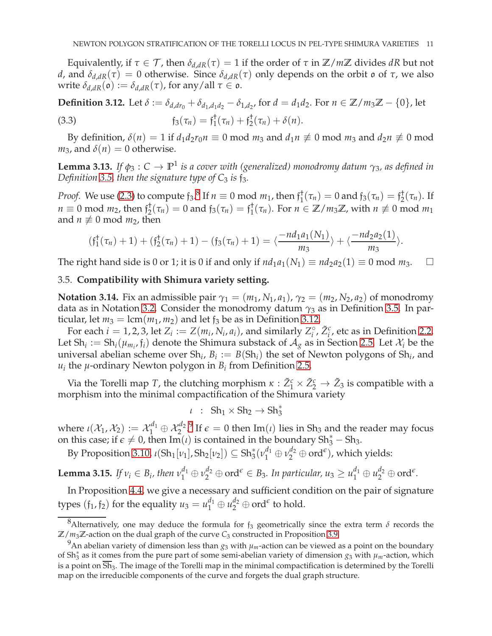Equivalently, if  $\tau \in \mathcal{T}$ , then  $\delta_{d,dR}(\tau) = 1$  if the order of  $\tau$  in  $\mathbb{Z}/m\mathbb{Z}$  divides *dR* but not *d*, and  $\delta_{d,dR}(\tau) = 0$  otherwise. Since  $\delta_{d,dR}(\tau)$  only depends on the orbit ο of *τ*, we also write  $\delta_{d,dR}(\mathfrak{o}) := \delta_{d,dR}(\tau)$ , for any/all  $\tau \in \mathfrak{o}$ .

<span id="page-10-5"></span><span id="page-10-0"></span>**Definition 3.12.** Let *δ* := *δ*<sub>*d*,*dr*<sub>0</sub></sub> + *δ*<sub>*d*<sub>1</sub>,*d*<sub>1</sub>*d*<sub>2</sub> − *δ*<sub>1,*d*<sub>2</sub></sub>, for *d* = *d*<sub>1</sub>*d*<sub>2</sub>. For *n* ∈ **Z**/*m*<sub>3</sub>**Z** − {0}, let</sub>  $f_3(\tau_n) = f_1^{\dagger}$  $j_{1}^{\dagger}(\tau_{n}) + \mathfrak{f}_{2}^{\dagger}$ (3.3)  $f_3(\tau_n) = f_1^{\tau}(\tau_n) + f_2^{\tau}(\tau_n) + \delta(n).$ 

<span id="page-10-1"></span>By definition,  $\delta(n) = 1$  if  $d_1 d_2 r_0 n \equiv 0 \text{ mod } m_3$  and  $d_1 n \not\equiv 0 \text{ mod } m_3$  and  $d_2 n \not\equiv 0 \text{ mod } m_3$  $m_3$ , and  $\delta(n) = 0$  otherwise.

**Lemma 3.13.** *If*  $\phi_3$  :  $C \to \mathbb{P}^1$  *is a cover with (generalized) monodromy datum*  $\gamma_3$ *, as defined in Definition* [3.5,](#page-8-2) then the signature type of  $C_3$  is  $\frac{1}{13}$ .

*Proof.* We use [\(2.3\)](#page-4-0) to compute  $f_3$ .<sup>[8](#page-10-2)</sup> If  $n \equiv 0 \text{ mod } m_1$ , then  $f_1^{\dagger}$  $f_1^{\dagger}(\tau_n) = 0$  and  $f_3(\tau_n) = f_2^{\dagger}$  $i_2^{\dagger}(\tau_n)$ . If  $n \equiv 0 \mod m_2$ , then  $f_2^+$  $f_2^{\dagger}(\tau_n) = 0$  and  $f_3(\tau_n) = f_1^{\dagger}$  $_{1}^{\dagger}(\tau_{n})$ . For  $n \in \mathbb{Z}/m_{3}\mathbb{Z}$ , with  $n \not\equiv 0 \mod m_{1}$ and  $n \not\equiv 0 \mod m_2$ , then

$$
(\mathfrak{f}_1^{\dagger}(\tau_n)+1)+(\mathfrak{f}_2^{\dagger}(\tau_n)+1)-(\mathfrak{f}_3(\tau_n)+1)=\langle \frac{-nd_1a_1(N_1)}{m_3}\rangle+\langle \frac{-nd_2a_2(1)}{m_3}\rangle.
$$

The right hand side is 0 or 1; it is 0 if and only if  $nd_1a_1(N_1) \equiv nd_2a_2(1) \equiv 0 \mod m_3$ .  $\Box$ 

## <span id="page-10-4"></span>3.5. **Compatibility with Shimura variety setting.**

**Notation 3.14.** Fix an admissible pair  $\gamma_1 = (m_1, N_1, a_1)$ ,  $\gamma_2 = (m_2, N_2, a_2)$  of monodromy data as in Notation [3.2.](#page-8-1) Consider the monodromy datum  $\gamma_3$  as in Definition [3.5.](#page-8-2) In particular, let  $m_3 = \text{lcm}(m_1, m_2)$  and let  $f_3$  be as in Definition [3.12.](#page-10-0)

For each  $i = 1, 2, 3$ , let  $Z_i := Z(m_i, N_i, a_i)$ , and similarly  $Z_i^{\circ}$ ,  $\tilde{Z}_i^c$ , etc as in Definition [2.2.](#page-5-3) Let  $\text{Sh}_i := \text{Sh}_i(\mu_{m_i}, \mathfrak{f}_i)$  denote the Shimura substack of  $\mathcal{A}_g$  as in Section [2.5.](#page-5-4) Let  $\mathcal{X}_i$  be the universal abelian scheme over  $\text{Sh}_i$ ,  $B_i := B(\text{Sh}_i)$  the set of Newton polygons of  $\text{Sh}_i$ , and  $u_i$  the  $\mu$ -ordinary Newton polygon in  $B_i$  from Definition [2.5.](#page-6-0)

Via the Torelli map *T*, the clutching morphism  $\kappa$  :  $\tilde{Z}_1^c \times \tilde{Z}_2^c \rightarrow \tilde{Z}_3$  is compatible with a morphism into the minimal compactification of the Shimura variety

$$
\iota \; : \; Sh_1 \times Sh_2 \to Sh_3^*
$$

where  $\iota(\mathcal{X}_1, \mathcal{X}_2) := \mathcal{X}_1^{d_1} \oplus \mathcal{X}_2^{d_2}$ . If  $\epsilon = 0$  then Im(*ι*) lies in Sh<sub>3</sub> and the reader may focus on this case; if  $\epsilon \neq 0$ , then Im(*ι*) is contained in the boundary Sh<sub>3</sub><sup>\*</sup> – Sh<sub>3</sub>.

By Proposition [3.10,](#page-9-1)  $\iota(\mathrm{Sh}_1[\nu_1], \mathrm{Sh}_2[\nu_2]) \subseteq \mathrm{Sh}_3^*(\nu_1^{d_1} \oplus \nu_2^{d_2} \oplus \mathrm{ord}^\epsilon)$ , which yields:

**Lemma 3.15.** If  $v_i \in B_i$ , then  $v_1^{d_1} \oplus v_2^{d_2} \oplus \text{ord}^{\epsilon} \in B_3$ . In particular,  $u_3 \geq u_1^{d_1} \oplus u_2^{d_2} \oplus \text{ord}^{\epsilon}$ .

In Proposition [4.4,](#page-11-3) we give a necessary and sufficient condition on the pair of signature types  $(f_1, f_2)$  for the equality  $u_3 = u_1^{d_1} \oplus u_2^{d_2} \oplus \text{ord}^{\epsilon}$  to hold.

<span id="page-10-2"></span> $8$ Alternatively, one may deduce the formula for  $f_3$  geometrically since the extra term  $\delta$  records the  $\mathbb{Z}/m_3\mathbb{Z}$ -action on the dual graph of the curve  $C_3$  constructed in Proposition [3.9.](#page-8-4)

<span id="page-10-3"></span><sup>&</sup>lt;sup>9</sup>An abelian variety of dimension less than  $g_3$  with  $\mu_m$ -action can be viewed as a point on the boundary of Sh∗ <sup>3</sup> as it comes from the pure part of some semi-abelian variety of dimension *g*<sup>3</sup> with *µm*-action, which is a point on  $\overline{Sh}_3$ . The image of the Torelli map in the minimal compactification is determined by the Torelli map on the irreducible components of the curve and forgets the dual graph structure.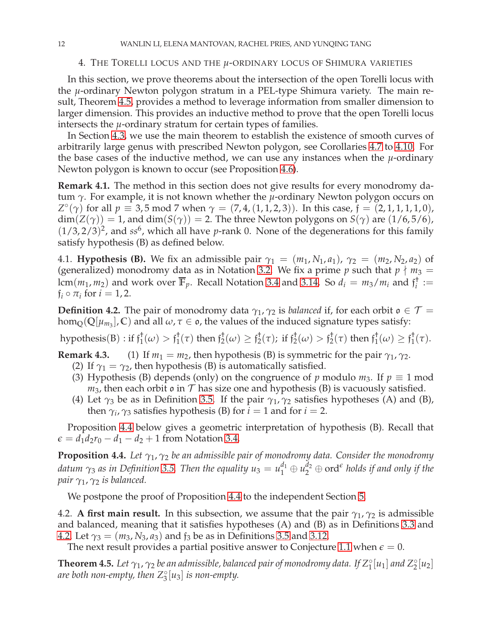<span id="page-11-2"></span>4. THE TORELLI LOCUS AND THE *µ*-ORDINARY LOCUS OF SHIMURA VARIETIES

In this section, we prove theorems about the intersection of the open Torelli locus with the *µ*-ordinary Newton polygon stratum in a PEL-type Shimura variety. The main result, Theorem [4.5,](#page-11-1) provides a method to leverage information from smaller dimension to larger dimension. This provides an inductive method to prove that the open Torelli locus intersects the *µ*-ordinary stratum for certain types of families.

In Section [4.3,](#page-12-0) we use the main theorem to establish the existence of smooth curves of arbitrarily large genus with prescribed Newton polygon, see Corollaries [4.7](#page-12-2) to [4.10.](#page-13-1) For the base cases of the inductive method, we can use any instances when the  $\mu$ -ordinary Newton polygon is known to occur (see Proposition [4.6\)](#page-12-1).

**Remark 4.1.** The method in this section does not give results for every monodromy datum *γ*. For example, it is not known whether the *µ*-ordinary Newton polygon occurs on *Z*<sup>o</sup>(γ) for all *p* = 3,5 mod 7 when  $\gamma$  = (7, 4, (1, 1, 2, 3)). In this case,  $f = (2, 1, 1, 1, 1, 0)$ ,  $dim(Z(\gamma)) = 1$ , and  $dim(S(\gamma)) = 2$ . The three Newton polygons on  $S(\gamma)$  are  $(1/6, 5/6)$ ,  $(1/3, 2/3)^2$ , and ss<sup>6</sup>, which all have *p*-rank 0. None of the degenerations for this family satisfy hypothesis (B) as defined below.

4.1. **Hypothesis (B).** We fix an admissible pair  $\gamma_1 = (m_1, N_1, a_1)$ ,  $\gamma_2 = (m_2, N_2, a_2)$  of (generalized) monodromy data as in Notation [3.2.](#page-8-1) We fix a prime *p* such that  $p \nmid m_3 =$  $lcm(m_1, m_2)$  and work over  $\overline{\mathbb{F}}_p$ . Recall Notation [3.4](#page-8-6) and [3.14.](#page-10-4) So  $d_i = m_3/m_i$  and  $\mathfrak{f}_i^{\dagger}$  $i^{\dagger} :=$  $f_i \circ \pi_i$  for  $i = 1, 2$ .

<span id="page-11-0"></span>**Definition 4.2.** The pair of monodromy data  $\gamma_1$ ,  $\gamma_2$  is *balanced* if, for each orbit  $o \in \mathcal{T}$  =  $\hom_\mathbb{Q}(\mathbb{Q}[\mu_{m_3}], \mathbb{C})$  and all  $\omega, \tau \in \mathfrak{o}$ , the values of the induced signature types satisfy:

hypothesis(B) : if  $\mathfrak{f}_1^\dagger$  $f_1^{\dagger}(\omega) > f_1^{\dagger}$  $j_1^{\dagger}(\tau)$  then  $\mathfrak{f}_2^{\dagger}$  $j_2^{\dagger}(\omega) \geq \mathfrak{f}_2^{\dagger}$  $_{2}^{\dagger}(\tau)$ ; if  $\mathfrak{f}_{2}^{\dagger}$  $j_2^{\dagger}(\omega) > \mathfrak{f}_2^{\dagger}$  $2^{\dagger}(\tau)$  then  $\mathfrak{f}_{1}^{\dagger}$  $f_1^{\dagger}(\omega) \geq f_1^{\dagger}$  $i_{1}^{\tau}(\tau).$ 

**Remark 4.3.** (1) If  $m_1 = m_2$ , then hypothesis (B) is symmetric for the pair  $\gamma_1$ ,  $\gamma_2$ .

- (2) If  $\gamma_1 = \gamma_2$ , then hypothesis (B) is automatically satisfied.
- (3) Hypothesis (B) depends (only) on the congruence of  $p$  modulo  $m_3$ . If  $p \equiv 1 \text{ mod } 1$  $m_3$ , then each orbit  $\mathfrak o$  in  $\mathcal T$  has size one and hypothesis (B) is vacuously satisfied.
- (4) Let  $\gamma_3$  be as in Definition [3.5.](#page-8-2) If the pair  $\gamma_1$ ,  $\gamma_2$  satisfies hypotheses (A) and (B), then  $\gamma_i$ ,  $\gamma_3$  satisfies hypothesis (B) for  $i = 1$  and for  $i = 2$ .

<span id="page-11-3"></span>Proposition [4.4](#page-11-3) below gives a geometric interpretation of hypothesis (B). Recall that  $\epsilon = d_1 d_2 r_0 - d_1 - d_2 + 1$  from Notation [3.4.](#page-8-6)

**Proposition 4.4.** *Let γ*1, *γ*<sup>2</sup> *be an admissible pair of monodromy data. Consider the monodromy datum*  $\gamma_3$  *as in Definition [3.5.](#page-8-2) Then the equality*  $u_3=u_1^{d_1}\oplus u_2^{d_2}\oplus \mathrm{ord}^\epsilon$  *holds if and only if the pair γ*1, *γ*<sup>2</sup> *is balanced.*

We postpone the proof of Proposition [4.4](#page-11-3) to the independent Section [5.](#page-14-0)

4.2. **A first main result.** In this subsection, we assume that the pair  $\gamma_1$ ,  $\gamma_2$  is admissible and balanced, meaning that it satisfies hypotheses (A) and (B) as in Definitions [3.3](#page-8-0) and [4.2.](#page-11-0) Let  $\gamma_3 = (m_3, N_3, a_3)$  and  $f_3$  be as in Definitions [3.5](#page-8-2) and [3.12.](#page-10-0)

<span id="page-11-1"></span>The next result provides a partial positive answer to Conjecture [1.1](#page-1-0) when  $\epsilon = 0$ .

**Theorem 4.5.** Let  $\gamma_1$ ,  $\gamma_2$  be an admissible, balanced pair of monodromy data. If  $Z_1^{\circ}[u_1]$  and  $Z_2^{\circ}[u_2]$ *are both non-empty, then Z*◦ 3 [*u*3] *is non-empty.*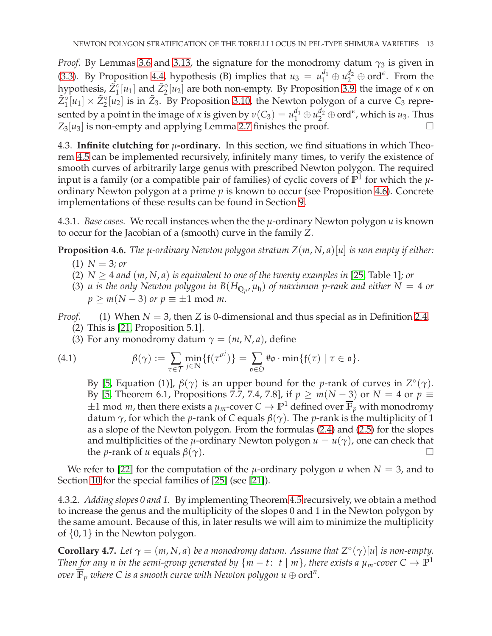*Proof.* By Lemmas [3.6](#page-8-5) and [3.13,](#page-10-1) the signature for the monodromy datum  $\gamma_3$  is given in [\(3.3\)](#page-10-5). By Proposition [4.4,](#page-11-3) hypothesis (B) implies that  $u_3 = u_1^{d_1} \oplus u_2^{d_2} \oplus \text{ord}^{\epsilon}$ . From the hypothesis,  $\tilde{Z}_1^{\circ}[u_1]$  and  $\tilde{Z}_2^{\circ}[u_2]$  are both non-empty. By Proposition [3.9,](#page-8-4) the image of *κ* on  $\tilde{Z}_1^{\circ}[u_1] \times \tilde{Z}_2^{\circ}[u_2]$  is in  $\tilde{Z}_3$ . By Proposition [3.10,](#page-9-1) the Newton polygon of a curve  $C_3$  represented by a point in the image of *κ* is given by  $\nu(C_3) = u_1^{d_1} \oplus u_2^{d_2} \oplus \text{ord}^{\epsilon}$ , which is  $u_3$ . Thus  $Z_3[u_3]$  is non-empty and applying Lemma [2.7](#page-7-2) finishes the proof.

<span id="page-12-0"></span>4.3. **Infinite clutching for** *µ***-ordinary.** In this section, we find situations in which Theorem [4.5](#page-11-1) can be implemented recursively, infinitely many times, to verify the existence of smooth curves of arbitrarily large genus with prescribed Newton polygon. The required input is a family (or a compatible pair of families) of cyclic covers of  $\mathbb{P}^1$  for which the  $\mu$ ordinary Newton polygon at a prime *p* is known to occur (see Proposition [4.6\)](#page-12-1). Concrete implementations of these results can be found in Section [9.](#page-26-0)

<span id="page-12-1"></span>4.3.1. *Base cases.* We recall instances when the the *µ*-ordinary Newton polygon *u* is known to occur for the Jacobian of a (smooth) curve in the family *Z*.

**Proposition 4.6.** *The µ-ordinary Newton polygon stratum Z*(*m*, *N*, *a*)[*u*] *is non empty if either:*

- $(1)$  *N* = 3*; or*
- (2)  $N \geq 4$  *and*  $(m, N, a)$  *is equivalent to one of the twenty examples in* [\[25,](#page-31-0) Table 1]*; or*
- (3) *u* is the only Newton polygon in  $B(H_{\mathbb{Q}_p}, \mu_{\mathfrak{h}})$  of maximum p-rank and either  $N=4$  or  $p \ge m(N-3)$  *or*  $p \equiv \pm 1 \mod m$ .

*Proof.* (1) When *N* = 3, then *Z* is 0-dimensional and thus special as in Definition [2.4.](#page-5-5) (2) This is [\[21,](#page-31-10) Proposition 5.1].

(3) For any monodromy datum  $\gamma = (m, N, a)$ , define

(4.1) 
$$
\beta(\gamma) := \sum_{\tau \in \mathcal{T}} \min_{j \in \mathbb{N}} \{f(\tau^{\sigma^j})\} = \sum_{\mathfrak{o} \in \mathfrak{O}} \# \mathfrak{o} \cdot \min \{f(\tau) \mid \tau \in \mathfrak{o}\}.
$$

By [\[5,](#page-31-5) Equation (1)],  $β(γ)$  is an upper bound for the *p*-rank of curves in  $Z^{\circ}(γ)$ . By [\[5,](#page-31-5) Theorem 6.1, Propositions 7.7, 7.4, 7.8], if  $p \ge m(N-3)$  or  $N = 4$  or  $p \equiv$  $\pm 1$  mod *m*, then there exists a  $\mu_m$ -cover  $C \to \mathbb{P}^1$  defined over  $\overline{\mathbb{F}}_p$  with monodromy datum *γ*, for which the *p*-rank of *C* equals *β*(*γ*). The *p*-rank is the multiplicity of 1 as a slope of the Newton polygon. From the formulas [\(2.4\)](#page-6-2) and [\(2.5\)](#page-6-3) for the slopes and multiplicities of the *µ*-ordinary Newton polygon  $u = u(\gamma)$ , one can check that the *p*-rank of *u* equals  $\beta(\gamma)$ .

We refer to [\[22\]](#page-31-14) for the computation of the  $\mu$ -ordinary polygon  $u$  when  $N = 3$ , and to Section [10](#page-29-0) for the special families of [\[25\]](#page-31-0) (see [\[21\]](#page-31-10)).

4.3.2. *Adding slopes 0 and 1.* By implementing Theorem [4.5](#page-11-1) recursively, we obtain a method to increase the genus and the multiplicity of the slopes 0 and 1 in the Newton polygon by the same amount. Because of this, in later results we will aim to minimize the multiplicity of  $\{0,1\}$  in the Newton polygon.

<span id="page-12-2"></span>**Corollary 4.7.** Let  $\gamma = (m, N, a)$  be a monodromy datum. Assume that  $Z^{\circ}(\gamma)[u]$  is non-empty. *Then* for any n in the semi-group generated by  $\{m-t:~t\mid m\}$ , there exists a  $\mu_m$ -cover  $C\to \mathbb{P}^1$  $\overline{\mathbb{F}}_p$  where C is a smooth curve with Newton polygon  $u\oplus \text{ord}^n.$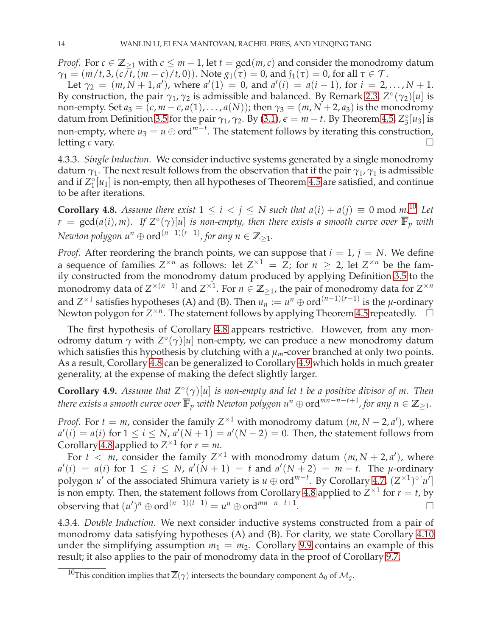*Proof.* For  $c \in \mathbb{Z}_{\geq 1}$  with  $c \leq m-1$ , let  $t = \gcd(m, c)$  and consider the monodromy datum *γ*<sub>1</sub> =  $(m/t, 3, (c/t, (m-c)/t, 0))$ . Note  $g_1(\tau) = 0$ , and  $f_1(\tau) = 0$ , for all  $\tau \in \mathcal{T}$ .

Let  $\gamma_2 = (m, N + 1, a')$ , where  $a'(1) = 0$ , and  $a'(i) = a(i - 1)$ , for  $i = 2, ..., N + 1$ . By construction, the pair  $\gamma_1$ ,  $\gamma_2$  is admissible and balanced. By Remark [2.3,](#page-5-2)  $Z^{\circ}(\gamma_2)[u]$  is non-empty. Set  $a_3 = (c, m - c, a(1), \ldots, a(N))$ ; then  $\gamma_3 = (m, N + 2, a_3)$  is the monodromy datum from Definition [3.5](#page-8-2) for the pair  $\gamma_1$ ,  $\gamma_2$ . By [\(3.1\)](#page-8-3),  $\epsilon = m - t$ . By Theorem [4.5,](#page-11-1)  $Z_3^{\circ}[u_3]$  is non-empty, where  $u_3 = u \oplus \text{ord}^{m-t}$ . The statement follows by iterating this construction, letting *c* vary. □

4.3.3. *Single Induction.* We consider inductive systems generated by a single monodromy datum  $\gamma_1$ . The next result follows from the observation that if the pair  $\gamma_1$ ,  $\gamma_1$  is admissible and if  $Z_1^{\circ}[u_1]$  is non-empty, then all hypotheses of Theorem [4.5](#page-11-1) are satisfied, and continue to be after iterations.

<span id="page-13-3"></span>**Corollary 4.8.** *Assume there exist*  $1 \le i \le j \le N$  *such that*  $a(i) + a(j) \equiv 0 \mod m$ .<sup>[10](#page-13-2)</sup> Let  $r = \gcd(a(i), m)$ . If  $Z^{\circ}(\gamma)[u]$  is non-empty, then there exists a smooth curve over  $\overline{\mathbb{F}}_p$  with *Newton polygon*  $u^n \oplus ord^{(n-1)(r-1)}$ , for any  $n \in \mathbb{Z}_{\geq 1}$ .

*Proof.* After reordering the branch points, we can suppose that  $i = 1$ ,  $j = N$ . We define a sequence of families  $Z^{\times n}$  as follows: let  $Z^{\times 1} = Z$ ; for  $n \ge 2$ , let  $Z^{\times n}$  be the family constructed from the monodromy datum produced by applying Definition [3.5](#page-8-2) to the monodromy data of  $Z^{\times (n-1)}$  and  $Z^{\times 1}$ . For  $n \in \mathbb{Z}_{\geq 1}$ , the pair of monodromy data for  $Z^{\times n}$ and *Z*<sup>×1</sup> satisfies hypotheses (A) and (B). Then  $u_n := u^n \oplus \text{ord}^{(n-1)(r-1)}$  is the *µ*-ordinary Newton polygon for  $Z^{\times n}$ . The statement follows by applying Theorem [4.5](#page-11-1) repeatedly.  $\Box$ 

The first hypothesis of Corollary [4.8](#page-13-3) appears restrictive. However, from any monodromy datum *γ* with *Z* ◦ (*γ*)[*u*] non-empty, we can produce a new monodromy datum which satisfies this hypothesis by clutching with a  $\mu_m$ -cover branched at only two points. As a result, Corollary [4.8](#page-13-3) can be generalized to Corollary [4.9](#page-13-0) which holds in much greater generality, at the expense of making the defect slightly larger.

<span id="page-13-0"></span>**Corollary 4.9.** *Assume that Z*◦ (*γ*)[*u*] *is non-empty and let t be a positive divisor of m. Then there exists a smooth curve over*  $\overline{\mathbb{F}}_p$  *with Newton polygon*  $u^n \oplus \mathrm{ord}^{mn-n-t+1}$ *, for any*  $n \in \mathbb{Z}_{\geq 1}.$ 

*Proof.* For  $t = m$ , consider the family  $Z^{\times 1}$  with monodromy datum  $(m, N + 2, a')$ , where  $a'(i) = a(i)$  for  $1 \le i \le N$ ,  $a'(N+1) = a'(N+2) = 0$ . Then, the statement follows from Corollary [4.8](#page-13-3) applied to  $Z^{\times 1}$  for  $r = m$ .

For  $t < m$ , consider the family  $Z^{\times 1}$  with monodromy datum  $(m, N + 2, a')$ , where  $a'(i) = a(i)$  for  $1 \le i \le N$ ,  $a'(N+1) = t$  and  $a'(N+2) = m - t$ . The *µ*-ordinary polygon *u'* of the associated Shimura variety is  $u \oplus \text{ord}^{m-t}$ . By Corollary [4.7,](#page-12-2)  $(Z^{\times 1})^{\circ}[u']$ is non empty. Then, the statement follows from Corollary [4.8](#page-13-3) applied to  $Z^{\times 1}$  for  $r=t$ , by observing that  $(u')^n \oplus \text{ord}^{(n-1)(t-1)} = u^n \oplus \text{ord}^{mn-n-t+1}$ . В последните поставите на примерение в поставите на примерение в поставите на примерение в собита на примере<br>В поставите на примерение в поставите на примерение в поставите на примерение в поставите на примерение в пост

4.3.4. *Double Induction.* We next consider inductive systems constructed from a pair of monodromy data satisfying hypotheses (A) and (B). For clarity, we state Corollary [4.10](#page-13-1) under the simplifying assumption  $m_1 = m_2$ . Corollary [9.9](#page-28-0) contains an example of this result; it also applies to the pair of monodromy data in the proof of Corollary [9.7.](#page-28-1)

<span id="page-13-2"></span><span id="page-13-1"></span> $^{10}\text{This condition implies that }\overline{Z}(\gamma)$  intersects the boundary component  $\Delta_{0}$  of  $\mathcal{M}_{g}.$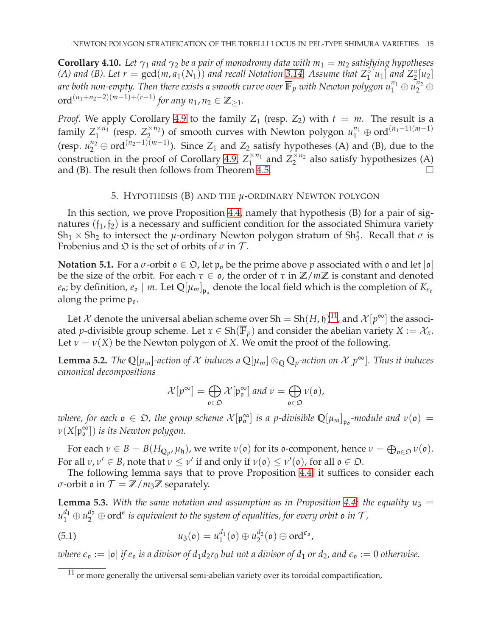**Corollary 4.10.** Let  $\gamma_1$  and  $\gamma_2$  be a pair of monodromy data with  $m_1 = m_2$  satisfying hypotheses *(A)* and *(B).* Let  $r = \gcd(m, a_1(N_1))$  and recall Notation [3.14.](#page-10-4) Assume that  $Z_1^{\circ}[u_1]$  and  $Z_2^{\circ}[u_2]$ are both non-empty. Then there exists a smooth curve over  $\overline{\mathbb{F}}_p$  with Newton polygon  $u_1^{n_1}\oplus u_2^{n_2}\oplus$  $\text{ord}^{(n_1+n_2-2)(m-1)+(r-1)}$  *for any*  $n_1, n_2 \in \mathbb{Z}_{\geq 1}$ *.* 

*Proof.* We apply Corollary [4.9](#page-13-0) to the family  $Z_1$  (resp.  $Z_2$ ) with  $t = m$ . The result is a family  $Z_1^{\times n_1}$  (resp.  $Z_2^{\times n_2}$ ) of smooth curves with Newton polygon  $u_1^{n_1} \oplus \text{ord}^{(n_1-1)(m-1)}$  $1 \quad \text{(resp. } 2$ (resp.  $u_2^{n_2} \oplus \text{ord}^{(n_2-1)(m-1)}$ ). Since  $Z_1$  and  $Z_2$  satisfy hypotheses (A) and (B), due to the construction in the proof of Corollary [4.9,](#page-13-0)  $Z_1^{\times n_1}$  and  $Z_2^{\times n_2}$  also satisfy hypothesizes (A) and (B). The result then follows from Theorem [4.5.](#page-11-1)

## 5. HYPOTHESIS (B) AND THE *µ*-ORDINARY NEWTON POLYGON

<span id="page-14-0"></span>In this section, we prove Proposition [4.4,](#page-11-3) namely that hypothesis (B) for a pair of signatures  $(f_1, f_2)$  is a necessary and sufficient condition for the associated Shimura variety  $Sh_1 \times Sh_2$  to intersect the *µ*-ordinary Newton polygon stratum of  $Sh_3^*$ . Recall that  $\sigma$  is Frobenius and  $\mathfrak D$  is the set of orbits of  $\sigma$  in  $\mathcal T$ .

**Notation 5.1.** For a  $\sigma$ -orbit  $\rho \in \mathcal{D}$ , let  $\mathfrak{p}_0$  be the prime above  $p$  associated with  $\rho$  and let  $|\rho|$ be the size of the orbit. For each  $\tau \in \mathfrak{o}$ , the order of  $\tau$  in  $\mathbb{Z}/m\mathbb{Z}$  is constant and denoted  $e_o$ ; by definition,  $e_o \mid m$ . Let  $\mathbb{Q}[\mu_m]_{\mathfrak{p}_o}$  denote the local field which is the completion of  $K_{e_o}$ along the prime  $p_0$ .

Let X denote the universal abelian scheme over  $Sh = Sh(H, \mathfrak{h})^{11}$  $Sh = Sh(H, \mathfrak{h})^{11}$  $Sh = Sh(H, \mathfrak{h})^{11}$ , and  $\mathcal{X}[p^{\infty}]$  the associated *p*-divisible group scheme. Let  $x \in Sh(\overline{\mathbb{F}}_p)$  and consider the abelian variety  $X := \mathcal{X}_x$ . Let  $v = v(X)$  be the Newton polygon of *X*. We omit the proof of the following.

<span id="page-14-2"></span>**Lemma 5.2.** *The*  $\mathbb{Q}[\mu_m]$ -action of X induces a  $\mathbb{Q}[\mu_m] \otimes_{\mathbb{Q}} \mathbb{Q}_p$ -action on  $\mathcal{X}[p^{\infty}]$ . *Thus it induces canonical decompositions*

$$
\mathcal{X}[p^{\infty}] = \bigoplus_{\mathfrak{o} \in \mathfrak{O}} \mathcal{X}[\mathfrak{p}_{\mathfrak{o}}^{\infty}] \text{ and } \nu = \bigoplus_{\mathfrak{o} \in \mathfrak{O}} \nu(\mathfrak{o}),
$$

where, for each  $\mathfrak{o} \in \mathfrak{O}$ , the group scheme  $\mathcal{X}[\mathfrak{p}_{\mathfrak{0}}^{\infty}]$  $\int_{0}^{\infty}$  *is a p-divisible*  $\mathbb{Q}[\mu_m]_{\mathfrak{p}_o}$ *-module and*  $\nu(\mathfrak{o}) =$ *ν*(*X*[p ∞ o ]) *is its Newton polygon.*

For each  $\nu \in B = B(H_{\mathbb{Q}_p}, \mu_{\mathfrak{h}})$ , we write  $\nu(\mathfrak{o})$  for its  $\mathfrak{o}$ -component, hence  $\nu = \bigoplus_{\mathfrak{o} \in \mathfrak{O}} \nu(\mathfrak{o})$ . For all  $\nu, \nu' \in B$ , note that  $\nu \leq \nu'$  if and only if  $\nu(\mathfrak{o}) \leq \nu'(\mathfrak{o})$ , for all  $\mathfrak{o} \in \mathfrak{O}$ .

<span id="page-14-3"></span>The following lemma says that to prove Proposition [4.4,](#page-11-3) it suffices to consider each *σ*-orbit *ο* in  $T = \mathbb{Z}/m_3\mathbb{Z}$  separately.

**Lemma 5.3.** With the same notation and assumption as in Proposition [4.4:](#page-11-3) the equality  $u_3 =$  $u_1^{d_1} \oplus u_2^{d_2} \oplus \mathrm{ord}^\epsilon$  is equivalent to the system of equalities, for every orbit  $\mathfrak o$  in  $\mathcal T$  *,* 

(5.1) 
$$
u_3(\mathfrak{o}) = u_1^{d_1}(\mathfrak{o}) \oplus u_2^{d_2}(\mathfrak{o}) \oplus \mathrm{ord}^{\epsilon_{\mathfrak{o}}},
$$

*where*  $\epsilon_{\rho} := |\rho|$  *if*  $e_{\rho}$  *is a divisor of*  $d_1 d_2 r_0$  *but not a divisor of*  $d_1$  *or*  $d_2$ *, and*  $\epsilon_{\rho} := 0$  *otherwise.* 

<span id="page-14-1"></span> $11$  or more generally the universal semi-abelian variety over its toroidal compactification,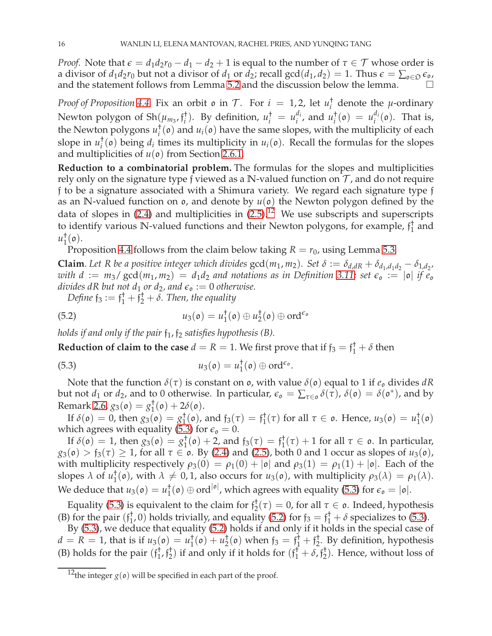*Proof.* Note that  $\epsilon = d_1d_2r_0 - d_1 - d_2 + 1$  is equal to the number of  $\tau \in \mathcal{T}$  whose order is a divisor of  $d_1d_2r_0$  but not a divisor of  $d_1$  or  $d_2$ ; recall  $gcd(d_1, d_2) = 1$ . Thus  $\epsilon = \sum_{\varphi \in \mathfrak{O}} \epsilon_{\varphi}$ , and the statement follows from Lemma [5.2](#page-14-2) and the discussion below the lemma.

*Proof of Proposition* [4.4.](#page-11-3) Fix an orbit  $\mathfrak{o}$  in  $\mathcal{T}$ . For  $i = 1, 2$ , let  $u_i^{\dagger}$  $\int_{i}^{\tau}$  denote the *µ*-ordinary Newton polygon of  $\text{Sh}(\mu_{m_3}, \mathfrak{f}_i^{\dagger})$  $\binom{1}{i}$ . By definition,  $u_i^{\dagger} = u_i^{d_i}$  $i_i^d$ , and  $u_i^{\dagger}$  $i^{\dagger}$ (**o**) =  $u_i^{d_i}$  $i_i^{u_i}(\mathfrak{o})$ . That is, the Newton polygons *u* †  $i(\mathfrak{o})$  and  $u_i(\mathfrak{o})$  have the same slopes, with the multiplicity of each slope in *u* †  $i^{\dagger}$  ( $\mathfrak{o}$ ) being  $d_i$  times its multiplicity in  $u_i(\mathfrak{o})$ . Recall the formulas for the slopes and multiplicities of  $u(\mathfrak{o})$  from Section [2.6.1.](#page-6-4)

**Reduction to a combinatorial problem.** The formulas for the slopes and multiplicities rely only on the signature type f viewed as a N-valued function on  $\mathcal T$ , and do not require f to be a signature associated with a Shimura variety. We regard each signature type f as an N-valued function on  $\mathfrak{o}$ , and denote by  $u(\mathfrak{o})$  the Newton polygon defined by the data of slopes in [\(2.4\)](#page-6-2) and multiplicities in  $(2.5)$ .<sup>[12](#page-15-0)</sup> We use subscripts and superscripts to identify various **N**-valued functions and their Newton polygons, for example, f †  $\frac{1}{1}$  and *u* †  $_{1}^{\dagger}(\mathfrak{o}).$ 

Proposition [4.4](#page-11-3) follows from the claim below taking  $R = r_0$ , using Lemma [5.3.](#page-14-3)

**Claim**. Let R be a positive integer which divides  $gcd(m_1, m_2)$ . Set  $\delta := \delta_{d,dR} + \delta_{d_1,d_1d_2} - \delta_{1,d_2d}$ *with d* :=  $m_3$  /  $gcd(m_1, m_2) = d_1d_2$  *and notations as in Definition* [3.11;](#page-9-2) *set*  $\epsilon_0 := |\mathfrak{o}|$  *if*  $\epsilon_0$ *divides dR but not d*<sub>1</sub> *or d*<sub>2</sub>*, and*  $\epsilon$ <sub>o</sub> := 0 *otherwise*.

<span id="page-15-2"></span>Define  $\mathfrak{f}_3 := \mathfrak{f}_1^{\dagger} + \mathfrak{f}_2^{\dagger} + \delta$ . Then, the equality

(5.2) 
$$
u_3(\mathfrak{o}) = u_1^{\dagger}(\mathfrak{o}) \oplus u_2^{\dagger}(\mathfrak{o}) \oplus \mathrm{ord}^{\epsilon_{\mathfrak{o}}}
$$

*holds if and only if the pair*  $f_1$ ,  $f_2$  *satisfies hypothesis (B).* 

**Reduction of claim to the case**  $d = R = 1$ . We first prove that if  $\mathfrak{f}_3 = \mathfrak{f}_1^{\dagger} + \delta$  then

<span id="page-15-1"></span>(5.3) 
$$
u_3(\mathfrak{o}) = u_1^{\dagger}(\mathfrak{o}) \oplus \mathrm{ord}^{\epsilon_{\mathfrak{o}}}.
$$

Note that the function  $\delta(\tau)$  is constant on  $\mathfrak{o}$ , with value  $\delta(\mathfrak{o})$  equal to 1 if  $e_{\mathfrak{o}}$  divides  $dR$ but not  $d_1$  or  $d_2$ , and to 0 otherwise. In particular,  $\epsilon_{\mathfrak{o}} = \sum_{\tau \in \mathfrak{o}} \delta(\tau)$ ,  $\delta(\mathfrak{o}) = \delta(\mathfrak{o}^*)$ , and by Remark [2.6,](#page-6-5) *g*3(o) = *g* †  $j_1^{\dagger}(\mathfrak{o}) + 2\delta(\mathfrak{o}).$ 

If  $\delta(\mathfrak{o}) = 0$ , then  $g_3(\mathfrak{o}) = g_1^{\dagger}$  $f_1^{\dagger}(\mathfrak{o})$ , and  $f_3(\tau) = f_1^{\dagger}$  $_1^{\dagger}$ (τ) for all *τ* ∈ **o**. Hence, *u*<sub>3</sub>(**o**) = *u*<sup>†</sup><sub>1</sub>  $\frac{1}{1}(\mathfrak{o})$ which agrees with equality [\(5.3\)](#page-15-1) for  $\epsilon_{\text{o}} = 0$ .

If  $\delta(\mathfrak{o}) = 1$ , then  $g_3(\mathfrak{o}) = g_1^{\dagger}$  $j_1^{\dagger}(\mathfrak{o}) + 2$ , and  $\mathfrak{f}_3(\tau) = \mathfrak{f}_1^{\dagger}$  $\tau_1^{\dagger}(\tau) + 1$  for all  $\tau \in \mathfrak{o}$ . In particular,  $g_3(\mathfrak{o}) > f_3(\tau) \geq 1$ , for all  $\tau \in \mathfrak{o}$ . By [\(2.4\)](#page-6-2) and [\(2.5\)](#page-6-3), both 0 and 1 occur as slopes of  $u_3(\mathfrak{o})$ , with multiplicity respectively  $\rho_3(0) = \rho_1(0) + |\mathfrak{o}|$  and  $\rho_3(1) = \rho_1(1) + |\mathfrak{o}|$ . Each of the slopes  $\lambda$  of  $u_1^{\dagger}$  $\frac{1}{1}$ (**o**), with  $\lambda \neq 0, 1$ , also occurs for *u*<sub>3</sub>(**o**), with multiplicity  $\rho_3(\lambda) = \rho_1(\lambda)$ . We deduce that  $u_3(\mathfrak{o}) = u_1^{\dagger}$  $j_1^{\dagger}(\mathfrak{o}) \oplus \text{ord}^{|\mathfrak{o}|}$ , which agrees with equality [\(5.3\)](#page-15-1) for  $\epsilon_{\mathfrak{o}} = |\mathfrak{o}|$ .

Equality [\(5.3\)](#page-15-1) is equivalent to the claim for  $f_2^{\dagger}$  $\tau_2^{\tau}(\tau) = 0$ , for all  $\tau \in \mathfrak{o}$ . Indeed, hypothesis (B) for the pair  $(f_1^{\dagger})$  $_{1}^{+}$ , 0) holds trivially, and equality [\(5.2\)](#page-15-2) for  $f_3 = f_1^{\dagger} + \delta$  specializes to [\(5.3\)](#page-15-1).

By [\(5.3\)](#page-15-1), we deduce that equality [\(5.2\)](#page-15-2) holds if and only if it holds in the special case of  $d = R = 1$ , that is if  $u_3(\mathfrak{o}) = u_1^{\dagger}$  $i_1^{\dagger}(\mathfrak{o}) + u_2^{\dagger}$  $f_2^{\dagger}(\mathfrak{o})$  when  $f_3 = f_1^{\dagger} + f_2^{\dagger}$  $L_2^{\dagger}$ . By definition, hypothesis (B) holds for the pair  $(f_1^+)$  $\frac{1}{1}$ ,  $\hat{J}_2^+$ <sup>†</sup><sub>2</sub>) if and only if it holds for  $(f_1^{\dagger} + \delta, f_2^{\dagger})$  $_2^{\dagger}$ ). Hence, without loss of

<span id="page-15-0"></span><sup>&</sup>lt;sup>12</sup>the integer  $g(\rho)$  will be specified in each part of the proof.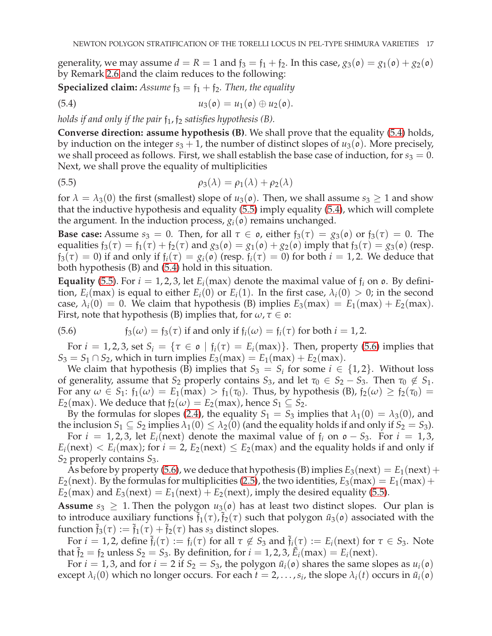generality, we may assume  $d = R = 1$  and  $f_3 = f_1 + f_2$ . In this case,  $g_3(\mathfrak{o}) = g_1(\mathfrak{o}) + g_2(\mathfrak{o})$ by Remark [2.6](#page-6-5) and the claim reduces to the following:

**Specialized claim:** *Assume*  $f_3 = f_1 + f_2$ *. Then, the equality* 

<span id="page-16-0"></span>(5.4) 
$$
u_3(\mathfrak{o}) = u_1(\mathfrak{o}) \oplus u_2(\mathfrak{o}).
$$

*holds if and only if the pair*  $f_1$ ,  $f_2$  *satisfies hypothesis (B).* 

**Converse direction: assume hypothesis (B)**. We shall prove that the equality [\(5.4\)](#page-16-0) holds, by induction on the integer  $s_3 + 1$ , the number of distinct slopes of  $u_3(\mathfrak{o})$ . More precisely, we shall proceed as follows. First, we shall establish the base case of induction, for  $s_3 = 0$ . Next, we shall prove the equality of multiplicities

<span id="page-16-1"></span>(5.5) 
$$
\rho_3(\lambda) = \rho_1(\lambda) + \rho_2(\lambda)
$$

for  $\lambda = \lambda_3(0)$  the first (smallest) slope of  $u_3(\mathfrak{o})$ . Then, we shall assume  $s_3 \geq 1$  and show that the inductive hypothesis and equality [\(5.5\)](#page-16-1) imply equality [\(5.4\)](#page-16-0), which will complete the argument. In the induction process,  $g_i(\mathfrak{o})$  remains unchanged.

**Base case:** Assume  $s_3 = 0$ . Then, for all  $\tau \in \mathfrak{o}$ , either  $\mathfrak{f}_3(\tau) = g_3(\mathfrak{o})$  or  $\mathfrak{f}_3(\tau) = 0$ . The equalities  $f_3(\tau) = f_1(\tau) + f_2(\tau)$  and  $g_3(\mathfrak{o}) = g_1(\mathfrak{o}) + g_2(\mathfrak{o})$  imply that  $f_3(\tau) = g_3(\mathfrak{o})$  (resp.  $f_3(\tau) = 0$ ) if and only if  $f_i(\tau) = g_i(\rho)$  (resp.  $f_i(\tau) = 0$ ) for both  $i = 1, 2$ . We deduce that both hypothesis (B) and [\(5.4\)](#page-16-0) hold in this situation.

**Equality** [\(5.5\)](#page-16-1). For  $i = 1, 2, 3$ , let  $E_i(\text{max})$  denote the maximal value of  $f_i$  on  $\text{o}$ . By definition,  $E_i$ (max) is equal to either  $E_i(0)$  or  $E_i(1)$ . In the first case,  $\lambda_i(0) > 0$ ; in the second case,  $\lambda_i(0) = 0$ . We claim that hypothesis (B) implies  $E_3(max) = E_1(max) + E_2(max)$ . First, note that hypothesis (B) implies that, for  $\omega, \tau \in \mathfrak{o}$ :

<span id="page-16-2"></span>(5.6) 
$$
\mathfrak{f}_3(\omega) = \mathfrak{f}_3(\tau) \text{ if and only if } \mathfrak{f}_i(\omega) = \mathfrak{f}_i(\tau) \text{ for both } i = 1, 2.
$$

For  $i = 1, 2, 3$ , set  $S_i = \{ \tau \in \mathfrak{o} \mid f_i(\tau) = E_i(\text{max}) \}$ . Then, property [\(5.6\)](#page-16-2) implies that  $S_3 = S_1 \cap S_2$ , which in turn implies  $E_3$ (max) =  $E_1$ (max) +  $E_2$ (max).

We claim that hypothesis (B) implies that  $S_3 = S_i$  for some  $i \in \{1, 2\}$ . Without loss of generality, assume that  $S_2$  properly contains  $S_3$ , and let  $\tau_0 \in S_2 - S_3$ . Then  $\tau_0 \notin S_1$ . For any  $\omega \in S_1$ :  $f_1(\omega) = E_1(\max) > f_1(\tau_0)$ . Thus, by hypothesis (B),  $f_2(\omega) \ge f_2(\tau_0)$ *E*<sub>2</sub>(max). We deduce that  $f_2(\omega) = E_2(\text{max})$ , hence  $S_1 \subseteq S_2$ .

By the formulas for slopes [\(2.4\)](#page-6-2), the equality  $S_1 = S_3$  implies that  $\lambda_1(0) = \lambda_3(0)$ , and the inclusion  $S_1 \subseteq S_2$  implies  $\lambda_1(0) \leq \lambda_2(0)$  (and the equality holds if and only if  $S_2 = S_3$ ).

For  $i = 1, 2, 3$ , let  $E_i$ (next) denote the maximal value of  $f_i$  on  $o - S_3$ . For  $i = 1, 3$ ,  $E_i(\text{next}) < E_i(\text{max})$ ; for  $i = 2$ ,  $E_2(\text{next}) \le E_2(\text{max})$  and the equality holds if and only if *S*<sup>2</sup> properly contains *S*3.

As before by property [\(5.6\)](#page-16-2), we deduce that hypothesis (B) implies  $E_3$ (next) =  $E_1$ (next) +  $E_2$ (next). By the formulas for multiplicities [\(2.5\)](#page-6-3), the two identities,  $E_3$ (max) =  $E_1$ (max) +  $E_2$ (max) and  $E_3$ (next) =  $E_1$ (next) +  $E_2$ (next), imply the desired equality [\(5.5\)](#page-16-1).

**Assume**  $s_3 \geq 1$ . Then the polygon  $u_3(\mathfrak{o})$  has at least two distinct slopes. Our plan is to introduce auxiliary functions  $\tilde{f}_1(\tau)$ ,  $\tilde{f}_2(\tau)$  such that polygon  $\tilde{u}_3(\mathfrak{o})$  associated with the function  $\tilde{f}_3(\tau) := \tilde{f}_1(\tau) + \tilde{f}_2(\tau)$  has  $s_3$  distinct slopes.

For  $i = 1, 2$ , define  $\tilde{f}_i(\tau) := f_i(\tau)$  for all  $\tau \notin S_3$  and  $\tilde{f}_i(\tau) := E_i(\text{next})$  for  $\tau \in S_3$ . Note that  $\tilde{f}_2 = f_2$  unless  $S_2 = S_3$ . By definition, for  $i = 1, 2, 3$ ,  $\tilde{E}_i$ (max) =  $E_i$ (next).

For  $i = 1, 3$ , and for  $i = 2$  if  $S_2 = S_3$ , the polygon  $\tilde{u}_i(\mathfrak{o})$  shares the same slopes as  $u_i(\mathfrak{o})$ except  $\lambda_i(0)$  which no longer occurs. For each  $t = 2, \ldots, s_i$ , the slope  $\lambda_i(t)$  occurs in  $\tilde{u}_i(\mathfrak{o})$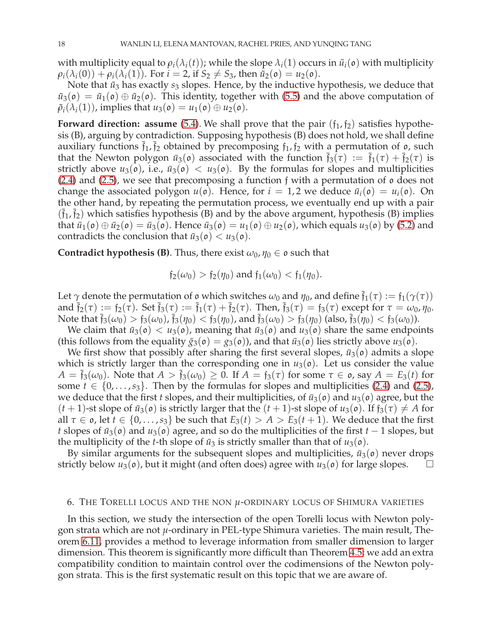with multiplicity equal to  $\rho_i(\lambda_i(t))$ ; while the slope  $\lambda_i(1)$  occurs in  $\tilde{u}_i(\rho)$  with multiplicity  $\rho_i(\lambda_i(0)) + \rho_i(\lambda_i(1))$ . For  $i = 2$ , if  $S_2 \neq S_3$ , then  $\tilde{u}_2(\mathfrak{o}) = u_2(\mathfrak{o})$ .

Note that  $\tilde{u}_3$  has exactly  $s_3$  slopes. Hence, by the inductive hypothesis, we deduce that  $\tilde{u}_3(\rho) = \tilde{u}_1(\rho) \oplus \tilde{u}_2(\rho)$ . This identity, together with [\(5.5\)](#page-16-1) and the above computation of  $\tilde{\rho}_i(\lambda_i(1))$ , implies that  $u_3(\mathfrak{o}) = u_1(\mathfrak{o}) \oplus u_2(\mathfrak{o})$ .

**Forward direction: assume** [\(5.4\)](#page-16-0). We shall prove that the pair  $(f_1, f_2)$  satisfies hypothesis (B), arguing by contradiction. Supposing hypothesis (B) does not hold, we shall define auxiliary functions  $\bar{f}_1$ ,  $\bar{f}_2$  obtained by precomposing  $f_1$ ,  $f_2$  with a permutation of  $\sigma$ , such that the Newton polygon  $\bar{u}_3(\rho)$  associated with the function  $\bar{f}_3(\tau) := \bar{f}_1(\tau) + \bar{f}_2(\tau)$  is strictly above  $u_3(\rho)$ , i.e.,  $\bar{u}_3(\rho) < u_3(\rho)$ . By the formulas for slopes and multiplicities [\(2.4\)](#page-6-2) and [\(2.5\)](#page-6-3), we see that precomposing a function f with a permutation of o does not change the associated polygon  $u(\rho)$ . Hence, for  $i = 1, 2$  we deduce  $\bar{u}_i(\rho) = u_i(\rho)$ . On the other hand, by repeating the permutation process, we eventually end up with a pair  $(\bar{f}_1, \bar{f}_2)$  which satisfies hypothesis (B) and by the above argument, hypothesis (B) implies that  $\bar{u}_1(\rho) \oplus \bar{u}_2(\rho) = \bar{u}_3(\rho)$ . Hence  $\bar{u}_3(\rho) = u_1(\rho) \oplus u_2(\rho)$ , which equals  $u_3(\rho)$  by [\(5.2\)](#page-15-2) and contradicts the conclusion that  $\bar{u}_3(\rho) < u_3(\rho)$ .

**Contradict hypothesis (B)**. Thus, there exist  $\omega_0$ ,  $\eta_0 \in \mathfrak{o}$  such that

$$
f_2(\omega_0) > f_2(\eta_0)
$$
 and  $f_1(\omega_0) < f_1(\eta_0)$ .

Let  $\gamma$  denote the permutation of  $\mathfrak o$  which switches  $\omega_0$  and  $\eta_0$ , and define  $\bar{\mathfrak f}_1(\tau) := \mathfrak f_1(\gamma(\tau))$ and  $\bar{f}_2(\tau) := f_2(\bar{\tau})$ . Set  $\bar{f}_3(\tau) := \bar{f}_1(\tau) + \bar{f}_2(\tau)$ . Then,  $\bar{f}_3(\tau) = f_3(\tau)$  except for  $\tau = \omega_0, \eta_0$ . Note that  $\bar{f}_3(\omega_0) > f_3(\omega_0)$ ,  $\bar{f}_3(\eta_0) < f_3(\eta_0)$ , and  $\bar{f}_3(\omega_0) > f_3(\eta_0)$  (also,  $\bar{f}_3(\eta_0) < f_3(\omega_0)$ ).

We claim that  $\bar{u}_3(\rho) < u_3(\rho)$ , meaning that  $\bar{u}_3(\rho)$  and  $u_3(\rho)$  share the same endpoints (this follows from the equality  $\bar{g}_3(\rho) = g_3(\rho)$ ), and that  $\bar{u}_3(\rho)$  lies strictly above  $u_3(\rho)$ .

We first show that possibly after sharing the first several slopes,  $\bar{u}_3$ ( $\sigma$ ) admits a slope which is strictly larger than the corresponding one in  $u_3(\mathfrak{o})$ . Let us consider the value  $A = \overline{f}_3(\omega_0)$ . Note that  $A > \overline{f}_3(\omega_0) \ge 0$ . If  $A = f_3(\tau)$  for some  $\tau \in \mathfrak{o}$ , say  $A = E_3(t)$  for some  $t \in \{0, \ldots, s_3\}$ . Then by the formulas for slopes and multiplicities [\(2.4\)](#page-6-2) and [\(2.5\)](#page-6-3), we deduce that the first *t* slopes, and their multiplicities, of  $\bar{u}_3(\rho)$  and  $u_3(\rho)$  agree, but the  $(t+1)$ -st slope of  $\bar{u}_3(\rho)$  is strictly larger that the  $(t+1)$ -st slope of  $u_3(\rho)$ . If  $f_3(\tau) \neq A$  for all  $\tau \in \mathfrak{o}$ , let  $t \in \{0, \ldots, s_3\}$  be such that  $E_3(t) > A > E_3(t+1)$ . We deduce that the first *t* slopes of  $\bar{u}_3(\rho)$  and  $u_3(\rho)$  agree, and so do the multiplicities of the first *t* − 1 slopes, but the multiplicity of the *t*-th slope of  $\bar{u}_3$  is strictly smaller than that of  $u_3(\rho)$ .

By similar arguments for the subsequent slopes and multiplicities,  $\bar{u}_3(\rho)$  never drops strictly below  $u_3(\rho)$ , but it might (and often does) agree with  $u_3(\rho)$  for large slopes.

#### <span id="page-17-0"></span>6. THE TORELLI LOCUS AND THE NON *µ*-ORDINARY LOCUS OF SHIMURA VARIETIES

In this section, we study the intersection of the open Torelli locus with Newton polygon strata which are not *µ*-ordinary in PEL-type Shimura varieties. The main result, Theorem [6.11,](#page-20-0) provides a method to leverage information from smaller dimension to larger dimension. This theorem is significantly more difficult than Theorem [4.5;](#page-11-1) we add an extra compatibility condition to maintain control over the codimensions of the Newton polygon strata. This is the first systematic result on this topic that we are aware of.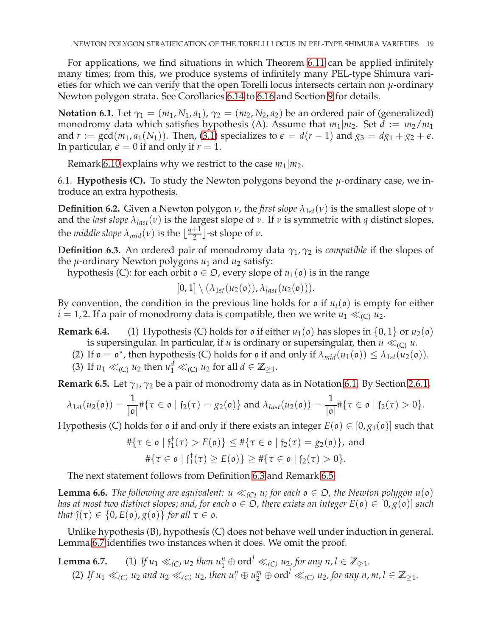For applications, we find situations in which Theorem [6.11](#page-20-0) can be applied infinitely many times; from this, we produce systems of infinitely many PEL-type Shimura varieties for which we can verify that the open Torelli locus intersects certain non *µ*-ordinary Newton polygon strata. See Corollaries [6.14](#page-22-1) to [6.16](#page-22-2) and Section [9](#page-26-0) for details.

<span id="page-18-1"></span>**Notation 6.1.** Let  $\gamma_1 = (m_1, N_1, a_1)$ ,  $\gamma_2 = (m_2, N_2, a_2)$  be an ordered pair of (generalized) monodromy data which satisfies hypothesis (A). Assume that  $m_1/m_2$ . Set  $d := m_2/m_1$ and  $r := \gcd(m_1, a_1(N_1))$ . Then, [\(3.1\)](#page-8-3) specializes to  $\epsilon = d(r-1)$  and  $g_3 = dg_1 + g_2 + \epsilon$ . In particular,  $\epsilon = 0$  if and only if  $r = 1$ .

Remark [6.10](#page-19-1) explains why we restrict to the case  $m_1|m_2$ .

6.1. **Hypothesis (C).** To study the Newton polygons beyond the  $\mu$ -ordinary case, we introduce an extra hypothesis.

**Definition 6.2.** Given a Newton polygon *ν*, the *first slope*  $\lambda_{1st}(v)$  is the smallest slope of *ν* and the *last slope*  $\lambda_{last}(v)$  is the largest slope of  $v$ . If  $v$  is symmetric with  $q$  distinct slopes, the *middle* slope  $\lambda_{mid}(\nu)$  is the  $\lfloor \frac{q+1}{2} \rfloor$  $\frac{1}{2}$  -st slope of *ν*.

<span id="page-18-0"></span>**Definition 6.3.** An ordered pair of monodromy data  $\gamma_1$ ,  $\gamma_2$  is *compatible* if the slopes of the  $\mu$ -ordinary Newton polygons  $u_1$  and  $u_2$  satisfy:

hypothesis (C): for each orbit  $o \in \mathcal{D}$ , every slope of  $u_1(o)$  is in the range

 $[0, 1] \setminus (\lambda_{1st}(u_2(\mathfrak{o})), \lambda_{last}(u_2(\mathfrak{o}))).$ 

By convention, the condition in the previous line holds for  $\mathfrak{o}$  if  $u_i(\mathfrak{o})$  is empty for either  $i = 1, 2$ . If a pair of monodromy data is compatible, then we write  $u_1 \ll_{(C)} u_2$ .

**Remark 6.4.** (1) Hypothesis (C) holds for  $\mathfrak{o}$  if either  $u_1(\mathfrak{o})$  has slopes in  $\{0,1\}$  or  $u_2(\mathfrak{o})$ is supersingular. In particular, if *u* is ordinary or supersingular, then  $u \ll_{(C)} u$ .

- (2) If  $\mathfrak{o} = \mathfrak{o}^*$ , then hypothesis (C) holds for  $\mathfrak{o}$  if and only if  $\lambda_{mid}(u_1(\mathfrak{o})) \leq \lambda_{1st}(u_2(\mathfrak{o}))$ .
- (3) If  $u_1 \ll_{(C)} u_2$  then  $u_1^d \ll_{(C)} u_2$  for all  $d \in \mathbb{Z}_{\geq 1}$ .

<span id="page-18-2"></span>**Remark 6.5.** Let *γ*1, *γ*<sup>2</sup> be a pair of monodromy data as in Notation [6.1.](#page-18-1) By Section [2.6.1,](#page-6-4)

$$
\lambda_{1st}(u_2(\mathfrak{o})) = \frac{1}{|\mathfrak{o}|} \# \{ \tau \in \mathfrak{o} \mid \mathfrak{f}_2(\tau) = g_2(\mathfrak{o}) \} \text{ and } \lambda_{last}(u_2(\mathfrak{o})) = \frac{1}{|\mathfrak{o}|} \# \{ \tau \in \mathfrak{o} \mid \mathfrak{f}_2(\tau) > 0 \}.
$$

Hypothesis (C) holds for  $\mathfrak{o}$  if and only if there exists an integer  $E(\mathfrak{o}) \in [0, g_1(\mathfrak{o})]$  such that

$$
\#\{\tau \in \mathfrak{o} \mid \mathfrak{f}_1^{\dagger}(\tau) > E(\mathfrak{o})\} \leq \#\{\tau \in \mathfrak{o} \mid \mathfrak{f}_2(\tau) = g_2(\mathfrak{o})\}, \text{ and}
$$
  

$$
\#\{\tau \in \mathfrak{o} \mid \mathfrak{f}_1^{\dagger}(\tau) \geq E(\mathfrak{o})\} \geq \#\{\tau \in \mathfrak{o} \mid \mathfrak{f}_2(\tau) > 0\}.
$$

The next statement follows from Definition [6.3](#page-18-0) and Remark [6.5.](#page-18-2)

**Lemma 6.6.** *The following are equivalent:*  $u \ll_{(C)} u$ ; for each  $o \in \mathfrak{D}$ , the Newton polygon  $u(o)$ *has at most two distinct slopes; and, for each*  $o \in \mathfrak{D}$ , there exists an integer  $E(o) \in [0, g(o)]$  such *that*  $f(\tau) \in \{0, E(\mathfrak{o}), g(\mathfrak{o})\}$  *for all*  $\tau \in \mathfrak{o}$ *.* 

<span id="page-18-3"></span>Unlike hypothesis (B), hypothesis (C) does not behave well under induction in general. Lemma [6.7](#page-18-3) identifies two instances when it does. We omit the proof.

**Lemma 6.7.** (1) *If*  $u_1 \ll_{(C)} u_2$  *then*  $u_1^n \oplus \text{ord}^l \ll_{(C)} u_2$ , for any  $n, l \in \mathbb{Z}_{\geq 1}$ . (2) If  $u_1 \ll_{(C)} u_2$  and  $u_2 \ll_{(C)} u_2$ , then  $u_1^n \oplus u_2^m \oplus \text{ord}^l \ll_{(C)} u_2$ , for any  $n, m, l \in \mathbb{Z}_{\geq 1}$ .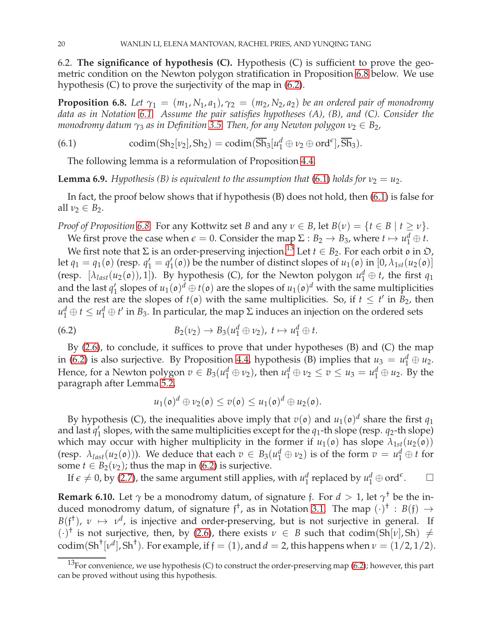6.2. **The significance of hypothesis (C).** Hypothesis (C) is sufficient to prove the geometric condition on the Newton polygon stratification in Proposition [6.8](#page-19-0) below. We use hypothesis (C) to prove the surjectivity of the map in [\(6.2\)](#page-19-2).

<span id="page-19-0"></span>**Proposition 6.8.** *Let*  $\gamma_1 = (m_1, N_1, a_1), \gamma_2 = (m_2, N_2, a_2)$  *be an ordered pair of monodromy data as in Notation [6.1.](#page-18-1) Assume the pair satisfies hypotheses (A), (B), and (C). Consider the monodromy datum*  $\gamma_3$  *as in Definition* [3.5.](#page-8-2) *Then, for any Newton polygon*  $\nu_2 \in B_2$ *,* 

(6.1) codim(Sh<sub>2</sub>[*v*<sub>2</sub>], Sh<sub>2</sub>) = codim( $\overline{Sh}_3[u_1^d \oplus v_2 \oplus \text{ord}^{\epsilon}], \overline{Sh}_3$ ).

<span id="page-19-3"></span>The following lemma is a reformulation of Proposition [4.4.](#page-11-3)

**Lemma 6.9.** *Hypothesis (B) is equivalent to the assumption that [\(6.1\)](#page-19-3) <i>holds for*  $v_2 = u_2$ *.* 

In fact, the proof below shows that if hypothesis (B) does not hold, then [\(6.1\)](#page-19-3) is false for all  $\nu_2 \in B_2$ .

*Proof of Proposition* [6.8.](#page-19-0) For any Kottwitz set *B* and any  $\nu \in B$ , let  $B(\nu) = \{t \in B \mid t \ge \nu\}$ .

We first prove the case when  $\epsilon = 0$ . Consider the map  $\Sigma : B_2 \to B_3$ , where  $t \mapsto u_1^d \oplus t$ .

We first note that  $\Sigma$  is an order-preserving injection.<sup>[13](#page-19-4)</sup> Let  $t \in B_2$ . For each orbit  $\theta$  in  $\mathcal{D}$ , let  $q_1 = q_1(\mathfrak{o})$  (resp.  $q'_1 = q'_1(\mathfrak{o})$ ) be the number of distinct slopes of  $u_1(\mathfrak{o})$  in  $[0, \lambda_{1st}(u_2(\mathfrak{o}))]$ (resp.  $[\lambda_{last}(u_2(\mathfrak{o})), 1]$ ). By hypothesis (C), for the Newton polygon  $u_1^d \oplus t$ , the first  $q_1$ and the last  $q'_1$  slopes of  $u_1(\mathfrak{o})^d \oplus t(\mathfrak{o})$  are the slopes of  $u_1(\mathfrak{o})^d$  with the same multiplicities and the rest are the slopes of  $t(\mathfrak{o})$  with the same multiplicities. So, if  $t \leq t'$  in  $B_2$ , then  $u_1^d \oplus t \leq u_1^d \oplus t'$  in  $B_3$ . In particular, the map  $\Sigma$  induces an injection on the ordered sets

(6.2) 
$$
B_2(\nu_2) \rightarrow B_3(u_1^d \oplus \nu_2), t \mapsto u_1^d \oplus t.
$$

By [\(2.6\)](#page-7-3), to conclude, it suffices to prove that under hypotheses (B) and (C) the map in [\(6.2\)](#page-19-2) is also surjective. By Proposition [4.4,](#page-11-3) hypothesis (B) implies that  $u_3 = u_1^d \oplus u_2$ . Hence, for a Newton polygon  $v \in B_3(u_1^d \oplus v_2)$ , then  $u_1^d \oplus v_2 \le v \le u_3 = u_1^d \oplus u_2$ . By the paragraph after Lemma [5.2,](#page-14-2)

<span id="page-19-2"></span>
$$
u_1(\mathfrak{o})^d \oplus v_2(\mathfrak{o}) \leq v(\mathfrak{o}) \leq u_1(\mathfrak{o})^d \oplus u_2(\mathfrak{o}).
$$

By hypothesis (C), the inequalities above imply that  $v(\mathfrak{o})$  and  $u_1(\mathfrak{o})^d$  share the first  $q_1$ and last  $q'_1$  slopes, with the same multiplicities except for the  $q_1$ -th slope (resp.  $q_2$ -th slope) which may occur with higher multiplicity in the former if  $u_1(\mathfrak{o})$  has slope  $\lambda_{1st}(u_2(\mathfrak{o}))$ (resp.  $\lambda_{last}(u_2(\mathfrak{o})))$ ). We deduce that each  $v \in B_3(u_1^d \oplus v_2)$  is of the form  $v = u_1^d \oplus t$  for some  $t \in B_2(\nu_2)$ ; thus the map in [\(6.2\)](#page-19-2) is surjective.

If  $\epsilon \neq 0$ , by [\(2.7\)](#page-7-4), the same argument still applies, with  $u_1^d$  $\frac{d}{1}$  replaced by  $u_1^d \oplus \mathrm{ord}^{\epsilon}$  $\Box$ 

<span id="page-19-1"></span>**Remark 6.10.** Let  $\gamma$  be a monodromy datum, of signature f. For  $d > 1$ , let  $\gamma^{\dagger}$  be the induced monodromy datum, of signature  $f^{\dagger}$ , as in Notation [3.1.](#page-7-5) The map  $(\cdot)^{\dagger}$  :  $B(f) \rightarrow$  $B(f^{\dagger})$ ,  $\nu \mapsto \nu^{d}$ , is injective and order-preserving, but is not surjective in general. If  $(\cdot)^{\dagger}$  is not surjective, then, by [\(2.6\)](#page-7-3), there exists  $\nu \in B$  such that codim(Sh[ $\nu$ ], Sh)  $\neq$ codim(Sh<sup>†</sup>[ $\nu$ <sup>d</sup>], Sh<sup>†</sup>). For example, if  $\mathfrak{f} = (1)$ , and  $d = 2$ , this happens when  $\nu = (1/2, 1/2)$ .

<span id="page-19-4"></span> $13$ For convenience, we use hypothesis (C) to construct the order-preserving map [\(6.2\)](#page-19-2); however, this part can be proved without using this hypothesis.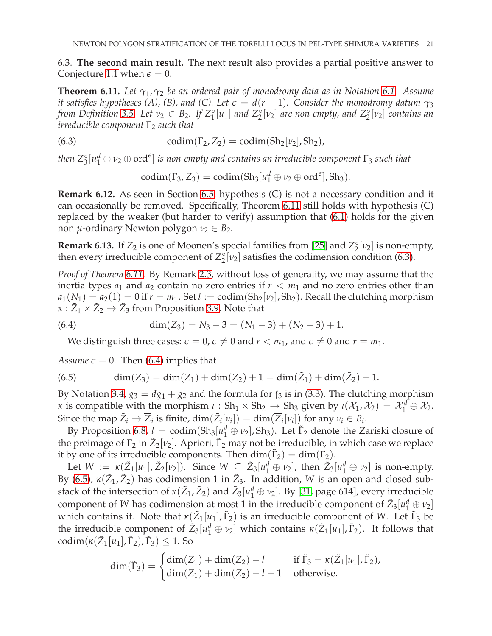<span id="page-20-0"></span>6.3. **The second main result.** The next result also provides a partial positive answer to Conjecture [1.1](#page-1-0) when  $\epsilon = 0$ .

**Theorem 6.11.** *Let γ*1, *γ*<sup>2</sup> *be an ordered pair of monodromy data as in Notation [6.1.](#page-18-1) Assume it satisfies hypotheses (A), (B), and (C). Let*  $\epsilon = d(r-1)$ *. Consider the monodromy datum*  $\gamma_3$ *from Definition* [3.5.](#page-8-2) Let  $v_2 \in B_2$ . If  $Z_1^\circ[u_1]$  and  $Z_2^\circ[v_2]$  are non-empty, and  $Z_2^\circ[v_2]$  contains an *irreducible component*  $\Gamma_2$  *such that* 

(6.3) 
$$
\text{codim}(\Gamma_2, Z_2) = \text{codim}(\text{Sh}_2[\nu_2], \text{Sh}_2),
$$

then  $Z_3^{\circ}[u_1^d\oplus v_2\oplus \text{ord}^\epsilon]$  is non-empty and contains an irreducible component  $\Gamma_3$  such that

<span id="page-20-1"></span>
$$
\mathrm{codim}(\Gamma_3,Z_3)=\mathrm{codim}(\mathrm{Sh}_3[u_1^d\oplus\nu_2\oplus\mathrm{ord}^\epsilon],\mathrm{Sh}_3).
$$

<span id="page-20-4"></span>**Remark 6.12.** As seen in Section [6.5,](#page-22-3) hypothesis (C) is not a necessary condition and it can occasionally be removed. Specifically, Theorem [6.11](#page-20-0) still holds with hypothesis (C) replaced by the weaker (but harder to verify) assumption that [\(6.1\)](#page-19-3) holds for the given non  $\mu$ -ordinary Newton polygon  $\nu_2 \in B_2$ .

**Remark 6.13.** If  $Z_2$  is one of Moonen's special families from [\[25\]](#page-31-0) and  $Z_2^{\circ}[\nu_2]$  is non-empty, then every irreducible component of  $Z_2^{\circ}[\nu_2]$  satisfies the codimension condition [\(6.3\)](#page-20-1).

*Proof of Theorem [6.11.](#page-20-0)* By Remark [2.3,](#page-5-2) without loss of generality, we may assume that the inertia types  $a_1$  and  $a_2$  contain no zero entries if  $r < m_1$  and no zero entries other than  $a_1(N_1) = a_2(1) = 0$  if  $r = m_1$ . Set  $l := \text{codim}(Sh_2[\nu_2], Sh_2)$ . Recall the clutching morphism  $\kappa : \tilde{Z}_1 \times \tilde{Z}_2 \rightarrow \tilde{Z}_3$  from Proposition [3.9.](#page-8-4) Note that

(6.4) 
$$
\dim(Z_3) = N_3 - 3 = (N_1 - 3) + (N_2 - 3) + 1.
$$

<span id="page-20-2"></span>We distinguish three cases:  $\epsilon = 0$ ,  $\epsilon \neq 0$  and  $r < m_1$ , and  $\epsilon \neq 0$  and  $r = m_1$ .

*Assume*  $\epsilon = 0$ . Then [\(6.4\)](#page-20-2) implies that

<span id="page-20-3"></span>(6.5) 
$$
\dim(Z_3) = \dim(Z_1) + \dim(Z_2) + 1 = \dim(\tilde{Z}_1) + \dim(\tilde{Z}_2) + 1.
$$

By Notation [3.4,](#page-8-6)  $g_3 = dg_1 + g_2$  and the formula for  $f_3$  is in [\(3.3\)](#page-10-5). The clutching morphism *κ* is compatible with the morphism  $\iota$  : Sh<sub>1</sub> × Sh<sub>2</sub>  $\rightarrow$  Sh<sub>3</sub> given by  $\iota(\mathcal{X}_1, \mathcal{X}_2) = \mathcal{X}_1^d \oplus \mathcal{X}_2$ . Since the map  $\tilde{Z}_i \to \overline{Z}_i$  is finite,  $\dim(\tilde{Z}_i[\nu_i]) = \dim(\overline{Z}_i[\nu_i])$  for any  $\nu_i \in B_i$ .

By Proposition [6.8,](#page-19-0)  $l = \text{codim}( \text{Sh}_3[\mu_1^d \oplus \nu_2], \text{Sh}_3)$ . Let  $\tilde{\Gamma}_2$  denote the Zariski closure of the preimage of  $\Gamma_2$  in  $\tilde{Z}_2[\nu_2]$ . Apriori,  $\tilde{\Gamma}_2$  may not be irreducible, in which case we replace it by one of its irreducible components. Then  $\dim(\tilde{\Gamma}_2) = \dim(\Gamma_2)$ .

Let  $W := \kappa(\tilde{Z}_1[u_1], \tilde{Z}_2[v_2])$ . Since  $W \subseteq \tilde{Z}_3[u_1^d \oplus v_2]$ , then  $\tilde{Z}_3[u_1^d \oplus v_2]$  is non-empty. By [\(6.5\)](#page-20-3),  $\kappa(\tilde{Z}_1, \tilde{Z}_2)$  has codimension 1 in  $\tilde{Z}_3$ . In addition, *W* is an open and closed substack of the intersection of  $\kappa(\tilde{Z}_1, \tilde{Z}_2)$  and  $\tilde{Z}_3[u_1^d \oplus v_2]$ . By [\[31,](#page-32-6) page 614], every irreducible component of *W* has codimension at most 1 in the irreducible component of  $\tilde{Z}_3[u_1^d \oplus v_2]$ which contains it. Note that  $\kappa(\tilde{Z}_1[u_1], \tilde{\Gamma}_2)$  is an irreducible component of *W*. Let  $\tilde{\Gamma}_3$  be the irreducible component of  $\tilde{Z}_3[u_1^d \oplus v_2]$  which contains  $\kappa(\tilde{Z}_1[u_1], \tilde{\Gamma}_2)$ . It follows that  $\operatorname{codim}(\kappa(\tilde{Z}_1[u_1], \tilde{\Gamma}_2), \tilde{\Gamma}_3) \leq 1$ . So

$$
\dim(\tilde{\Gamma}_3) = \begin{cases} \dim(Z_1) + \dim(Z_2) - l & \text{if } \tilde{\Gamma}_3 = \kappa(\tilde{Z}_1[u_1], \tilde{\Gamma}_2), \\ \dim(Z_1) + \dim(Z_2) - l + 1 & \text{otherwise.} \end{cases}
$$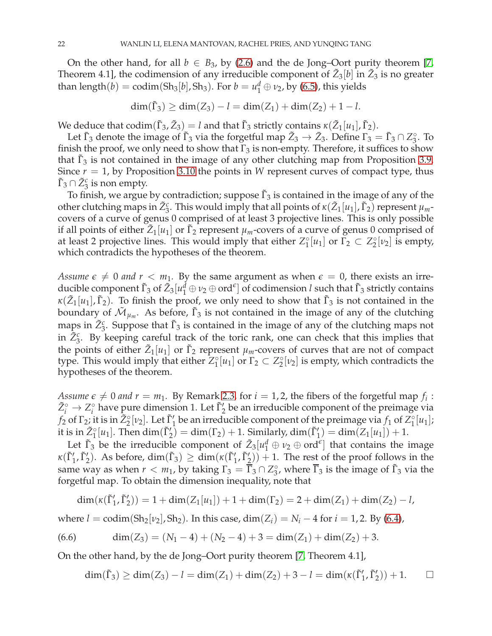On the other hand, for all  $b \in B_3$ , by [\(2.6\)](#page-7-3) and the de Jong–Oort purity theorem [\[7,](#page-31-24) Theorem 4.1], the codimension of any irreducible component of  $\tilde{Z}_3[b]$  in  $\tilde{Z}_3$  is no greater than length $(b) = \text{codim}(Sh_3[b], Sh_3)$ . For  $b = u_1^d \oplus v_2$ , by [\(6.5\)](#page-20-3), this yields

$$
\dim(\tilde{\Gamma}_3) \ge \dim(Z_3) - l = \dim(Z_1) + \dim(Z_2) + 1 - l.
$$

We deduce that  $\mathrm{codim}(\tilde{\Gamma}_3,\tilde{Z}_3)=l$  and that  $\tilde{\Gamma}_3$  strictly contains  $\kappa(\tilde{Z}_1[u_1],\tilde{\Gamma}_2).$ 

Let  $\bar{\Gamma}_3$  denote the image of  $\tilde{\Gamma}_3$  via the forgetful map  $\tilde{Z}_3 \to \bar{Z}_3$ . Define  $\Gamma_3 = \bar{\Gamma}_3 \cap Z_3^{\circ}$ . To finish the proof, we only need to show that  $\Gamma_3$  is non-empty. Therefore, it suffices to show that  $\tilde{\Gamma}_3$  is not contained in the image of any other clutching map from Proposition [3.9.](#page-8-4) Since  $r = 1$ , by Proposition [3.10](#page-9-1) the points in *W* represent curves of compact type, thus  $\tilde{\Gamma}_3 \cap \tilde{Z}_3^c$  is non empty.

To finish, we argue by contradiction; suppose  $\tilde{\Gamma}_3$  is contained in the image of any of the other clutching maps in  $\tilde{Z}_3^c$ . This would imply that all points of  $\kappa(\tilde{Z}_1[u_1], \tilde{\Gamma}_2)$  represent  $\mu_m$ covers of a curve of genus 0 comprised of at least 3 projective lines. This is only possible if all points of either  $\tilde{Z}_1[u_1]$  or  $\tilde{\Gamma}_2$  represent  $\mu_m$ -covers of a curve of genus  $0$  comprised of at least 2 projective lines. This would imply that either  $Z_1^{\circ}[u_1]$  or  $\Gamma_2 \subset Z_2^{\circ}[v_2]$  is empty, which contradicts the hypotheses of the theorem.

*Assume*  $\epsilon \neq 0$  *and*  $r < m_1$ . By the same argument as when  $\epsilon = 0$ , there exists an irreducible component  $\tilde{\Gamma}_3$  of  $\tilde{Z}_3[u_1^d \oplus v_2 \oplus \text{ord}^e]$  of codimension *l* such that  $\tilde{\Gamma}_3$  strictly contains  $\kappa(\tilde{Z}_1[u_1], \tilde{\Gamma}_2)$ . To finish the proof, we only need to show that  $\tilde{\Gamma}_3$  is not contained in the boundary of  $\tilde{\mathcal{M}}_{\mu_m}$ . As before,  $\tilde{\Gamma}_3$  is not contained in the image of any of the clutching maps in  $\tilde{Z}_3^c$ . Suppose that  $\tilde{\Gamma}_3$  is contained in the image of any of the clutching maps not in  $\tilde{Z}_3^c$ . By keeping careful track of the toric rank, one can check that this implies that the points of either  $\tilde{Z}_1[u_1]$  or  $\tilde{\Gamma}_2$  represent  $\mu_m$ -covers of curves that are not of compact type. This would imply that either  $Z_1^{\circ}[u_1]$  or  $\Gamma_2 \subset Z_2^{\circ}[v_2]$  is empty, which contradicts the hypotheses of the theorem.

*Assume*  $\epsilon \neq 0$  *and*  $r = m_1$ . By Remark [2.3,](#page-5-2) for  $i = 1, 2$ , the fibers of the forgetful map  $f_i$ :  $\tilde{Z}_i^{\circ} \to Z_i^{\circ}$  have pure dimension 1. Let  $\tilde{\Gamma}_2'$  be an irreducible component of the preimage via *f*<sub>2</sub> of  $\Gamma_2$ ; it is in  $\tilde{Z}_2^{\circ}[\nu_2]$ . Let  $\tilde{\Gamma}_1'$  be an irreducible component of the preimage via *f*<sub>1</sub> of  $Z_1^{\circ}[\nu_1]$ ; it is in  $\tilde{Z}_1^{\circ}[u_1]$ . Then  $\dim(\tilde{\Gamma}_2') = \dim(\Gamma_2) + 1$ . Similarly,  $\dim(\tilde{\Gamma}_1') = \dim(Z_1[u_1]) + 1$ .

Let  $\tilde{\Gamma}_3$  be the irreducible component of  $\tilde{Z}_3[u_1^d \oplus v_2 \oplus \text{ord}^{\epsilon}]$  that contains the image  $\kappa(\tilde{\Gamma}'_1, \tilde{\Gamma}'_2)$ . As before,  $\dim(\tilde{\Gamma}_3) \geq \dim(\kappa(\tilde{\Gamma}'_1, \tilde{\Gamma}'_2)) + 1$ . The rest of the proof follows in the same way as when  $r < m_1$ , by taking  $\Gamma_3 = \overline{\Gamma}_3 \cap Z_3^{\circ}$ , where  $\overline{\Gamma}_3$  is the image of  $\overline{\Gamma}_3$  via the forgetful map. To obtain the dimension inequality, note that

$$
\dim(\kappa(\tilde{\Gamma}'_1, \tilde{\Gamma}'_2)) = 1 + \dim(Z_1[u_1]) + 1 + \dim(\Gamma_2) = 2 + \dim(Z_1) + \dim(Z_2) - l,
$$

where  $l = \text{codim}(Sh_2[v_2], Sh_2)$ . In this case,  $\dim(Z_i) = N_i - 4$  for  $i = 1, 2$ . By [\(6.4\)](#page-20-2),

(6.6) 
$$
\dim(Z_3) = (N_1 - 4) + (N_2 - 4) + 3 = \dim(Z_1) + \dim(Z_2) + 3.
$$

On the other hand, by the de Jong–Oort purity theorem [\[7,](#page-31-24) Theorem 4.1],

$$
\dim(\tilde{\Gamma}_3) \ge \dim(Z_3) - l = \dim(Z_1) + \dim(Z_2) + 3 - l = \dim(\kappa(\tilde{\Gamma}'_1, \tilde{\Gamma}'_2)) + 1. \qquad \Box
$$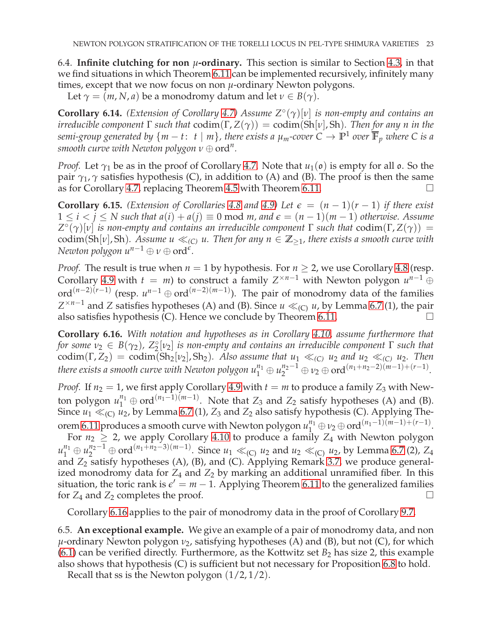<span id="page-22-0"></span>6.4. **Infinite clutching for non**  $\mu$ -ordinary. This section is similar to Section [4.3,](#page-12-0) in that we find situations in which Theorem [6.11](#page-20-0) can be implemented recursively, infinitely many times, except that we now focus on non *µ*-ordinary Newton polygons.

<span id="page-22-1"></span>Let  $\gamma = (m, N, a)$  be a monodromy datum and let  $\nu \in B(\gamma)$ .

**Corollary 6.14.** *(Extension of Corollary [4.7\)](#page-12-2) Assume Z*◦ (*γ*)[*ν*] *is non-empty and contains an irreducible component* Γ *such that* codim(Γ, *Z*(*γ*)) = codim(Sh[*ν*], Sh)*. Then for any n in the semi-group generated by*  $\{m-t\colon~t\mid m\}$ , there exists a  $\mu_m$ -cover  $C\to \mathbb{P}^1$  over  $\overline{\mathbb{F}}_p$  where  $C$  is a *smooth curve with Newton polygon*  $\nu \oplus \text{ord}^n$ .

*Proof.* Let  $\gamma_1$  be as in the proof of Corollary [4.7.](#page-12-2) Note that  $u_1(\mathfrak{o})$  is empty for all  $\mathfrak{o}$ . So the pair  $\gamma_1$ ,  $\gamma$  satisfies hypothesis (C), in addition to (A) and (B). The proof is then the same as for Corollary [4.7,](#page-12-2) replacing Theorem [4.5](#page-11-1) with Theorem [6.11.](#page-20-0)

<span id="page-22-4"></span>**Corollary 6.15.** *(Extension of Corollaries* [4.8](#page-13-3) *and* [4.9\)](#page-13-0) Let  $\epsilon = (n-1)(r-1)$  *if there exist* <sup>1</sup> <sup>≤</sup> *<sup>i</sup>* <sup>&</sup>lt; *<sup>j</sup>* <sup>≤</sup> *N such that a*(*i*) + *<sup>a</sup>*(*j*) <sup>≡</sup> 0 mod *m, and <sup>ǫ</sup>* = (*<sup>n</sup>* <sup>−</sup> <sup>1</sup>)(*<sup>m</sup>* <sup>−</sup> <sup>1</sup>) *otherwise. Assume*  $Z^{\circ}(\gamma)$ [*v*] *is non-empty and contains an irreducible component*  $\Gamma$  *such that* codim( $\Gamma$ ,  $Z(\gamma)$ ) = codim(Sh[*v*], Sh). Assume  $u \ll_{(C)} u$ . Then for any  $n \in \mathbb{Z}_{\geq 1}$ , there exists a smooth curve with *Newton polygon*  $u^{n-1} \oplus v \oplus \text{ord}^e$ .

*Proof.* The result is true when  $n = 1$  by hypothesis. For  $n \ge 2$ , we use Corollary [4.8](#page-13-3) (resp. Corollary [4.9](#page-13-0) with  $t = m$ ) to construct a family  $Z^{\times n-1}$  with Newton polygon  $u^{n-1} \oplus$ ord<sup>(*n*−2)(*r*−1)</sup> (resp.  $u^{n-1} \oplus \text{ord}^{(n-2)(m-1)}$ ). The pair of monodromy data of the families  $Z^{\times n-1}$  and *Z* satisfies hypotheses (A) and (B). Since  $u \ll_{(C)} u$ , by Lemma [6.7](#page-18-3) (1), the pair also satisfies hypothesis (C). Hence we conclude by Theorem [6.11.](#page-20-0)

<span id="page-22-2"></span>**Corollary 6.16.** *With notation and hypotheses as in Corollary [4.10,](#page-13-1) assume furthermore that for some ν*<sub>2</sub> ∈ *B*(γ<sub>2</sub>), *Z*°<sub><sub>2</sub><sup>(*ν*<sub>2</sub>)</sub> *is non-empty and contains an irreducible component* Γ *such that*</sub></sup>  $\cot^2(1/2) = \cot^2(1/2)$ ,  $\mathcal{L}_2[\nu_2]$  is non-empty and contains an irreductive component 1 such that  $\cot^2(1/2) = \cot^2(1/2)$ ,  $\sin^2(1/2)$ ,  $\cot^2(1/2) = \cot^2(1/2)$ ,  $\cot^2(1/2)$ ,  $\cot^2(1/2) = \cot^2(1/2)$ ,  $\cot^2(1/2)$ ,  $\cot^2(1/2) = \$ *there exists a smooth curve with Newton polygon*  $u_1^{n_1} \oplus u_2^{n_2-1} \oplus v_2 \oplus \mathrm{ord}^{(n_1+n_2-2)(m-1)+(r-1)}$ *.* 

*Proof.* If  $n_2 = 1$ , we first apply Corollary [4.9](#page-13-0) with  $t = m$  to produce a family  $Z_3$  with Newton polygon  $u_1^{n_1} \oplus \text{ord}^{(n_1-1)(m-1)}$ . Note that  $Z_3$  and  $Z_2$  satisfy hypotheses (A) and (B). Since  $u_1 \ll_{(C)} u_2$ , by Lemma [6.7](#page-18-3) (1),  $Z_3$  and  $Z_2$  also satisfy hypothesis (C). Applying The-orem [6.11](#page-20-0) produces a smooth curve with Newton polygon  $u_1^{n_1} \oplus v_2 \oplus \text{ord}^{(n_1-1)(m-1)+(r-1)}$ .

For  $n_2 \geq 2$ , we apply Corollary [4.10](#page-13-1) to produce a family  $Z_4$  with Newton polygon  $u_1^{n_1} \oplus u_2^{n_2-1} \oplus \text{ord}^{(n_1+n_2-3)(m-1)}$ . Since  $u_1 \ll_{(C)} u_2$  and  $u_2 \ll_{(C)} u_2$ , by Lemma [6.7](#page-18-3) (2), *Z*<sub>4</sub> and Z<sub>2</sub> satisfy hypotheses (A), (B), and (C). Applying Remark [3.7,](#page-8-7) we produce generalized monodromy data for  $Z_4$  and  $Z_2$  by marking an additional unramified fiber. In this situation, the toric rank is  $\epsilon' = m - 1$ . Applying Theorem [6.11](#page-20-0) to the generalized families for  $Z_4$  and  $Z_2$  completes the proof.

Corollary [6.16](#page-22-2) applies to the pair of monodromy data in the proof of Corollary [9.7.](#page-28-1)

<span id="page-22-3"></span>6.5. **An exceptional example.** We give an example of a pair of monodromy data, and non *μ*-ordinary Newton polygon *ν*<sub>2</sub>, satisfying hypotheses (A) and (B), but not (C), for which  $(6.1)$  can be verified directly. Furthermore, as the Kottwitz set  $B_2$  has size 2, this example also shows that hypothesis (C) is sufficient but not necessary for Proposition [6.8](#page-19-0) to hold.

Recall that ss is the Newton polygon (1/2, 1/2).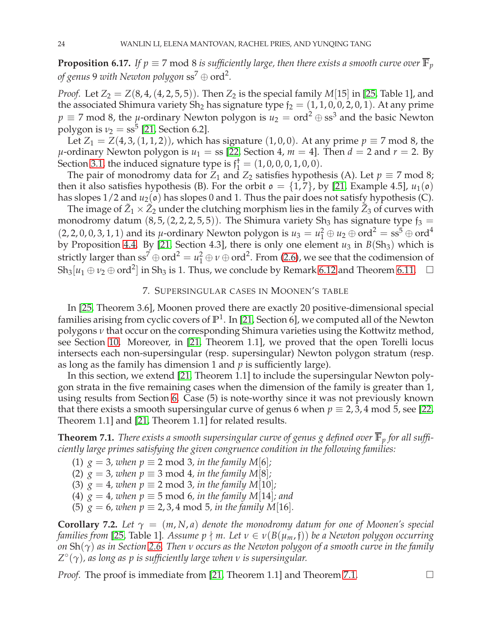**Proposition 6.17.** *If*  $p \equiv 7 \text{ mod } 8$  *is sufficiently large, then there exists a smooth curve over*  $\overline{\mathbb{F}}_p$ *of genus* <sup>9</sup> *with Newton polygon* ss<sup>7</sup> <sup>⊕</sup> ord<sup>2</sup> *.*

*Proof.* Let  $Z_2 = Z(8, 4, (4, 2, 5, 5))$ . Then  $Z_2$  is the special family  $M[15]$  in [\[25,](#page-31-0) Table 1], and the associated Shimura variety Sh<sub>2</sub> has signature type  $f_2 = (1, 1, 0, 0, 2, 0, 1)$ . At any prime *p*  $\equiv$  7 mod 8, the *µ*-ordinary Newton polygon is  $u_2 = \text{ord}^2 \oplus \text{ss}^3$  and the basic Newton polygon is  $\nu_2 = \text{ss}^5$  [\[21,](#page-31-10) Section 6.2].

Let *Z*<sub>1</sub> = *Z*(4, 3, (1, 1, 2)), which has signature (1, 0, 0). At any prime  $p \equiv 7 \text{ mod } 8$ , the  $\mu$ -ordinary Newton polygon is  $u_1 =$  ss [\[22,](#page-31-14) Section 4,  $m = 4$ ]. Then  $d = 2$  and  $r = 2$ . By Section [3.1,](#page-7-6) the induced signature type is  $\mathfrak{f}_1^{\dagger} = (1, 0, 0, 0, 1, 0, 0)$ .

The pair of monodromy data for *Z*<sub>1</sub> and *Z*<sub>2</sub> satisfies hypothesis (A). Let  $p \equiv 7 \text{ mod } 8$ ; then it also satisfies hypothesis (B). For the orbit  $\mathfrak{o} = \{1,7\}$ , by [\[21,](#page-31-10) Example 4.5],  $u_1(\mathfrak{o})$ has slopes  $1/2$  and  $u_2(\mathfrak{o})$  has slopes 0 and 1. Thus the pair does not satisfy hypothesis (C).

The image of  $\tilde{Z}_1 \times \tilde{Z}_2$  under the clutching morphism lies in the family  $\tilde{Z}_3$  of curves with monodromy datum  $(8, 5, (2, 2, 2, 5, 5))$ . The Shimura variety Sh<sub>3</sub> has signature type  $f_3$  =  $(2, 2, 0, 0, 3, 1, 1)$  and its *µ*-ordinary Newton polygon is  $u_3 = u_1^2 \oplus u_2 \oplus \text{ord}^2 = \text{ss}^5 \oplus \text{ord}^4$ by Proposition [4.4.](#page-11-3) By [\[21,](#page-31-10) Section 4.3], there is only one element  $u_3$  in  $B(Sh_3)$  which is strictly larger than  $ss^7\oplus ord^2=u_1^2\oplus v\oplus ord^2.$  From [\(2.6\)](#page-7-3), we see that the codimension of Sh<sub>3</sub>[ $u_1 \oplus v_2 \oplus \text{ord}^2$ ] in Sh<sub>3</sub> is 1. Thus, we conclude by Remark [6.12](#page-20-4) and Theorem [6.11.](#page-20-0)  $\Box$ 

## 7. SUPERSINGULAR CASES IN MOONEN'S TABLE

<span id="page-23-1"></span>In [\[25,](#page-31-0) Theorem 3.6], Moonen proved there are exactly 20 positive-dimensional special families arising from cyclic covers of **P** 1 . In [\[21,](#page-31-10) Section 6], we computed all of the Newton polygons *ν* that occur on the corresponding Shimura varieties using the Kottwitz method, see Section [10.](#page-29-0) Moreover, in [\[21,](#page-31-10) Theorem 1.1], we proved that the open Torelli locus intersects each non-supersingular (resp. supersingular) Newton polygon stratum (resp. as long as the family has dimension 1 and *p* is sufficiently large).

In this section, we extend [\[21,](#page-31-10) Theorem 1.1] to include the supersingular Newton polygon strata in the five remaining cases when the dimension of the family is greater than 1, using results from Section [6.](#page-17-0) Case (5) is note-worthy since it was not previously known that there exists a smooth supersingular curve of genus 6 when  $p \equiv 2, 3, 4 \mod 5$ , see [\[22,](#page-31-14) Theorem 1.1] and [\[21,](#page-31-10) Theorem 1.1] for related results.

<span id="page-23-2"></span>**Theorem 7.1.** *There exists a smooth supersingular curve of genus g defined over*  $\overline{\mathbb{F}}_p$  *for all sufficiently large primes satisfying the given congruence condition in the following families:*

- (1)  $g = 3$ , when  $p \equiv 2 \mod 3$ , in the family M[6];
- (2)  $g = 3$ , when  $p \equiv 3 \mod 4$ , in the family  $M[8]$ ;
- (3)  $g = 4$ *, when*  $p \equiv 2 \mod 3$ *, in the family*  $M[10]$ *;*
- (4)  $g = 4$ *, when*  $p \equiv 5 \mod 6$ *, in the family* M[14]*; and*
- (5)  $g = 6$ , when  $p \equiv 2, 3, 4 \mod 5$ , in the family M[16].

<span id="page-23-0"></span>**Corollary 7.2.** Let  $\gamma = (m, N, a)$  denote the monodromy datum for one of Moonen's special *families from* [\[25,](#page-31-0) Table 1]. Assume  $p \nmid m$ . Let  $v \in v(B(\mu_m, f))$  be a Newton polygon occurring *on* Sh(*γ*) *as in Section [2.6.](#page-6-6) Then ν occurs as the Newton polygon of a smooth curve in the family Z* ◦ (*γ*)*, as long as p is sufficiently large when ν is supersingular.*

*Proof.* The proof is immediate from [\[21,](#page-31-10) Theorem 1.1] and Theorem [7.1.](#page-23-2)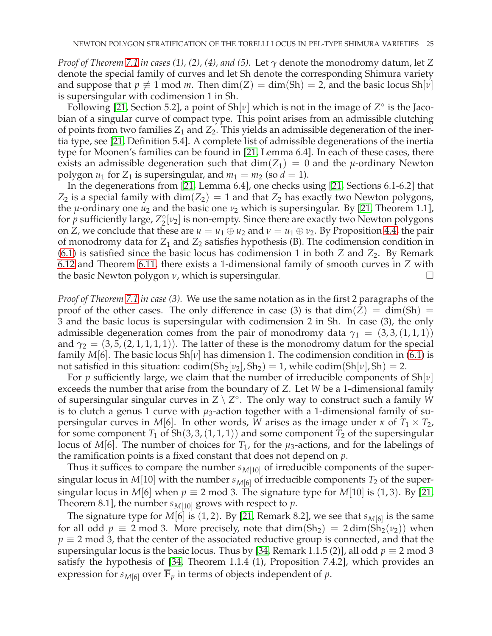*Proof of Theorem [7.1](#page-23-2) in cases (1), (2), (4), and (5).* Let *γ* denote the monodromy datum, let *Z* denote the special family of curves and let Sh denote the corresponding Shimura variety and suppose that  $p \neq 1$  mod *m*. Then dim(*Z*) = dim(*Sh*) = 2, and the basic locus Sh[*v*] is supersingular with codimension 1 in Sh.

Following [\[21,](#page-31-10) Section 5.2], a point of Sh[*ν*] which is not in the image of *Z* ◦ is the Jacobian of a singular curve of compact type. This point arises from an admissible clutching of points from two families *Z*<sup>1</sup> and *Z*2. This yields an admissible degeneration of the inertia type, see [\[21,](#page-31-10) Definition 5.4]. A complete list of admissible degenerations of the inertia type for Moonen's families can be found in [\[21,](#page-31-10) Lemma 6.4]. In each of these cases, there exists an admissible degeneration such that  $dim(Z_1) = 0$  and the *µ*-ordinary Newton polygon  $u_1$  for  $Z_1$  is supersingular, and  $m_1 = m_2$  (so  $d = 1$ ).

In the degenerations from [\[21,](#page-31-10) Lemma 6.4], one checks using [\[21,](#page-31-10) Sections 6.1-6.2] that  $Z_2$  is a special family with  $dim(Z_2) = 1$  and that  $Z_2$  has exactly two Newton polygons, the *µ*-ordinary one  $u_2$  and the basic one  $v_2$  which is supersingular. By [\[21,](#page-31-10) Theorem 1.1], for *p* sufficiently large,  $Z_2^{\circ}[\nu_2]$  is non-empty. Since there are exactly two Newton polygons on *Z*, we conclude that these are  $u = u_1 \oplus u_2$  and  $v = u_1 \oplus v_2$ . By Proposition [4.4,](#page-11-3) the pair of monodromy data for *Z*<sup>1</sup> and *Z*<sup>2</sup> satisfies hypothesis (B). The codimension condition in  $(6.1)$  is satisfied since the basic locus has codimension 1 in both *Z* and *Z*<sub>2</sub>. By Remark [6.12](#page-20-4) and Theorem [6.11,](#page-20-0) there exists a 1-dimensional family of smooth curves in *Z* with the basic Newton polygon *ν*, which is supersingular.

*Proof of Theorem [7.1](#page-23-2) in case (3).* We use the same notation as in the first 2 paragraphs of the proof of the other cases. The only difference in case (3) is that  $dim(Z) = dim(Sh) =$ 3 and the basic locus is supersingular with codimension 2 in Sh. In case (3), the only admissible degeneration comes from the pair of monodromy data  $\gamma_1 = (3, 3, (1, 1, 1))$ and  $\gamma_2 = (3, 5, (2, 1, 1, 1, 1))$ . The latter of these is the monodromy datum for the special family  $M[6]$ . The basic locus  $\text{Sh}[v]$  has dimension 1. The codimension condition in [\(6.1\)](#page-19-3) is not satisfied in this situation:  $\text{codim}(Sh_2[\nu_2], Sh_2) = 1$ , while  $\text{codim}(Sh[\nu], Sh) = 2$ .

For *p* sufficiently large, we claim that the number of irreducible components of Sh[*ν*] exceeds the number that arise from the boundary of *Z*. Let *W* be a 1-dimensional family of supersingular singular curves in *Z* \ *Z* ◦ . The only way to construct such a family *W* is to clutch a genus 1 curve with  $\mu_3$ -action together with a 1-dimensional family of supersingular curves in *M*[6]. In other words, *W* arises as the image under *κ* of  $T_1 \times T_2$ , for some component  $T_1$  of  $\text{Sh}(3, 3, (1, 1, 1))$  and some component  $T_2$  of the supersingular locus of *M*[6]. The number of choices for  $T_1$ , for the  $\mu_3$ -actions, and for the labelings of the ramification points is a fixed constant that does not depend on *p*.

Thus it suffices to compare the number  $s_{M[10]}$  of irreducible components of the supersingular locus in *M*[10] with the number  $s_{M[6]}$  of irreducible components  $T_2$  of the supersingular locus in *M*[6] when  $p \equiv 2 \mod 3$ . The signature type for *M*[10] is (1,3). By [\[21,](#page-31-10) Theorem 8.1], the number  $s_{M[10]}$  grows with respect to  $p$ .

The signature type for *M*[6] is (1, 2). By [\[21,](#page-31-10) Remark 8.2], we see that *sM*[6] is the same for all odd  $p \equiv 2 \mod 3$ . More precisely, note that  $\dim(\text{Sh}_2) = 2 \dim(\text{Sh}_2(\nu_2))$  when  $p \equiv 2 \mod 3$ , that the center of the associated reductive group is connected, and that the supersingular locus is the basic locus. Thus by [\[34,](#page-32-7) Remark 1.1.5 (2)], all odd  $p \equiv 2 \text{ mod } 3$ satisfy the hypothesis of [\[34,](#page-32-7) Theorem 1.1.4 (1), Proposition 7.4.2], which provides an expression for  $s_{M[6]}$  over  $\overline{\mathbb{F}}_p$  in terms of objects independent of p.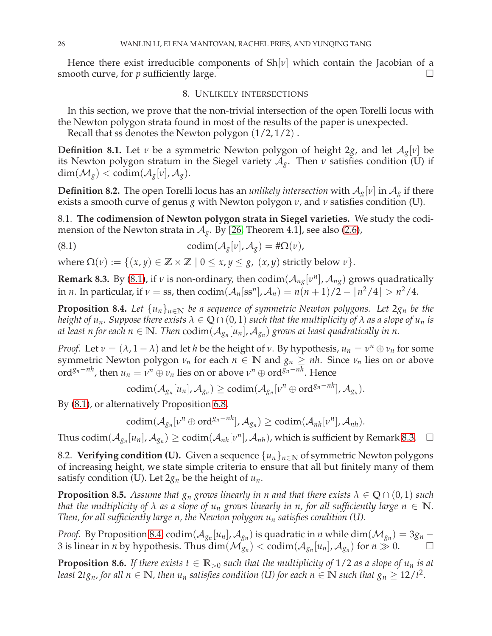<span id="page-25-1"></span>Hence there exist irreducible components of Sh[*ν*] which contain the Jacobian of a smooth curve, for  $p$  sufficiently large.  $\Box$ 

#### 8. UNLIKELY INTERSECTIONS

In this section, we prove that the non-trivial intersection of the open Torelli locus with the Newton polygon strata found in most of the results of the paper is unexpected.

Recall that ss denotes the Newton polygon (1/2, 1/2) .

**Definition 8.1.** Let *ν* be a symmetric Newton polygon of height 2*g*, and let  $A_g[v]$  be its Newton polygon stratum in the Siegel variety  $A_g$ . Then  $\nu$  satisfies condition (U) if  $\dim(\mathcal{M}_{g}) < \text{codim}(\mathcal{A}_{g}[\nu], \mathcal{A}_{g}).$ 

<span id="page-25-0"></span>**Definition 8.2.** The open Torelli locus has an *unlikely intersection* with  $A_g[v]$  in  $A_g$  if there exists a smooth curve of genus *g* with Newton polygon *ν*, and *ν* satisfies condition (U).

8.1. **The codimension of Newton polygon strata in Siegel varieties.** We study the codimension of the Newton strata in  $A<sub>g</sub>$ . By [\[26,](#page-31-25) Theorem 4.1], see also [\(2.6\)](#page-7-3),

<span id="page-25-2"></span>(8.1) 
$$
\text{codim}(\mathcal{A}_g[\nu], \mathcal{A}_g) = \#\Omega(\nu),
$$

<span id="page-25-3"></span>where  $\Omega(v) := \{(x, y) \in \mathbb{Z} \times \mathbb{Z} \mid 0 \leq x, y \leq g, (x, y) \text{ strictly below } v\}.$ 

**Remark 8.3.** By [\(8.1\)](#page-25-2), if *v* is non-ordinary, then  $\text{codim}(\mathcal{A}_{ng}[v^n], \mathcal{A}_{ng})$  grows quadratically in *n*. In particular, if  $\nu = \text{ss}$ , then  $\text{codim}(\mathcal{A}_n[\text{ss}^n], \mathcal{A}_n) = n(n+1)/2 - \lfloor n^2/4 \rfloor > n^2/4$ .

<span id="page-25-4"></span>**Proposition 8.4.** *Let*  $\{u_n\}_{n\in\mathbb{N}}$  *be a sequence of symmetric Newton polygons. Let*  $2g_n$  *be the height of u<sub>n</sub>. Suppose there exists*  $\lambda \in \mathbb{Q} \cap (0,1)$  *such that the multiplicity of*  $\lambda$  *as a slope of u<sub>n</sub> is at least n for each*  $n \in \mathbb{N}$ *. Then*  $\mathrm{codim}(\mathcal{A}_{g_{n}}[u_{n}], \mathcal{A}_{g_{n}})$  *grows at least quadratically in n.* 

*Proof.* Let  $v = (\lambda, 1 - \lambda)$  and let *h* be the height of *v*. By hypothesis,  $u_n = v^n \oplus v_n$  for some symmetric Newton polygon  $\nu_n$  for each  $n \in \mathbb{N}$  and  $g_n \ge nh$ . Since  $\nu_n$  lies on or above ord<sup>*g<sub>n</sub>−nh</sup>*, then  $u_n = v^n \oplus v_n$  lies on or above  $v^n \oplus \text{ord}^{g_n-nh}$ . Hence</sup>

$$
\mathrm{codim}(\mathcal{A}_{g_n}[u_n], \mathcal{A}_{g_n}) \geq \mathrm{codim}(\mathcal{A}_{g_n}[v^n \oplus \mathrm{ord}^{g_n-nh}], \mathcal{A}_{g_n}).
$$

By [\(8.1\)](#page-25-2), or alternatively Proposition [6.8,](#page-19-0)

$$
\mathrm{codim}(\mathcal{A}_{g_n}[v^n\oplus \mathrm{ord}^{g_n-nh}],\mathcal{A}_{g_n})\geq \mathrm{codim}(\mathcal{A}_{nh}[v^n],\mathcal{A}_{nh}).
$$

Thus codim $(A_{g_n}[u_n], A_{g_n}) \geq \text{codim}(A_{nh}[\nu^n], A_{nh})$ , which is sufficient by Remark [8.3.](#page-25-3)  $\Box$ 

8.2. **Verifying condition (U).** Given a sequence  $\{u_n\}_{n\in\mathbb{N}}$  of symmetric Newton polygons of increasing height, we state simple criteria to ensure that all but finitely many of them satisfy condition (U). Let  $2g_n$  be the height of  $u_n$ .

<span id="page-25-5"></span>**Proposition 8.5.** *Assume that*  $g_n$  *grows linearly in n and that there exists*  $\lambda \in \mathbb{Q} \cap (0,1)$  *such that the multiplicity of*  $\lambda$  *as a slope of*  $u_n$  *grows linearly in n, for all sufficiently large*  $n \in \mathbb{N}$ *. Then, for all sufficiently large n, the Newton polygon u<sup>n</sup> satisfies condition (U).*

*Proof.* By Proposition [8.4,](#page-25-4)  $\text{codim}(\mathcal{A}_{g_n}[u_n], \mathcal{A}_{g_n})$  is quadratic in *n* while  $\dim(\mathcal{M}_{g_n}) = 3g_n -$ 3 is linear in *n* by hypothesis. Thus  $\dim(\mathcal{M}_{g_n}^{\circ n}) < \text{codim}(\mathcal{A}_{g_n}[u_n], \mathcal{A}_{g_n})$  for  $n \gg 0$ .

<span id="page-25-6"></span>**Proposition 8.6.** *If there exists*  $t \in \mathbb{R}_{>0}$  *such that the multiplicity of* 1/2 *as a slope of*  $u_n$  *is at least*  $2tg_n$ *, for all*  $n \in \mathbb{N}$ *, then*  $u_n$  *satisfies condition (U) for each*  $n \in \mathbb{N}$  *such that*  $g_n \ge 12/t^2$ *.*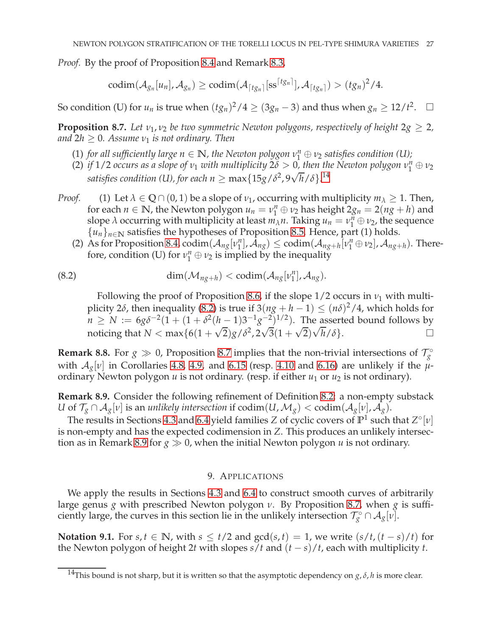*Proof.* By the proof of Proposition [8.4](#page-25-4) and Remark [8.3,](#page-25-3)

$$
\mathrm{codim}(\mathcal{A}_{g_n}[u_n], \mathcal{A}_{g_n}) \geq \mathrm{codim}(\mathcal{A}_{\lceil t g_n \rceil}[\mathrm{ss}^{\lceil t g_n \rceil}], \mathcal{A}_{\lceil t g_n \rceil}) > (t g_n)^2/4.
$$

So condition (U) for  $u_n$  is true when  $(tg_n)^2/4 \ge (3g_n - 3)$  and thus when  $g_n \ge 12/t^2$ .  $\Box$ 

<span id="page-26-3"></span>**Proposition 8.7.** *Let*  $v_1$ ,  $v_2$  *be two symmetric Newton polygons, respectively of height*  $2g \geq 2$ , *and*  $2h \geq 0$ *. Assume*  $\nu_1$  *is not ordinary. Then* 

- (1) *for all sufficiently large*  $n \in \mathbb{N}$ *, the Newton polygon*  $v_1^n \oplus v_2$  *satisfies condition* (U);
- (2) *if* 1/2 *occurs as a slope of*  $v_1$  *with multiplicity*  $2\delta > 0$ , then the Newton polygon  $v_1^n \oplus v_2$  $s$ atisfies condition (U), for each  $n \ge \max\{15g/\delta^2, 9\sqrt{h}/\delta\}$ .<sup>[14](#page-26-1)</sup>
- *Proof.* (1) Let  $\lambda \in \mathbb{Q} \cap (0, 1)$  be a slope of  $\nu_1$ , occurring with multiplicity  $m_\lambda \geq 1$ . Then, for each  $n \in \mathbb{N}$ , the Newton polygon  $u_n = v_1^n \oplus v_2$  has height  $2g_n = 2(ng + h)$  and slope  $\lambda$  occurring with multiplicity at least  $m_{\lambda}n$ . Taking  $u_n = v_1^n \oplus v_2$ , the sequence  $\{u_n\}_{n\in\mathbb{N}}$  satisfies the hypotheses of Proposition [8.5.](#page-25-5) Hence, part (1) holds.
	- (2) As for Proposition [8.4,](#page-25-4) codim $(\mathcal{A}_{ng}[v_1^n])$  $\mathcal{A}_{ng}$ )  $\leq$  codim $(\mathcal{A}_{ng+h}[v_1^n \oplus v_2], \mathcal{A}_{ng+h})$ . Therefore, condition (U) for  $v_1^n \oplus v_2$  is implied by the inequality

(8.2) 
$$
\dim(\mathcal{M}_{ng+h}) < \text{codim}(\mathcal{A}_{ng}[v_1^n], \mathcal{A}_{ng}).
$$

<span id="page-26-2"></span>Following the proof of Proposition [8.6,](#page-25-6) if the slope  $1/2$  occurs in  $v_1$  with multiplicity 2*δ*, then inequality [\(8.2\)](#page-26-2) is true if  $3(ng + h - 1) \leq (n\delta)^2/4$ , which holds for *n* ≥ *N* :=  $6g\delta^{-2}(1 + (1 + \delta^2(h-1)3^{-1}g^{-2})^{1/2})$ . The asserted bound follows by noticing that  $N < \max\{6(1+\sqrt{2})g/\delta^2, 2\sqrt{3}(1+\sqrt{2})\sqrt{h}/\delta\}.$ 

**Remark 8.8.** For  $g \gg 0$ , Proposition [8.7](#page-26-3) implies that the non-trivial intersections of  $\mathcal{T}_{g}^{\circ}$ with  $A_g[v]$  in Corollaries [4.8,](#page-13-3) [4.9,](#page-13-0) and [6.15](#page-22-4) (resp. [4.10](#page-13-1) and [6.16\)](#page-22-2) are unlikely if the  $\mu$ ordinary Newton polygon *u* is not ordinary. (resp. if either *u*<sub>1</sub> or *u*<sub>2</sub> is not ordinary).

<span id="page-26-4"></span>**Remark 8.9.** Consider the following refinement of Definition [8.2:](#page-25-0) a non-empty substack *U* of  $\mathcal{T}_g \cap \mathcal{A}_g[v]$  is an *unlikely intersection* if  $codim(U, \mathcal{M}_g) < codim(\mathcal{A}_g[v], \mathcal{A}_g)$ .

The results in Sections [4.3](#page-12-0) and [6.4](#page-22-0) yield families *Z* of cyclic covers of  $\mathbb{P}^1$  such that  $Z^\circ[\nu]$ is non-empty and has the expected codimension in *Z*. This produces an unlikely intersec-tion as in Remark [8.9](#page-26-4) for  $g \gg 0$ , when the initial Newton polygon *u* is not ordinary.

## 9. APPLICATIONS

<span id="page-26-0"></span>We apply the results in Sections [4.3](#page-12-0) and [6.4](#page-22-0) to construct smooth curves of arbitrarily large genus *g* with prescribed Newton polygon *ν*. By Proposition [8.7,](#page-26-3) when *g* is sufficiently large, the curves in this section lie in the unlikely intersection  $\mathcal{T}_g^{\circ} \cap \mathcal{A}_g[v]$ .

**Notation 9.1.** For *s*, *t* ∈ **N**, with *s* ≤ *t*/2 and  $gcd(s, t) = 1$ , we write  $(s/t, (t - s)/t)$  for the Newton polygon of height 2*t* with slopes *s*/*t* and (*t* − *s*)/*t*, each with multiplicity *t*.

<span id="page-26-1"></span><sup>&</sup>lt;sup>14</sup>This bound is not sharp, but it is written so that the asymptotic dependency on *g*,  $\delta$ , *h* is more clear.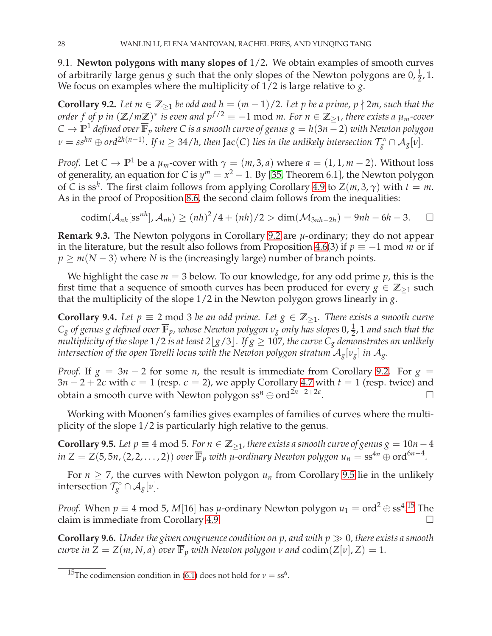9.1. **Newton polygons with many slopes of** 1/2**.** We obtain examples of smooth curves of arbitrarily large genus *g* such that the only slopes of the Newton polygons are  $0, \frac{1}{2}, 1$ . We focus on examples where the multiplicity of 1/2 is large relative to *g*.

<span id="page-27-0"></span>**Corollary 9.2.** Let  $m \in \mathbb{Z}_{\geq 1}$  be odd and  $h = (m-1)/2$ . Let p be a prime, p  $\nmid 2m$ , such that the *order f of p in*  $(\mathbb{Z}/m\mathbb{Z})^*$  *is even and*  $p^{f/2} \equiv -1 \text{ mod } m$ *. For*  $n \in \mathbb{Z}_{\geq 1}$ *, there exists a*  $\mu_m$ -cover *C* → **P** <sup>1</sup> *defined over* **<sup>F</sup>***<sup>p</sup> where C is a smooth curve of genus g* = *<sup>h</sup>*(3*<sup>n</sup>* − <sup>2</sup>) *with Newton polygon*  $\nu = ss^{hn} \oplus ord^{2h(n-1)}$ . If  $n \geq 34/h$ , then Jac(C) lies in the unlikely intersection  $\mathcal{T}_g^{\circ} \cap \mathcal{A}_g[v]$ .

*Proof.* Let  $C \to \mathbb{P}^1$  be a  $\mu_m$ -cover with  $\gamma = (m, 3, a)$  where  $a = (1, 1, m - 2)$ . Without loss of generality, an equation for *C* is  $y^m = x^2 - 1$ . By [\[35,](#page-32-8) Theorem 6.1], the Newton polygon of *C* is ss<sup>*h*</sup>. The first claim follows from applying Corollary [4.9](#page-13-0) to  $Z(m, 3, \gamma)$  with  $t = m$ . As in the proof of Proposition [8.6,](#page-25-6) the second claim follows from the inequalities:

$$
\mathrm{codim}(\mathcal{A}_{nh}[\mathrm{ss}^{nh}],\mathcal{A}_{nh})\geq (nh)^2/4+(nh)/2>\dim(\mathcal{M}_{3nh-2h})=9nh-6h-3.\quad \Box
$$

**Remark 9.3.** The Newton polygons in Corollary [9.2](#page-27-0) are *µ*-ordinary; they do not appear in the literature, but the result also follows from Proposition [4.6\(](#page-12-1)3) if  $p \equiv -1 \text{ mod } m$  or if *p* ≥ *m*(*N* − 3) where *N* is the (increasingly large) number of branch points.

We highlight the case  $m = 3$  below. To our knowledge, for any odd prime  $p$ , this is the first time that a sequence of smooth curves has been produced for every  $g \in \mathbb{Z}_{\geq 1}$  such that the multiplicity of the slope 1/2 in the Newton polygon grows linearly in *g*.

<span id="page-27-1"></span>**Corollary 9.4.** Let  $p \equiv 2 \text{ mod } 3$  *be an odd prime. Let*  $g \in \mathbb{Z}_{\geq 1}$ *. There exists a smooth curve*  $C_g$  *of genus*  $g$  *defined over*  $\overline{\mathbb{F}}_p$ *, whose Newton polygon*  $v_g$  *only has slopes* 0,  $\frac{1}{2}$ , 1 *and such that the multiplicity of the slope*  $1/2$  *is at least*  $2\lfloor g/3 \rfloor$ *. If*  $g \ge 107$ *, the curve*  $C_g$  *demonstrates an unlikely intersection of the open Torelli locus with the Newton polygon stratum*  $A_g[v_g]$  *in*  $A_g$ .

*Proof.* If  $g = 3n - 2$  for some *n*, the result is immediate from Corollary [9.2.](#page-27-0) For  $g =$ 3*n* − 2 + 2 $\epsilon$  with  $\epsilon = 1$  (resp.  $\epsilon = 2$ ), we apply Corollary [4.7](#page-12-2) with  $t = 1$  (resp. twice) and obtain a smooth curve with Newton polygon ss<sup>n</sup> ⊕ ord<sup>2*n*-2+2 $\epsilon$ </sup>.

<span id="page-27-2"></span>Working with Moonen's families gives examples of families of curves where the multiplicity of the slope 1/2 is particularly high relative to the genus.

**Corollary 9.5.** *Let p*  $\equiv$  4 mod 5*. For n* ∈  $\mathbb{Z}_{>1}$ *, there exists a smooth curve of genus g* = 10*n* − 4  $\int \ln Z = Z(5, 5n, (2, 2, \ldots, 2))$  *over*  $\overline{\mathbb{F}}_p$  *with*  $\mu$ -ordinary Newton polygon  $u_n = \text{ss}^{4n} \oplus \text{ord}^{6n-4}$ .

For  $n \ge 7$ , the curves with Newton polygon  $u_n$  from Corollary [9.5](#page-27-2) lie in the unlikely intersection  $\mathcal{T}_{g}^{\circ} \cap \mathcal{A}_{g}[\nu]$ .

*Proof.* When  $p \equiv 4 \mod 5$ , *M*[16] has *µ*-ordinary Newton polygon  $u_1 = \text{ord}^2 \oplus \text{ss}^4$ .<sup>[15](#page-27-3)</sup> The claim is immediate from Corollary [4.9.](#page-13-0)

**Corollary 9.6.** *Under the given congruence condition on p, and with p* ≫ 0*, there exists a smooth curve in*  $Z = Z(m, N, a)$  *over*  $\overline{\mathbb{F}}_p$  *with Newton polygon v and* codim( $Z[v], Z$ ) = 1*.* 

<span id="page-27-3"></span><sup>&</sup>lt;sup>15</sup>The codimension condition in [\(6.1\)](#page-19-3) does not hold for  $\nu = \text{ss}^6$ .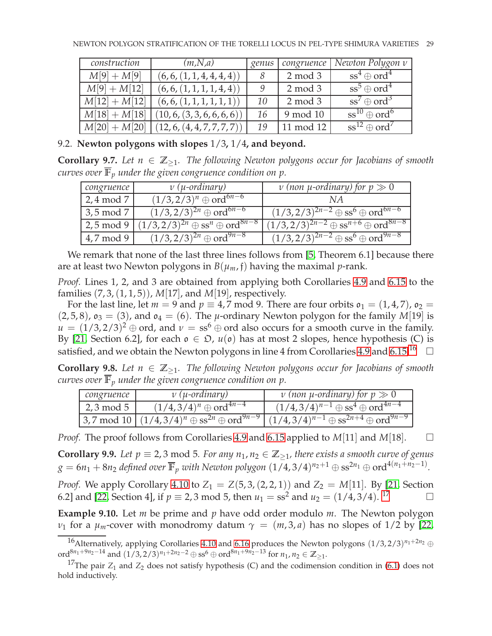| construction   | (m, N, a)                   | genus | congruence | Newton Polygon v                     |
|----------------|-----------------------------|-------|------------|--------------------------------------|
| $M[9] + M[9]$  | (6, 6, (1, 1, 4, 4, 4, 4))  |       | $2 \mod 3$ | $\text{ss}^4 \oplus \text{ord}^4$    |
| $M[9] + M[12]$ | (6, 6, (1, 1, 1, 1, 4, 4))  |       | $2 \mod 3$ | $\sqrt{ss^5} \oplus \text{ord}^4$    |
| $M[12]+M[12]$  | (6, 6, (1, 1, 1, 1, 1, 1))  | 10    | $2 \mod 3$ | $ss^7 \oplus ord^3$                  |
| $M[18]+M[18]$  | (10, 6, (3, 3, 6, 6, 6, 6)) | 16    | 9 mod 10   | $\text{ss}^{10} \oplus \text{ord}^6$ |
| $M[20]+M[20]$  | (12, 6, (4, 4, 7, 7, 7, 7)) | 19    | 11 mod 12  | $\text{ss}^{12} \oplus \text{ord}^7$ |

# <span id="page-28-1"></span>9.2. **Newton polygons with slopes** 1/3**,** 1/4**, and beyond.**

**Corollary 9.7.** *Let*  $n \in \mathbb{Z}_{\geq 1}$ *. The following Newton polygons occur for Jacobians of smooth curves over*  $\overline{\mathbb{F}}_p$  *under the given congruence condition on p.* 

| congruence           | $\nu$ ( <i>µ</i> -ordinary)                               | v (non $\mu$ -ordinary) for $p \gg 0$                                  |
|----------------------|-----------------------------------------------------------|------------------------------------------------------------------------|
| $\sqrt{2, 4 \mod 7}$ | $(1/3,2/3)^n \oplus \text{ord}^{6n-6}$                    | N A                                                                    |
| $3,5 \mod 7$         | $(1/3,2/3)^{2n}$ $\oplus$ ord <sup>6<i>n</i>-6</sup>      | $(1/3,2/3)^{2n-2} \oplus ss^6 \oplus ord^{6n-6}$                       |
| $2,5 \mod 9$         | $(1/3, 2/3)^{2n} \oplus ss^n \oplus \text{ord}^{8n-8}$    | $(1/3,2/3)^{2n-2} \oplus ss^{n+6} \oplus \text{ord}^{\overline{8n-8}}$ |
| 4,7 mod 9            | $(1/3, 2/3)^{2n}$ $\overline{\oplus}$ ord <sup>9n-8</sup> | $(1/3,2/3)^{2n-2} \oplus ss^6 \oplus \text{ord}^{9n-8}$                |

We remark that none of the last three lines follows from [\[5,](#page-31-5) Theorem 6.1] because there are at least two Newton polygons in  $B(\mu_m, f)$  having the maximal *p*-rank.

*Proof.* Lines 1, 2, and 3 are obtained from applying both Corollaries [4.9](#page-13-0) and [6.15](#page-22-4) to the families (7, 3,(1, 1, 5)), *M*[17], and *M*[19], respectively.

For the last line, let  $m = 9$  and  $p \equiv 4.7$  mod 9. There are four orbits  $\mathfrak{o}_1 = (1, 4, 7)$ ,  $\mathfrak{o}_2 =$  $(2, 5, 8)$ ,  $\mathfrak{o}_3 = (3)$ , and  $\mathfrak{o}_4 = (6)$ . The *µ*-ordinary Newton polygon for the family *M*[19] is  $u = (1/3, 2/3)^2 \oplus \text{ord}$ , and  $v = ss^6 \oplus \text{ord}$  also occurs for a smooth curve in the family. By [\[21,](#page-31-10) Section 6.2], for each  $\mathfrak{o} \in \mathfrak{D}$ ,  $u(\mathfrak{o})$  has at most 2 slopes, hence hypothesis (C) is satisfied, and we obtain the Newton polygons in line 4 from Corollaries [4.9](#page-13-0) and [6.15.](#page-22-4)<sup>[16](#page-28-2)</sup>  $\Box$ 

**Corollary 9.8.** *Let*  $n \in \mathbb{Z}_{\geq 1}$ *. The following Newton polygons occur for Jacobians of smooth curves over*  $\overline{\mathbb{F}}_p$  *under the given congruence condition on p.* 

| congruence   | $\nu$ ( <i>µ</i> -ordinary)                                                            | v (non $\mu$ -ordinary) for $p \gg 0$                |
|--------------|----------------------------------------------------------------------------------------|------------------------------------------------------|
| $2,3 \mod 5$ | $(1/4,3/4)^n \oplus$ ord <sup>4n-4</sup>                                               | $(1/4,3/4)^{n-1} \oplus ss^4 \oplus ord^{4n-4}$      |
|              | $\left[3,7 \mod 10 \right] (1/4,3/4)^n \oplus \text{ss}^{2n} \oplus \text{ord}^{9n-9}$ | $(1/4,3/4)^{n-1} \oplus ss^{2n+4} \oplus ord^{9n-9}$ |

<span id="page-28-0"></span>*Proof.* The proof follows from Corollaries [4.9](#page-13-0) and [6.15](#page-22-4) applied to *M*[11] and *M*[18]. □

**Corollary 9.9.** *Let p*  $\equiv$  2, 3 mod 5*. For any n*<sub>1</sub>, *n*<sub>2</sub>  $\in \mathbb{Z}_{\geq 1}$ , there exists a smooth curve of genus  $g = 6n_1 + 8n_2$  defined over  $\overline{\mathbb{F}}_p$  with Newton polygon  $(1/4, 3/4)^{n_2+1} \oplus \text{ss}^{2n_1} \oplus \text{ord}^{4(n_1+n_2-1)}$ .

*Proof.* We apply Corollary [4.10](#page-13-1) to  $Z_1 = Z(5, 3, (2, 2, 1))$  and  $Z_2 = M[11]$ . By [\[21,](#page-31-10) Section 6.2] and [\[22,](#page-31-14) Section 4], if  $p \equiv 2, 3 \mod 5$ , then  $u_1 = \text{ss}^2$  and  $u_2 = (1/4, 3/4)$ . <sup>[17](#page-28-3)</sup>

**Example 9.10.** Let *m* be prime and *p* have odd order modulo *m*. The Newton polygon *ν*<sub>1</sub> for a *μ*<sub>*m*</sub>-cover with monodromy datum  $\gamma = (m, 3, a)$  has no slopes of 1/2 by [\[22,](#page-31-14)

<span id="page-28-2"></span><sup>&</sup>lt;sup>16</sup>Alternatively, applying Corollaries [4.10](#page-13-1) and [6.16](#page-22-2) produces the Newton polygons  $(1/3, 2/3)^{n_1+2n_2}$  ⊕ ord<sup>8*n*<sub>1</sub>+9*n*<sub>2</sub>−14</sub> and  $(1/3, 2/3)^{n_1+2n_2-2} \oplus ss^6 \oplus ord^{8n_1+9n_2-13}$  for  $n_1, n_2 \in \mathbb{Z}_{\geq 1}$ .</sup>

<span id="page-28-3"></span><sup>&</sup>lt;sup>17</sup>The pair  $Z_1$  and  $Z_2$  does not satisfy hypothesis (C) and the codimension condition in [\(6.1\)](#page-19-3) does not hold inductively.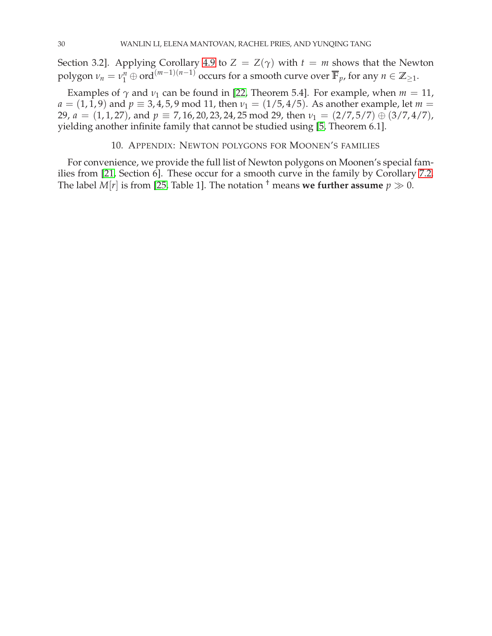Section 3.2]. Applying Corollary [4.9](#page-13-0) to  $Z = Z(\gamma)$  with  $t = m$  shows that the Newton polygon  $\nu_n = \nu_1^n \oplus \text{ord}^{(m-1)(n-1)}$  occurs for a smooth curve over  $\overline{\mathbb{F}}_p$ , for any  $n \in \mathbb{Z}_{\geq 1}$ .

Examples of  $\gamma$  and  $\nu_1$  can be found in [\[22,](#page-31-14) Theorem 5.4]. For example, when  $m = 11$ ,  $a = (1, 1, 9)$  and  $p \equiv 3, 4, 5, 9 \mod 11$ , then  $v_1 = (1/5, 4/5)$ . As another example, let  $m =$ 29,  $a = (1, 1, 27)$ , and  $p \equiv 7, 16, 20, 23, 24, 25 \mod 29$ , then  $v_1 = (2/7, 5/7) \oplus (3/7, 4/7)$ , yielding another infinite family that cannot be studied using [\[5,](#page-31-5) Theorem 6.1].

#### 10. APPENDIX: NEWTON POLYGONS FOR MOONEN'S FAMILIES

<span id="page-29-0"></span>For convenience, we provide the full list of Newton polygons on Moonen's special families from [\[21,](#page-31-10) Section 6]. These occur for a smooth curve in the family by Corollary [7.2.](#page-23-0) The label *M*[*r*] is from [\[25,](#page-31-0) Table 1]. The notation <sup>†</sup> means **we further assume**  $p \gg 0$ .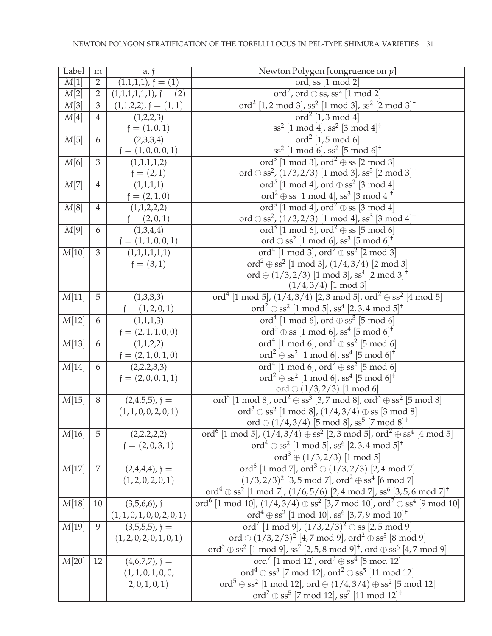| Label | m              | a, f                            | Newton Polygon [congruence on $p$ ]                                                                                                           |
|-------|----------------|---------------------------------|-----------------------------------------------------------------------------------------------------------------------------------------------|
| M[1]  | $\overline{2}$ | $(1,1,1,1), f = (1)$            | ord, ss [1 mod 2]                                                                                                                             |
| M[2]  | $\sqrt{2}$     | $(1,1,1,1,1,1), f = (2)$        | ord <sup>2</sup> , ord $\oplus$ ss, ss <sup>2</sup> [1 mod 2]                                                                                 |
| M[3]  | $\mathfrak{Z}$ | $(1,1,2,2)$ , $\dagger = (1,1)$ | ord <sup>2</sup> [1,2 mod 3], ss <sup>2</sup> [1 mod 3], ss <sup>2</sup> [2 mod 3] <sup>+</sup>                                               |
| M[4]  | $\overline{4}$ | (1,2,2,3)                       | $\text{ord}^2$ [1,3 mod 4]                                                                                                                    |
|       |                | $\mathfrak{f}=(1,0,1)$          | $\sqrt{ss^2}$ [1 mod 4], ss <sup>2</sup> [3 mod 4] <sup>+</sup>                                                                               |
| M[5]  | 6              | (2,3,3,4)                       | $\text{ord}^2$ [1,5 mod 6]                                                                                                                    |
|       |                | $f = (1, 0, 0, 0, 1)$           | $\sqrt{ss^2}$ [1 mod 6], ss <sup>2</sup> [5 mod 6] <sup>+</sup>                                                                               |
| M[6]  | $\mathfrak{Z}$ | (1,1,1,1,2)                     | ord <sup>3</sup> [1 mod 3], ord <sup>2</sup> $\oplus$ ss [2 mod 3]                                                                            |
|       |                | $f = (2, 1)$                    | ord $\oplus$ ss <sup>2</sup> , (1/3,2/3) [1 mod 3], ss <sup>3</sup> [2 mod 3] <sup>+</sup>                                                    |
| M[7]  | $\overline{4}$ | (1,1,1,1)                       | ord <sup>3</sup> [1 mod 4], ord $\oplus$ ss <sup>2</sup> [3 mod 4]                                                                            |
|       |                | $f = (2, 1, 0)$                 | $\text{ord}^2 \oplus \text{ss}$ [1 mod 4], ss <sup>3</sup> [3 mod 4] <sup>+</sup>                                                             |
| M[8]  | $\overline{4}$ | (1,1,2,2,2)                     | ord <sup>3</sup> [1 mod 4], ord <sup>2</sup> $\oplus$ ss [3 mod 4]                                                                            |
|       |                | ${\mathfrak f}=(2,0,1)$         | ord $\oplus$ ss <sup>2</sup> , (1/3,2/3) [1 mod 4], ss <sup>3</sup> [3 mod 4] <sup>†</sup>                                                    |
| M[9]  | 6              | (1,3,4,4)                       | ord <sup>3</sup> [1 mod 6], ord <sup>2</sup> $\oplus$ ss [5 mod 6]                                                                            |
|       |                | $f = (1, 1, 0, 0, 1)$           | ord $\oplus$ ss <sup>2</sup> [1 mod 6], ss <sup>3</sup> [5 mod 6] <sup>†</sup>                                                                |
| M[10] | 3              | (1,1,1,1,1,1)                   | ord <sup>4</sup> [1 mod 3], ord <sup>2</sup> $\oplus$ ss <sup>2</sup> [2 mod 3]                                                               |
|       |                | $f = (3, 1)$                    | ord <sup>2</sup> $\oplus$ ss <sup>2</sup> [1 mod 3], (1/4, 3/4) [2 mod 3]                                                                     |
|       |                |                                 | ord $\oplus$ (1/3,2/3) [1 mod 3], ss <sup>4</sup> [2 mod 3] <sup>+</sup>                                                                      |
| M[11] | 5              |                                 | $(1/4, 3/4)$ [1 mod 3]<br>ord <sup>4</sup> [1 mod 5], $(1/4,3/4)$ [2,3 mod 5], ord <sup>2</sup> $\oplus$ ss <sup>2</sup> [4 mod 5]            |
|       |                | (1,3,3,3)                       | ord <sup>2</sup> $\oplus$ ss <sup>2</sup> [1 mod 5], ss <sup>4</sup> [2, 3, 4 mod 5] <sup>†</sup>                                             |
| M[12] | 6              | $f = (1, 2, 0, 1)$<br>(1,1,1,3) | ord <sup>4</sup> [1 mod 6], ord $\oplus$ ss <sup>3</sup> [5 mod 6]                                                                            |
|       |                | $f = (2, 1, 1, 0, 0)$           | $\text{ord}^3 \oplus \text{ss} [1 \text{ mod } 6]$ , ss <sup>4</sup> [5 mod 6] <sup>†</sup>                                                   |
| M[13] | 6              | (1,1,2,2)                       | ord <sup>4</sup> [1 mod 6], ord <sup>2</sup> $\oplus$ ss <sup>2</sup> [5 mod 6]                                                               |
|       |                | $\mathfrak{f}=(2,1,0,1,0)$      | $\text{ord}^2 \oplus \text{ss}^2 \; [1 \text{ mod } 6]$ , ss <sup>4</sup> [5 mod 6] <sup>†</sup>                                              |
| M[14] | 6              | (2,2,2,3,3)                     | ord <sup>4</sup> [1 mod 6], ord <sup>2</sup> $\oplus$ ss <sup>2</sup> [5 mod 6]                                                               |
|       |                | $f = (2, 0, 0, 1, 1)$           | $\text{ord}^2 \oplus \text{ss}^2$ [1 mod 6], ss <sup>4</sup> [5 mod 6] <sup>†</sup>                                                           |
|       |                |                                 | ord $\oplus$ (1/3,2/3) [1 mod 6]                                                                                                              |
| M[15] | 8              | $(2,4,5,5)$ , f =               | ord <sup>5</sup> [1 mod 8], ord <sup>2</sup> $\oplus$ ss <sup>3</sup> [3,7 mod 8], ord <sup>3</sup> $\oplus$ ss <sup>2</sup> [5 mod 8]        |
|       |                | (1, 1, 0, 0, 2, 0, 1)           | ord <sup>3</sup> $\oplus$ ss <sup>2</sup> [1 mod 8], (1/4, 3/4) $\oplus$ ss [3 mod 8]                                                         |
|       |                |                                 | ord $\oplus$ (1/4,3/4) [5 mod 8], ss <sup>5</sup> [7 mod 8] <sup>+</sup>                                                                      |
| M[16] | 5              | (2,2,2,2,2)                     | ord <sup>6</sup> [1 mod 5], $(1/4,3/4) \oplus ss^2$ [2, 3 mod 5], ord <sup>2</sup> $\oplus ss^4$ [4 mod 5]                                    |
|       |                | $f = (2, 0, 3, 1)$              | ord <sup>4</sup> $\oplus$ ss <sup>2</sup> [1 mod 5], ss <sup>6</sup> [2, 3, 4 mod 5] <sup>†</sup>                                             |
|       |                |                                 |                                                                                                                                               |
| M[17] | 7              | $(2,4,4,4)$ , f =               | ord <sup>3</sup> $\oplus$ (1/3,2/3) [1 mod 5]<br>ord <sup>6</sup> [1 mod 7], ord <sup>3</sup> $\oplus$ (1/3,2/3) [2,4 mod 7]                  |
|       |                | (1, 2, 0, 2, 0, 1)              | $(1/3,2/3)^2$ [3,5 mod 7], ord <sup>2</sup> $\oplus$ ss <sup>4</sup> [6 mod 7]                                                                |
|       |                |                                 | ord <sup>4</sup> $\oplus$ ss <sup>2</sup> [1 mod 7], (1/6,5/6) [2,4 mod 7], ss <sup>6</sup> [3,5,6 mod 7] <sup>+</sup>                        |
| M[18] | 10             | $(3,5,6,6)$ , f =               | ord <sup>6</sup> [1 mod 10], $(1/4,3/4) \oplus ss^2$ [3,7 mod 10], ord <sup>2</sup> $\oplus ss^4$ [9 mod 10]                                  |
|       |                | (1, 1, 0, 1, 0, 0, 2, 0, 1)     | ord <sup>4</sup> $\oplus$ ss <sup>2</sup> [1 mod 10], ss <sup>6</sup> [3, 7, 9 mod 10] <sup>†</sup>                                           |
| M[19] | 9              | $(3,5,5,5)$ , f =               | ord <sup>7</sup> [1 mod 9], $(1/3, 2/3)^2 \oplus$ ss [2, 5 mod 9]                                                                             |
|       |                | (1, 2, 0, 2, 0, 1, 0, 1)        | ord $\oplus$ $(1/3,2/3)^2$ [4,7 mod 9], ord <sup>2</sup> $\oplus$ ss <sup>5</sup> [8 mod 9]                                                   |
|       |                |                                 | ord <sup>5</sup> $\oplus$ ss <sup>2</sup> [1 mod 9], ss <sup>7</sup> [2, 5, 8 mod 9] <sup>+</sup> , ord $\oplus$ ss <sup>6</sup> [4, 7 mod 9] |
| M[20] | 12             | $(4,6,7,7)$ , f =               | ord <sup>7</sup> [1 mod 12], ord <sup>3</sup> $\oplus$ ss <sup>4</sup> [5 mod 12]                                                             |
|       |                | (1, 1, 0, 1, 0, 0,              | ord <sup>4</sup> $\oplus$ ss <sup>3</sup> [7 mod 12], ord <sup>2</sup> $\oplus$ ss <sup>5</sup> [11 mod 12]                                   |
|       |                | 2, 0, 1, 0, 1)                  | $\mathrm{ord}^5\oplus \mathrm{ss}^2$ [1 mod 12], $\mathrm{ord}\oplus (1/4,3/4)\oplus \mathrm{ss}^2$ [5 mod 12]                                |
|       |                |                                 | ord <sup>2</sup> $\oplus$ ss <sup>5</sup> [7 mod 12], ss <sup>7</sup> [11 mod 12] <sup>+</sup>                                                |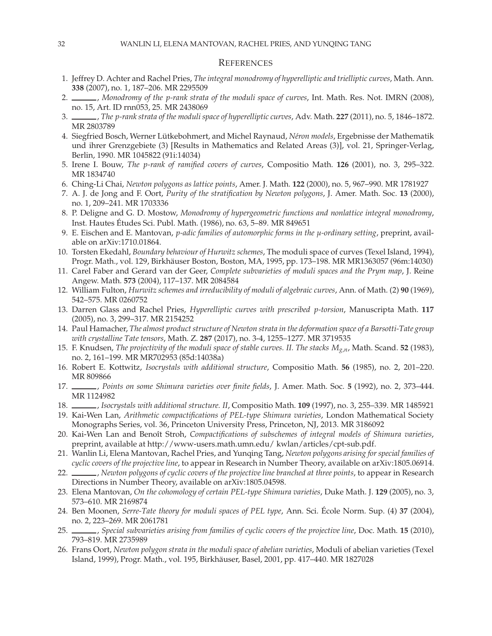#### **REFERENCES**

- <span id="page-31-11"></span>1. Jeffrey D. Achter and Rachel Pries, *The integral monodromy of hyperelliptic and trielliptic curves*, Math. Ann. **338** (2007), no. 1, 187–206. MR 2295509
- <span id="page-31-7"></span>2. , *Monodromy of the p-rank strata of the moduli space of curves*, Int. Math. Res. Not. IMRN (2008), no. 15, Art. ID rnn053, 25. MR 2438069
- <span id="page-31-23"></span><span id="page-31-9"></span>3. , *The p-rank strata of the moduli space of hyperelliptic curves*, Adv. Math. **227** (2011), no. 5, 1846–1872. MR 2803789
- 4. Siegfried Bosch, Werner Lütkebohmert, and Michel Raynaud, *Néron models*, Ergebnisse der Mathematik und ihrer Grenzgebiete (3) [Results in Mathematics and Related Areas (3)], vol. 21, Springer-Verlag, Berlin, 1990. MR 1045822 (91i:14034)
- <span id="page-31-16"></span><span id="page-31-5"></span>5. Irene I. Bouw, *The p-rank of ramified covers of curves*, Compositio Math. **126** (2001), no. 3, 295–322. MR 1834740
- <span id="page-31-24"></span>6. Ching-Li Chai, *Newton polygons as lattice points*, Amer. J. Math. **122** (2000), no. 5, 967–990. MR 1781927
- 7. A. J. de Jong and F. Oort, *Purity of the stratification by Newton polygons*, J. Amer. Math. Soc. **13** (2000), no. 1, 209–241. MR 1703336
- <span id="page-31-1"></span>8. P. Deligne and G. D. Mostow, *Monodromy of hypergeometric functions and nonlattice integral monodromy*, Inst. Hautes Etudes Sci. Publ. Math. (1986), no. 63, 5–89. MR 849651 ´
- <span id="page-31-22"></span><span id="page-31-15"></span>9. E. Eischen and E. Mantovan, *p-adic families of automorphic forms in the µ-ordinary setting*, preprint, available on arXiv:1710.01864.
- 10. Torsten Ekedahl, *Boundary behaviour of Hurwitz schemes*, The moduli space of curves (Texel Island, 1994), Progr. Math., vol. 129, Birkhäuser Boston, Boston, MA, 1995, pp. 173–198. MR MR1363057 (96m:14030)
- <span id="page-31-6"></span>11. Carel Faber and Gerard van der Geer, *Complete subvarieties of moduli spaces and the Prym map*, J. Reine Angew. Math. **573** (2004), 117–137. MR 2084584
- <span id="page-31-12"></span><span id="page-31-8"></span>12. William Fulton, *Hurwitz schemes and irreducibility of moduli of algebraic curves*, Ann. of Math. (2) **90** (1969), 542–575. MR 0260752
- 13. Darren Glass and Rachel Pries, *Hyperelliptic curves with prescribed p-torsion*, Manuscripta Math. **117** (2005), no. 3, 299–317. MR 2154252
- <span id="page-31-4"></span>14. Paul Hamacher, *The almost product structure of Newton strata in the deformation space of a Barsotti-Tate group with crystalline Tate tensors*, Math. Z. **287** (2017), no. 3-4, 1255–1277. MR 3719535
- <span id="page-31-21"></span>15. F. Knudsen, *The projectivity of the moduli space of stable curves. II. The stacks Mg*,*n*, Math. Scand. **52** (1983), no. 2, 161–199. MR MR702953 (85d:14038a)
- <span id="page-31-18"></span><span id="page-31-2"></span>16. Robert E. Kottwitz, *Isocrystals with additional structure*, Compositio Math. **56** (1985), no. 2, 201–220. MR 809866
- <span id="page-31-3"></span>17. , *Points on some Shimura varieties over finite fields*, J. Amer. Math. Soc. **5** (1992), no. 2, 373–444. MR 1124982
- <span id="page-31-13"></span>18. , *Isocrystals with additional structure. II*, Compositio Math. **109** (1997), no. 3, 255–339. MR 1485921
- 19. Kai-Wen Lan, *Arithmetic compactifications of PEL-type Shimura varieties*, London Mathematical Society Monographs Series, vol. 36, Princeton University Press, Princeton, NJ, 2013. MR 3186092
- <span id="page-31-19"></span>20. Kai-Wen Lan and Benoît Stroh, *Compactifications of subschemes of integral models of Shimura varieties*, preprint, available at http://www-users.math.umn.edu/ kwlan/articles/cpt-sub.pdf.
- <span id="page-31-10"></span>21. Wanlin Li, Elena Mantovan, Rachel Pries, and Yunqing Tang, *Newton polygons arising for special families of cyclic covers of the projective line*, to appear in Research in Number Theory, available on arXiv:1805.06914.
- <span id="page-31-14"></span>22. , *Newton polygons of cyclic covers of the projective line branched at three points*, to appear in Research Directions in Number Theory, available on arXiv:1805.04598.
- <span id="page-31-20"></span><span id="page-31-17"></span>23. Elena Mantovan, *On the cohomology of certain PEL-type Shimura varieties*, Duke Math. J. **129** (2005), no. 3, 573–610. MR 2169874
- 24. Ben Moonen, *Serre-Tate theory for moduli spaces of PEL type*, Ann. Sci. École Norm. Sup. (4) 37 (2004), no. 2, 223–269. MR 2061781
- <span id="page-31-25"></span><span id="page-31-0"></span>25. , *Special subvarieties arising from families of cyclic covers of the projective line*, Doc. Math. **15** (2010), 793–819. MR 2735989
- 26. Frans Oort, *Newton polygon strata in the moduli space of abelian varieties*, Moduli of abelian varieties (Texel Island, 1999), Progr. Math., vol. 195, Birkh¨auser, Basel, 2001, pp. 417–440. MR 1827028